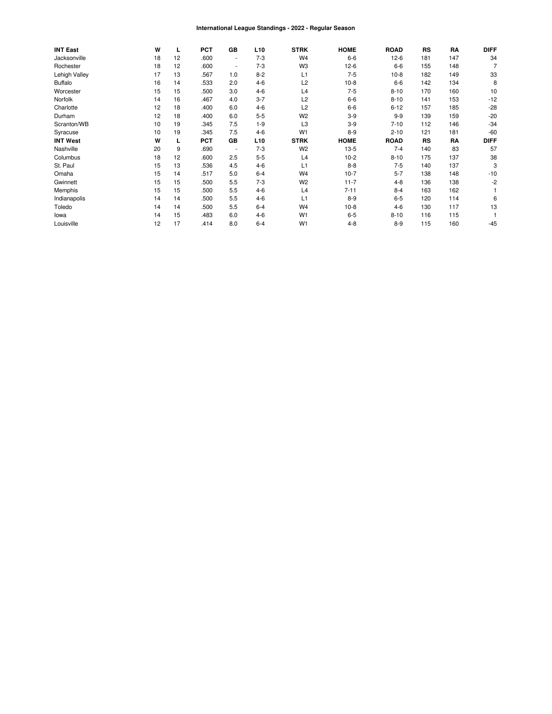#### International League Standings - 2022 - Regular Season

| <b>INT East</b> | W  | L  | <b>PCT</b> | <b>GB</b> | L <sub>10</sub> | <b>STRK</b>    | <b>HOME</b> | <b>ROAD</b> | <b>RS</b> | RA  | <b>DIFF</b> |
|-----------------|----|----|------------|-----------|-----------------|----------------|-------------|-------------|-----------|-----|-------------|
| Jacksonville    | 18 | 12 | .600       | $\sim$    | $7-3$           | W <sub>4</sub> | $6-6$       | $12-6$      | 181       | 147 | 34          |
| Rochester       | 18 | 12 | .600       | $\sim$    | $7-3$           | W <sub>3</sub> | $12-6$      | $6-6$       | 155       | 148 |             |
| Lehigh Valley   | 17 | 13 | .567       | 1.0       | $8 - 2$         | L1             | $7 - 5$     | $10-8$      | 182       | 149 | 33          |
| <b>Buffalo</b>  | 16 | 14 | .533       | 2.0       | $4-6$           | L <sub>2</sub> | $10-8$      | $6-6$       | 142       | 134 | 8           |
| Worcester       | 15 | 15 | .500       | 3.0       | $4 - 6$         | L4             | $7-5$       | $8 - 10$    | 170       | 160 | 10          |
| Norfolk         | 14 | 16 | .467       | 4.0       | $3 - 7$         | L <sub>2</sub> | $6-6$       | $8 - 10$    | 141       | 153 | $-12$       |
| Charlotte       | 12 | 18 | .400       | 6.0       | $4 - 6$         | L <sub>2</sub> | $6-6$       | $6 - 12$    | 157       | 185 | $-28$       |
| Durham          | 12 | 18 | .400       | 6.0       | $5 - 5$         | W <sub>2</sub> | $3-9$       | $9-9$       | 139       | 159 | $-20$       |
| Scranton/WB     | 10 | 19 | .345       | 7.5       | $1 - 9$         | L <sub>3</sub> | $3-9$       | $7 - 10$    | 112       | 146 | $-34$       |
| Syracuse        | 10 | 19 | .345       | 7.5       | $4-6$           | W <sub>1</sub> | $8 - 9$     | $2 - 10$    | 121       | 181 | $-60$       |
| <b>INT West</b> | W  |    | <b>PCT</b> | GB        | L <sub>10</sub> | <b>STRK</b>    | <b>HOME</b> | <b>ROAD</b> | RS        | RA  | <b>DIFF</b> |
| Nashville       | 20 | 9  | .690       |           | $7-3$           | W <sub>2</sub> | $13-5$      | $7 - 4$     | 140       | 83  | 57          |
| Columbus        | 18 | 12 | .600       | 2.5       | $5 - 5$         | L4             | $10-2$      | $8 - 10$    | 175       | 137 | 38          |
| St. Paul        | 15 | 13 | .536       | 4.5       | $4-6$           | L1             | $8 - 8$     | $7-5$       | 140       | 137 | 3           |
| Omaha           | 15 | 14 | .517       | 5.0       | $6 - 4$         | W <sub>4</sub> | $10-7$      | $5 - 7$     | 138       | 148 | $-10$       |
| Gwinnett        | 15 | 15 | .500       | 5.5       | $7-3$           | W <sub>2</sub> | $11 - 7$    | $4 - 8$     | 136       | 138 | -2          |
| Memphis         | 15 | 15 | .500       | 5.5       | $4 - 6$         | L4             | $7 - 11$    | $8 - 4$     | 163       | 162 |             |
| Indianapolis    | 14 | 14 | .500       | 5.5       | $4 - 6$         | L1             | $8 - 9$     | $6-5$       | 120       | 114 | 6           |
| Toledo          | 14 | 14 | .500       | 5.5       | $6 - 4$         | W <sub>4</sub> | $10-8$      | $4-6$       | 130       | 117 | 13          |
| lowa            | 14 | 15 | .483       | 6.0       | $4 - 6$         | W <sub>1</sub> | $6 - 5$     | $8 - 10$    | 116       | 115 |             |
| Louisville      | 12 | 17 | .414       | 8.0       | $6 - 4$         | W <sub>1</sub> | $4 - 8$     | $8 - 9$     | 115       | 160 | $-45$       |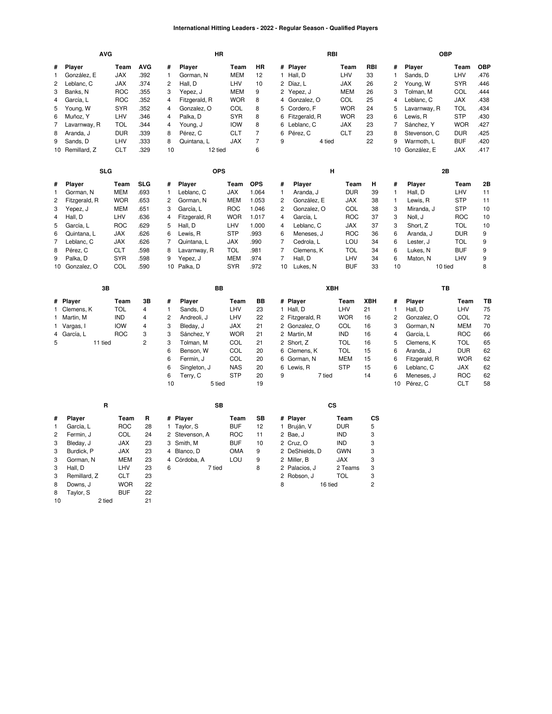## **International Hitting Leaders - 2022 - Regular Season - Qualified Players**

|                                                                          |                                                                                                                                                 | <b>AVG</b>                                                                                                               |                                                                                                                                    |                                                                                            |                                                                   |                                                                                                                                                  | HR         |                                                                                                                                           |                                                                                                 |                                                                                             |                                                                                                                                               | RBI     |                                                                                                                      |                                                               |                                                                                           |                                                                                                                                                | <b>OBP</b> |                                                                                                                             |                                                                |
|--------------------------------------------------------------------------|-------------------------------------------------------------------------------------------------------------------------------------------------|--------------------------------------------------------------------------------------------------------------------------|------------------------------------------------------------------------------------------------------------------------------------|--------------------------------------------------------------------------------------------|-------------------------------------------------------------------|--------------------------------------------------------------------------------------------------------------------------------------------------|------------|-------------------------------------------------------------------------------------------------------------------------------------------|-------------------------------------------------------------------------------------------------|---------------------------------------------------------------------------------------------|-----------------------------------------------------------------------------------------------------------------------------------------------|---------|----------------------------------------------------------------------------------------------------------------------|---------------------------------------------------------------|-------------------------------------------------------------------------------------------|------------------------------------------------------------------------------------------------------------------------------------------------|------------|-----------------------------------------------------------------------------------------------------------------------------|----------------------------------------------------------------|
| #<br>1<br>$\overline{c}$<br>3<br>4                                       | Player<br>González, E<br>Leblanc, C<br>Banks, N<br>García, L                                                                                    | <b>AVG</b><br>Team<br><b>JAX</b><br>.392<br><b>JAX</b><br>.374<br><b>ROC</b><br>.355<br><b>ROC</b><br>.352<br><b>SYR</b> |                                                                                                                                    |                                                                                            |                                                                   | Player<br>Gorman, N<br>Hall, D<br>Yepez, J<br>Fitzgerald, R                                                                                      |            | Team<br><b>MEM</b><br>LHV<br><b>MEM</b><br><b>WOR</b>                                                                                     | <b>HR</b><br>12<br>10<br>9<br>8                                                                 | 4                                                                                           | # Player<br>1 Hall, D<br>2 Díaz, L<br>2 Yepez, J<br>Gonzalez, O                                                                               |         | Team<br>LHV<br><b>JAX</b><br><b>MEM</b><br><b>COL</b>                                                                | RBI<br>33<br>26<br>26<br>25                                   | #<br>$\mathbf{1}$<br>$\overline{c}$<br>3<br>4                                             | Player<br>Sands, D<br>Young, W<br>Tolman, M<br>Leblanc, C                                                                                      |            | Team<br>LHV<br><b>SYR</b><br>COL<br><b>JAX</b>                                                                              | <b>OBP</b><br>476<br>.446<br>.444<br>.438                      |
| 5<br>6<br>7<br>8<br>9                                                    | Young, W<br>Muñoz, Y<br>Lavarnway, R<br>Aranda, J<br>Sands, D                                                                                   |                                                                                                                          | LHV<br><b>TOL</b><br><b>DUR</b><br>LHV                                                                                             | .352<br>.346<br>.344<br>.339<br>.333                                                       | 4<br>4<br>4<br>8<br>8                                             | Gonzalez, O<br>Palka, D<br>Young, J<br>Pérez, C<br>Quintana, L                                                                                   |            | COL<br><b>SYR</b><br><b>IOW</b><br><b>CLT</b><br><b>JAX</b>                                                                               | 8<br>8<br>8<br>$\overline{7}$<br>$\overline{7}$                                                 | 5<br>6<br>9                                                                                 | Cordero, F<br>6 Fitzgerald, R<br>6 Leblanc, C<br>Pérez, C                                                                                     | 4 tied  | <b>WOR</b><br><b>WOR</b><br><b>JAX</b><br><b>CLT</b>                                                                 | 24<br>23<br>23<br>23<br>22                                    | 5<br>6<br>$\overline{7}$<br>8<br>9                                                        | Lavarnway, R<br>Lewis, R<br>Sánchez, Y<br>Stevenson, C<br>Warmoth, L                                                                           |            | <b>TOL</b><br><b>STP</b><br><b>WOR</b><br><b>DUR</b><br><b>BUF</b>                                                          | .434<br>.430<br>.427<br>.425<br>420                            |
|                                                                          | 10 Remillard, Z                                                                                                                                 |                                                                                                                          | <b>CLT</b>                                                                                                                         | .329                                                                                       | 10                                                                |                                                                                                                                                  | 12 tied    |                                                                                                                                           | 6                                                                                               |                                                                                             |                                                                                                                                               |         |                                                                                                                      |                                                               |                                                                                           | 10 González, E                                                                                                                                 |            | <b>JAX</b>                                                                                                                  | .417                                                           |
|                                                                          |                                                                                                                                                 | <b>SLG</b>                                                                                                               |                                                                                                                                    |                                                                                            |                                                                   |                                                                                                                                                  | <b>OPS</b> |                                                                                                                                           |                                                                                                 |                                                                                             |                                                                                                                                               | н       |                                                                                                                      |                                                               |                                                                                           |                                                                                                                                                | 2B         |                                                                                                                             |                                                                |
| #<br>1<br>$\overline{c}$<br>3<br>4<br>5<br>6<br>$\overline{7}$<br>8<br>9 | Player<br>Gorman, N<br>Fitzgerald, R<br>Yepez, J<br>Hall, D<br>García, L<br>Quintana, L<br>Leblanc, C<br>Pérez, C<br>Palka, D<br>10 Gonzalez, O |                                                                                                                          | Team<br><b>MEM</b><br><b>WOR</b><br><b>MEM</b><br>LHV<br><b>ROC</b><br><b>JAX</b><br><b>JAX</b><br><b>CLT</b><br><b>SYR</b><br>COL | <b>SLG</b><br>.693<br>.653<br>.651<br>.636<br>.629<br>.626<br>.626<br>.598<br>.598<br>.590 | #<br>1<br>2<br>3<br>4<br>5<br>6<br>$\overline{7}$<br>8<br>9       | Player<br>Leblanc, C<br>Gorman, N<br>García, L<br>Fitzgerald, R<br>Hall, D<br>Lewis, R<br>Quintana, L<br>Lavarnway, R<br>Yepez, J<br>10 Palka, D |            | Team<br><b>JAX</b><br><b>MEM</b><br><b>ROC</b><br><b>WOR</b><br>LHV<br><b>STP</b><br><b>JAX</b><br><b>TOL</b><br><b>MEM</b><br><b>SYR</b> | <b>OPS</b><br>1.064<br>1.053<br>1.046<br>1.017<br>1.000<br>.993<br>.990<br>.981<br>.974<br>.972 | #<br>1<br>$\overline{c}$<br>2<br>4<br>4<br>6<br>$\overline{7}$<br>$\overline{7}$<br>7<br>10 | Player<br>Aranda, J<br>González, E<br>Gonzalez, O<br>García, L<br>Leblanc, C<br>Meneses, J<br>Cedrola, L<br>Clemens, K<br>Hall, D<br>Lukes, N |         | Team<br><b>DUR</b><br><b>JAX</b><br>COL<br><b>ROC</b><br><b>JAX</b><br><b>ROC</b><br>LOU<br>TOL<br>LHV<br><b>BUF</b> | н<br>39<br>38<br>38<br>37<br>37<br>36<br>34<br>34<br>34<br>33 | #<br>$\mathbf{1}$<br>$\mathbf{1}$<br>3<br>3<br>3<br>6<br>6<br>6<br>6<br>10                | Player<br>Hall, D<br>Lewis, R<br>Miranda, J<br>Noll, J<br>Short, Z<br>Aranda, J<br>Lester, J<br>Lukes, N<br>Maton, N                           | 10 tied    | Team<br>LHV<br><b>STP</b><br><b>STP</b><br><b>ROC</b><br>TOL<br><b>DUR</b><br>TOL<br><b>BUF</b><br>LHV                      | 2Β<br>11<br>11<br>10<br>10<br>10<br>9<br>9<br>9<br>9<br>8      |
|                                                                          |                                                                                                                                                 | 3B                                                                                                                       |                                                                                                                                    |                                                                                            |                                                                   |                                                                                                                                                  | BB         |                                                                                                                                           |                                                                                                 |                                                                                             |                                                                                                                                               | XBH     |                                                                                                                      |                                                               |                                                                                           |                                                                                                                                                | TB         |                                                                                                                             |                                                                |
| 1<br>1<br>4<br>5                                                         | # Player<br>1 Clemens, K<br>Martin, M<br>Vargas, I<br>García, L                                                                                 | 11 tied                                                                                                                  | Team<br>TOL<br><b>IND</b><br><b>IOW</b><br><b>ROC</b>                                                                              | 3B<br>$\overline{4}$<br>$\overline{4}$<br>$\overline{4}$<br>3<br>$\overline{c}$            | #<br>1<br>$\overline{c}$<br>3<br>3<br>3<br>6<br>6<br>6<br>6<br>10 | Player<br>Sands, D<br>Andreoli, J<br>Bleday, J<br>Sánchez, Y<br>Tolman, M<br>Benson, W<br>Fermin, J<br>Singleton, J<br>Terry, C                  | 5 tied     | Team<br>LHV<br>LHV<br><b>JAX</b><br><b>WOR</b><br>COL<br>COL<br>COL<br><b>NAS</b><br><b>STP</b>                                           | BB<br>23<br>22<br>21<br>21<br>21<br>20<br>20<br>20<br>20<br>19                                  | 6<br>6<br>9                                                                                 | # Player<br>1 Hall, D<br>2 Fitzgerald, R<br>2 Gonzalez, O<br>2 Martin, M<br>2 Short, Z<br>6 Clemens, K<br>Gorman, N<br>Lewis. R               | 7 tied  | Team<br>LHV<br><b>WOR</b><br>COL<br><b>IND</b><br><b>TOL</b><br><b>TOL</b><br>MEM<br><b>STP</b>                      | XBH<br>21<br>16<br>16<br>16<br>16<br>15<br>15<br>15<br>14     | #<br>$\mathbf{1}$<br>$\overline{c}$<br>3<br>$\overline{4}$<br>5<br>6<br>6<br>6<br>6<br>10 | Player<br>Hall, D<br>Gonzalez, O<br>Gorman, N<br>García, L<br>Clemens, K<br>Aranda, J<br>Fitzgerald, R<br>Leblanc, C<br>Meneses, J<br>Pérez, C |            | Team<br>LHV<br>COL<br><b>MEM</b><br><b>ROC</b><br><b>TOL</b><br><b>DUR</b><br><b>WOR</b><br><b>JAX</b><br><b>ROC</b><br>CLT | TВ<br>75<br>72<br>70<br>66<br>65<br>62<br>62<br>62<br>62<br>58 |
|                                                                          |                                                                                                                                                 | R                                                                                                                        |                                                                                                                                    |                                                                                            |                                                                   |                                                                                                                                                  | <b>SB</b>  |                                                                                                                                           |                                                                                                 |                                                                                             |                                                                                                                                               | CS      |                                                                                                                      |                                                               |                                                                                           |                                                                                                                                                |            |                                                                                                                             |                                                                |
| #<br>1<br>$\overline{c}$<br>3<br>3<br>3<br>3<br>3<br>8<br>8<br>10        | Player<br>García, L<br>Fermin, J<br>Bleday, J<br>Burdick, P<br>Gorman, N<br>Hall, D<br>Remillard, Z<br>Downs, J<br>Taylor, S                    | 2 tied                                                                                                                   | Team<br><b>ROC</b><br>COL<br>JAX<br><b>JAX</b><br><b>MEM</b><br>LHV<br><b>CLT</b><br><b>WOR</b><br><b>BUF</b>                      | R<br>28<br>24<br>23<br>23<br>23<br>23<br>23<br>22<br>22<br>21                              | 1.<br>3<br>4<br>6                                                 | # Player<br>Taylor, S<br>2 Stevenson, A<br>Smith, M<br>4 Blanco, D<br>Córdoba, A                                                                 | 7 tied     | Team<br><b>BUF</b><br><b>ROC</b><br><b>BUF</b><br>OMA<br>LOU                                                                              | SB<br>12<br>11<br>10<br>9<br>9<br>8                                                             | 8                                                                                           | # Player<br>1 Bruján, V<br>2 Bae, J<br>2 Cruz, O<br>2 DeShields, D<br>2 Miller, B<br>2 Palacios, J<br>2 Robson, J                             | 16 tied | Team<br><b>DUR</b><br><b>IND</b><br><b>IND</b><br><b>GWN</b><br><b>JAX</b><br>2 Teams<br>TOL                         | CS<br>5<br>3<br>3<br>3<br>3<br>3<br>3<br>$\overline{c}$       |                                                                                           |                                                                                                                                                |            |                                                                                                                             |                                                                |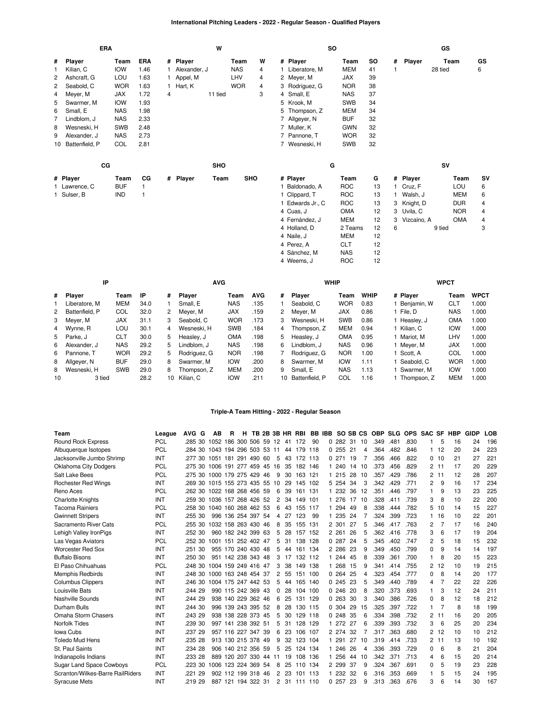# **International Pitching Leaders - 2022 - Regular Season - Qualified Players**

|    | <b>ERA</b>     |            |              |   |              | W          |            |   |   |                  | <b>SO</b>  |    |   |               | GS      |            |           |
|----|----------------|------------|--------------|---|--------------|------------|------------|---|---|------------------|------------|----|---|---------------|---------|------------|-----------|
| #  | Player         | Team       | <b>ERA</b>   |   | # Player     |            | Team       | W |   | # Player         | Team       | SO | # | Player        |         | Team       | GS        |
| 1  | Kilian, C      | <b>IOW</b> | 1.46         |   | Alexander, J |            | <b>NAS</b> | 4 |   | Liberatore, M    | <b>MEM</b> | 41 |   |               | 28 tied |            | 6         |
| 2  | Ashcraft, G    | LOU        | 1.63         |   | Appel, M     |            | LHV        | 4 | 2 | Meyer, M         | <b>JAX</b> | 39 |   |               |         |            |           |
| 2  | Seabold, C     | <b>WOR</b> | 1.63         |   | Hart, K      |            | <b>WOR</b> | 4 |   | 3 Rodriguez, G   | <b>NOR</b> | 38 |   |               |         |            |           |
| 4  | Meyer, M       | <b>JAX</b> | 1.72         | 4 |              | 11 tied    |            | 3 |   | 4 Small, E       | <b>NAS</b> | 37 |   |               |         |            |           |
| 5  | Swarmer, M     | <b>IOW</b> | 1.93         |   |              |            |            |   |   | 5 Krook, M       | <b>SWB</b> | 34 |   |               |         |            |           |
| 6  | Small, E       | <b>NAS</b> | 1.98         |   |              |            |            |   | 5 | Thompson, Z      | <b>MEM</b> | 34 |   |               |         |            |           |
| 7  | Lindblom, J    | <b>NAS</b> | 2.33         |   |              |            |            |   |   | 7 Allgeyer, N    | <b>BUF</b> | 32 |   |               |         |            |           |
| 8  | Wesneski, H    | <b>SWB</b> | 2.48         |   |              |            |            |   |   | 7 Muller, K      | <b>GWN</b> | 32 |   |               |         |            |           |
| 9  | Alexander, J   | <b>NAS</b> | 2.73         |   |              |            |            |   |   | 7 Pannone, T     | <b>WOR</b> | 32 |   |               |         |            |           |
| 10 | Battenfield, P | COL        | 2.81         |   |              |            |            |   |   | 7 Wesneski, H    | <b>SWB</b> | 32 |   |               |         |            |           |
|    | cc             |            |              |   |              | <b>SHO</b> |            |   |   |                  | G          |    |   |               | SV      |            |           |
|    | # Player       | Team       | CG           |   | # Player     | Team       | SHO        |   |   | # Player         | Team       | G  |   | # Player      |         | Team       | <b>SV</b> |
|    | 1 Lawrence, C  | <b>BUF</b> | 1            |   |              |            |            |   |   | 1 Baldonado, A   | <b>ROC</b> | 13 |   | Cruz, F       |         | LOU        | 6         |
|    | 1 Sulser, B    | <b>IND</b> | $\mathbf{1}$ |   |              |            |            |   |   | 1 Clippard, T    | <b>ROC</b> | 13 |   | Walsh, J      |         | <b>MEM</b> | 6         |
|    |                |            |              |   |              |            |            |   |   | 1 Edwards Jr., C | <b>ROC</b> | 13 |   | 3 Knight, D   |         | <b>DUR</b> | 4         |
|    |                |            |              |   |              |            |            |   |   | 4 Cuas, J        | <b>OMA</b> | 12 |   | 3 Uvila, C    |         | <b>NOR</b> | 4         |
|    |                |            |              |   |              |            |            |   |   | 4 Fernández, J   | MEM        | 12 |   | 3 Vizcaíno, A |         | <b>OMA</b> | 4         |
|    |                |            |              |   |              |            |            |   |   | 4 Holland, D     | 2 Teams    | 12 | 6 |               | 9 tied  |            | 3         |
|    |                |            |              |   |              |            |            |   |   | 4 Naile, J       | <b>MEM</b> | 12 |   |               |         |            |           |

|                | IP               |            |      |        | <b>AVG</b>    |            |            |    | <b>WHIP</b>    |            |             |             | <b>WPCT</b> |             |
|----------------|------------------|------------|------|--------|---------------|------------|------------|----|----------------|------------|-------------|-------------|-------------|-------------|
|                | # Player         | Team       | ΙP   | #      | <b>Player</b> | Team       | <b>AVG</b> | #  | <b>Plaver</b>  | Team       | <b>WHIP</b> | # Player    | Team        | <b>WPCT</b> |
|                | Liberatore, M    | <b>MEM</b> | 34.0 |        | Small, E      | <b>NAS</b> | .135       |    | Seabold, C     | <b>WOR</b> | 0.83        | Beniamin, W | CLT         | 1.000       |
|                | 2 Battenfield, P | COL        | 32.0 | $^{2}$ | Mever, M      | <b>JAX</b> | .159       | 2  | Mever, M       | <b>JAX</b> | 0.86        | File. D     | <b>NAS</b>  | 1.000       |
|                | 3 Mever, M       | <b>JAX</b> | 31.1 | 3      | Seabold, C    | <b>WOR</b> | .173       | 3  | Wesneski, H    | <b>SWB</b> | 0.86        | Heaslev, J  | <b>OMA</b>  | 1.000       |
| $\overline{4}$ | Wynne, R         | LOU        | 30.1 | 4      | Wesneski, H   | <b>SWB</b> | .184       | 4  | Thompson. Z    | <b>MEM</b> | 0.94        | Kilian, C   | <b>IOW</b>  | 1.000       |
|                | 5 Parke. J       | <b>CLT</b> | 30.0 | 5.     | Heaslev, J    | <b>OMA</b> | .198       | 5  | Heasley, J     | <b>OMA</b> | 0.95        | Mariot. M   | LHV         | 1.000       |
| 6              | Alexander, J     | <b>NAS</b> | 29.2 | 5.     | Lindblom. J   | <b>NAS</b> | .198       | 6  | Lindblom. J    | <b>NAS</b> | 0.96        | Mever. M    | <b>JAX</b>  | 1.000       |
| 6              | Pannone. T       | <b>WOR</b> | 29.2 | 5.     | Rodriguez, G  | <b>NOR</b> | .198       |    | Rodriguez. G   | <b>NOR</b> | 1.00        | Scott. A    | COL         | 1.000       |
| 8              | Allgever, N      | <b>BUF</b> | 29.0 | 8      | Swarmer, M    | <b>IOW</b> | .200       | 8  | Swarmer, M     | <b>IOW</b> | 1.11        | Seabold, C  | <b>WOR</b>  | 1.000       |
| 8              | Wesneski, H      | <b>SWB</b> | 29.0 | 8      | Thompson, Z   | <b>MEM</b> | .200       | 9  | Small, E       | <b>NAS</b> | 1.13        | Swarmer. M  | <b>IOW</b>  | 1.000       |
| 10             | 3 tied           |            | 28.2 | 10     | Kilian, C     | <b>IOW</b> | .211       | 10 | Battenfield, P | COL        | 1.16        | Thompson, Z | <b>MEM</b>  | 000، ا      |

4 [Perez,](https://research.mlb.com/players/680970/stats#orgId=117) A [CLT](https://research.mlb.com/teams/494/stats#timeframe=2022) 12 4 [Sánchez,](https://research.mlb.com/players/667376/stats#orgId=117) M [NAS](https://research.mlb.com/teams/556/stats#timeframe=2022) 12 4 [Weems,](https://research.mlb.com/players/607179/stats#orgId=117) J [ROC](https://research.mlb.com/teams/534/stats#timeframe=2022) 12

## **Triple-A Team Hitting - 2022 - Regular Season**

| Team                             | League     | AVG G                          | AВ                  | R | н                     |  |    |    | TB 2B 3B HR RBI |      |    | BB IBB SO SB CS |     |    | <b>OBP</b> |      | SLG OPS SAC SF |          |    | HBP | <b>GIDP</b> | <b>LOB</b> |
|----------------------------------|------------|--------------------------------|---------------------|---|-----------------------|--|----|----|-----------------|------|----|-----------------|-----|----|------------|------|----------------|----------|----|-----|-------------|------------|
| Round Rock Express               | <b>PCL</b> | .285 30 1052 186 300 506 59 12 |                     |   |                       |  |    | 41 | 172             | 90   |    | 0.282           | 31  | 10 | .349       | .481 | .830           |          | 5  | 16  | 24          | 196        |
| Albuquerque Isotopes             | <b>PCL</b> | .284 30 1043 194 296 503 53 11 |                     |   |                       |  |    | 44 | 179 118         |      |    | 0.255           | 21  | 4  | .364       | .482 | .846           | 1        | 12 | 20  | 24          | 223        |
| Jacksonville Jumbo Shrimp        | INT        | 277 30 1051 181 291 490 60     |                     |   |                       |  | 5  | 43 | 172 113         |      |    | 0.271           | 19  | 7  | .356       | .466 | .822           | 0        | 10 | 21  | 27          | 221        |
| Oklahoma City Dodgers            | <b>PCL</b> | 275 30 1006 191 277 459 45 16  |                     |   |                       |  |    | 35 | 182 146         |      |    | 1 240           | 14  | 10 | .373       | .456 | .829           | 2        | 11 | 17  | 20          | 229        |
| Salt Lake Bees                   | PCL        | .275 30                        | 1000 179 275 429 46 |   |                       |  | 9  | 30 | 163 121         |      |    | 1 215           | 28  | 10 | .357       | .429 | .786           | 2        | 11 | 12  | 28          | 207        |
| <b>Rochester Red Wings</b>       | INT        | .269 30 1015 155 273 435 55    |                     |   |                       |  | 10 | 29 | 145 102         |      |    | 5 2 5 4         | 34  | 3  | .342       | .429 | .771           | 2        | 9  | 16  | 17          | 234        |
| Reno Aces                        | <b>PCL</b> | .262 30 1022 168 268 456 59    |                     |   |                       |  | 6  | 39 | 161 131         |      |    | 1 232           | 36  | 12 | .351       | .446 | .797           | 1        | 9  | 13  | 23          | 225        |
| <b>Charlotte Knights</b>         | INT        | .259 30 1036 157 268 426 52    |                     |   |                       |  | 2  | 34 | 149             | 101  |    | 1 276           | 17  | 10 | .328       | .411 | .739           | 3        | 8  | 10  | 22          | 200        |
| <b>Tacoma Rainiers</b>           | PCL        | .258 30 1040 160 268 462 53    |                     |   |                       |  | 6  | 43 | 155 117         |      |    | 1 294           | 49  | 8  | .338       | .444 | .782           | 5        | 10 | 14  | 15          | 227        |
| <b>Gwinnett Stripers</b>         | INT        | .255 30                        |                     |   | 996 136 254 397 54    |  | 4  | 27 | 123             | -99  | 1. | 235             | 24  | 7  | .324       | .399 | .723           |          | 16 | 10  | 22          | 201        |
| Sacramento River Cats            | <b>PCL</b> | .255 30                        | 1032 158 263 430 46 |   |                       |  | 8  | 35 | 155 131         |      |    | 2 301           | 27  | 5  | .346       | .417 | .763           | 2        | 7  | 17  | 16          | 240        |
| Lehigh Valley IronPigs           | INT        | .252 30                        |                     |   | 960 182 242 399 63    |  | 5  | 28 | 157 152         |      |    | 2 2 6 1         | 26  | 5  | .362       | .416 | .778           | 3        | 6  | 17  | 19          | 204        |
| Las Vegas Aviators               | <b>PCL</b> | .252 30 1001 151 252 402 47    |                     |   |                       |  | 5  | 31 | 138             | 128  |    | 0.287           | 24  | 5  | .345       | .402 | .747           | 2        | 5  | 18  | 15          | 232        |
| <b>Worcester Red Sox</b>         | INT        | .251 30                        |                     |   | 955 170 240 430 48    |  | 5  | 44 | 161 134         |      |    | 2 2 8 6         | 23  | 9  | .349       | .450 | .799           | $\Omega$ | 9  | 14  | 14          | 197        |
| <b>Buffalo Bisons</b>            | INT        | .250 30                        |                     |   | 951 142 238 343 48    |  | 3  | 17 | 132             | 112  |    | 244             | 45  | 8  | .339       | .361 | .700           |          | 8  | 20  | 15          | 223        |
| El Paso Chihuahuas               | <b>PCL</b> | .248 30                        | 1004 159 249 416 47 |   |                       |  | 3  | 38 | 149 138         |      |    | 1 268           | 15  | 9  | .341       | .414 | .755           | 2        | 12 | 10  | 19          | 215        |
| <b>Memphis Redbirds</b>          | INT        | .248 30                        | 1000 163 248 454 37 |   |                       |  | 2  | 55 | 151             | 100  |    | 0.264           | 25  | 4  | .323       | .454 | .777           | 0        | 8  | 14  | 20          | 177        |
| <b>Columbus Clippers</b>         | INT        | .246 30 1004 175 247 442 53    |                     |   |                       |  | 5  | 44 | 165 140         |      |    | 0.245           | 23  | 5  | .349       | .440 | .789           | 4        |    | 22  | 22          | 226        |
| Louisville Bats                  | INT        | 244 29                         |                     |   | 990 115 242 369 43    |  | 0  | 28 | 104 100         |      |    | 0.246           | 20  | 8  | .320       | .373 | .693           | 1        | 3  | 12  | 24          | 211        |
| Nashville Sounds                 | INT        | .244 29                        |                     |   | 938 140 229 362 46    |  | 6  | 25 | 131             | 129  |    | 0.263           | 30  | 3  | .340       | .386 | .726           | 0        | 8  | 12  | 18          | 212        |
| Durham Bulls                     | INT        | .244 30                        |                     |   | 996 139 243 395 52    |  | 8  | 28 | 130 115         |      |    | 0 304           | 29  | 15 | .325       | .397 | .722           | 1        |    | 8   | 18          | 199        |
| Omaha Storm Chasers              | INT        | .243 29                        |                     |   | 938 138 228 373 45    |  | 5  | 30 | 129 118         |      |    | 0.248           | 35  | 6  | .334       | .398 | .732           | 2        | 11 | 16  | 20          | 205        |
| Norfolk Tides                    | INT        | .239 30                        |                     |   | 997 141 238 392 51    |  | 5  | 31 | 128 129         |      |    | 1 272           | -27 | 6  | .339       | .393 | .732           | 3        | 6  | 25  | 20          | 234        |
| Iowa Cubs                        | INT        | .237 29                        |                     |   | 957 116 227 347 39    |  | 6  | 23 | 106 107         |      |    | 2 274           | 32  |    | .317       | .363 | .680           | 2        | 12 | 10  | 10          | 212        |
| <b>Toledo Mud Hens</b>           | INT        | .235 28                        |                     |   | 913 130 215 378 49    |  | 9  | 32 | 123             | 104  |    | 291             | 27  | 10 | .319       | .414 | .733           | 2        | 11 | 13  | 10          | 192        |
| St. Paul Saints                  | INT        | .234 28                        |                     |   | 906 140 212 356 59    |  | 5  | 25 | 124 134         |      |    | 1 246           | 26  | 4  | .336       | .393 | .729           | 0        | 6  | 8   | 21          | 204        |
| Indianapolis Indians             | INT        | .233 28                        |                     |   | 889 120 207 330 44 11 |  |    | 19 | 108             | 136  |    | 1 256           | 44  | 10 | .342       | .371 | .713           | 4        | 6  | 15  | 20          | 214        |
| <b>Sugar Land Space Cowboys</b>  | <b>PCL</b> | .223 30                        | 1006 123 224 369 54 |   |                       |  | 8  | 25 | 110 134         |      |    | 2 2 9 9         | 37  | 9  | .324       | .367 | .691           | $\Omega$ | 5  | 19  | 23          | 228        |
| Scranton/Wilkes-Barre RailRiders | INT        | .221 29                        |                     |   | 902 112 199 318 46    |  | 2  | 23 | 101             | -113 |    | 1 232           | -32 | 6  | .316       | .353 | .669           |          | 5  | 15  | 24          | 195        |
| <b>Syracuse Mets</b>             | INT        | .219 29                        |                     |   | 887 121 194 322 31    |  | 2  | 31 | 111 110         |      |    | 0.257           | 23  | 9  | .313       | .363 | .676           | 3        | հ  | 14  | 30          | 167        |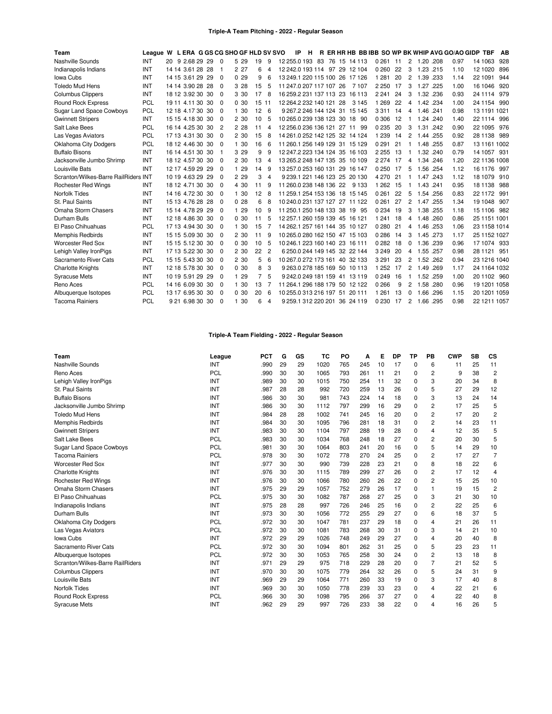## **Triple-A Team Pitching - 2022 - Regular Season**

| Team                                 | League W L ERA G GS CG SHO GF HLD SV SVO |                  |                |       |       |   | IP                      | н |  |                                |          |    |              |             |      | R ER HR HB BB IBB SO WP BK WHIP AVG GO/AO GIDP TBF |          |              | AB  |
|--------------------------------------|------------------------------------------|------------------|----------------|-------|-------|---|-------------------------|---|--|--------------------------------|----------|----|--------------|-------------|------|----------------------------------------------------|----------|--------------|-----|
| Nashville Sounds                     | INT                                      | 20 9 2.68 29 29  | $\Omega$       | 5 29  | 19    | 9 |                         |   |  | 12 255.0 193 83 76 15 14 113   | 0 261 11 |    | 2            | 1.20 .208   |      | 0.97                                               | 14 1063  |              | 928 |
| Indianapolis Indians                 | <b>INT</b>                               | 14 14 3.61 28 28 | -1             | 2 27  | 6     | 4 |                         |   |  | 12 242.0 193 114 97 29 12 104  | 0 260    | 22 | 3            | 1.23 .215   |      | 1.10                                               | 12 10 20 |              | 896 |
| Iowa Cubs                            | INT                                      | 14 15 3.61 29 29 | $\Omega$       | 0.29  | 9     | 6 |                         |   |  | 13 249 1 220 115 100 26 17 126 | 1 2 8 1  | 20 | 2            | 1.39 .233   |      | 1.14                                               | 22 1091  |              | 944 |
| <b>Toledo Mud Hens</b>               | <b>INT</b>                               | 14 14 3.90 28 28 | $\Omega$       | 3 28  | 15    | 5 | 11 247.0 207 117 107 26 |   |  | 7 1 0 7                        | 2 2 5 0  | 17 | 3            | 1.27 .225   |      | 1.00                                               | 16 1046  |              | 920 |
| <b>Columbus Clippers</b>             | INT                                      | 18 12 3.92 30 30 | 0              | 3 30  | 17    | 8 |                         |   |  | 16 259 2 231 137 113 23 16 113 | 2 2 4 1  | 24 | 3            | 1.32 .236   |      | 0.93                                               | 24 1114  |              | 979 |
| <b>Round Rock Express</b>            | <b>PCL</b>                               | 19 11 4.11 30 30 | 0              | 0.30  | 15 11 |   | 12 264 2 232 140 121 28 |   |  | 3 1 4 5                        | 1 2 6 9  | 22 | 4            | 1.42 .234   |      | 1.00                                               |          | 24 1154 990  |     |
| <b>Sugar Land Space Cowboys</b>      | PCL                                      | 12 18 4.17 30 30 | 0              | 1 30  | 12    | 6 |                         |   |  | 9 267.2 246 144 124 31 15 145  | 3311     | 14 | 4            | 1.46 .241   |      | 0.98                                               |          | 13 1191 1021 |     |
| <b>Gwinnett Stripers</b>             | INT                                      | 15 15 4.18 30 30 | 0              | 2 30  | 10    | 5 |                         |   |  | 10 265.0 239 138 123 30 18 90  | 0 3 0 6  | 12 |              | 1.24 .240   |      | 1.40                                               |          | 22 1114 996  |     |
| Salt Lake Bees                       | PCL                                      | 16 14 4.25 30 30 | $\overline{c}$ | 2 2 8 | 11    | 4 |                         |   |  | 12 256.0 236 136 121 27 11 99  | 0235     | 20 | 3            | 1.31 .242   |      | 0.90                                               |          | 22 1095 976  |     |
| Las Vegas Aviators                   | PCL                                      | 17 13 4.31 30 30 | $\Omega$       | 2 30  | 15    | 8 |                         |   |  | 14 261.0 252 142 125 32 14 124 | 1 2 3 9  | 14 | 2            | 1.44        | .255 | 0.92                                               | 28 1138  |              | 989 |
| <b>Oklahoma City Dodgers</b>         | PCL                                      | 18 12 4.46 30 30 | 0              | 1 30  | 16    | 6 |                         |   |  | 11 260 1 256 149 129 31 15 129 | 0 2 9 1  | 21 |              | 1.48 .255   |      | 0.87                                               |          | 13 1161 1002 |     |
| <b>Buffalo Bisons</b>                | INT                                      | 16 14 4.51 30 30 | -1             | 3 29  | 9     | g |                         |   |  | 12 247.2 223 134 124 35 16 103 | 2 2 5 5  | 13 |              | 1.32 .240   |      | 0.79                                               |          | 14 1057 931  |     |
| Jacksonville Jumbo Shrimp            | <b>INT</b>                               | 18 12 4.57 30 30 | 0              | 2 30  | 13    | 4 |                         |   |  | 13 265 2 248 147 135 35 10 109 | 2 2 7 4  | 17 | 4            | 1.34 .246   |      | 1.20                                               |          | 22 1136 1008 |     |
| Louisville Bats                      | INT                                      | 12 17 4.59 29 29 | $\Omega$       | 1 29  | 14    | 9 |                         |   |  | 13 257 0 253 160 131 29 16 147 | 0.250    | 17 | 5            | 1.56 .254   |      | 1.12                                               |          | 16 1176 997  |     |
| Scranton/Wilkes-Barre RailRiders INT |                                          | 10 19 4.63 29 29 | 0              | 2 2 9 | 3     | 4 |                         |   |  | 9 239 1 221 146 123 25 20 130  | 4 2 7 0  | 21 |              | 1.47 .243   |      | 1.12                                               | 18 1079  |              | 910 |
| <b>Rochester Red Wings</b>           | INT                                      | 18 12 4.71 30 30 | 0              | 4 30  | 11    | q | 11 260 0 238 148 136 22 |   |  | 9 1 3 3                        | 1 2 6 2  | 15 |              | 1.43 .241   |      | 0.95                                               | 18 11 38 |              | 988 |
| <b>Norfolk Tides</b>                 | INT                                      | 14 16 4.72 30 30 | - 0            | 1 30  | 12    | 8 |                         |   |  | 11 259.1 254 153 136 18 15 145 | 0261     | 22 | 5            | 1.54 .256   |      | 0.83                                               |          | 22 1172 991  |     |
| St. Paul Saints                      | <b>INT</b>                               | 15 13 4.76 28 28 | 0              | 0.28  | 6     | 8 |                         |   |  | 10 240 0 231 137 127 27 11 122 | 0 2 6 1  | 27 | 2            | 1.47 255    |      | 1.34                                               | 19 1048  |              | 907 |
| Omaha Storm Chasers                  | INT                                      | 15 14 4.78 29 29 | $\Omega$       | 1 29  | 10    | q |                         |   |  | 11 250.1 250 148 133 38 19 95  | 0 2 3 4  | 19 | 3            | 1.38 .255   |      | 1.18                                               |          | 15 1106 982  |     |
| Durham Bulls                         | <b>INT</b>                               | 12 18 4.86 30 30 | $\Omega$       | 0.30  | 11    |   |                         |   |  | 12 257.1 260 159 139 45 16 121 | 1 2 4 1  | 18 | 4            | 1.48 .260   |      | 0.86                                               |          | 25 1151 1001 |     |
| El Paso Chihuahuas                   | PCL                                      | 17 13 4.94 30 30 | $\Omega$       | 1 30  | 15    |   |                         |   |  | 14 262.1 257 161 144 35 10 127 | 0280     | 21 | 4            | 1.46        | .253 | 1.06                                               |          | 23 1158 1014 |     |
| <b>Memphis Redbirds</b>              | INT                                      | 15 15 5.09 30 30 | $\Omega$       | 2 30  | 11    | 9 |                         |   |  | 10 265.0 280 162 150 47 15 103 | 0286     | 14 | 3            | 1.45 .273   |      | 1.17                                               |          | 25 1152 1027 |     |
| <b>Worcester Red Sox</b>             | <b>INT</b>                               | 15 15 5.12 30 30 | 0              | 0.30  | 10    | 5 |                         |   |  | 10 246 1 223 160 140 23 16 111 | 0 2 8 2  | 18 | 0            | 1.36 .239   |      | 0.96                                               |          | 17 1074 933  |     |
| Lehigh Valley IronPigs               | <b>INT</b>                               | 17 13 5.22 30 30 | 0              | 2 30  | 22    | 2 |                         |   |  | 6 250.0 244 149 145 32 22 144  | 3 2 4 9  | 20 | 4            | 1.55 .257   |      | 0.98                                               |          | 28 1121 951  |     |
| Sacramento River Cats                | PCL                                      | 15 15 5.43 30 30 | $\Omega$       | 2 30  | 5     | 6 |                         |   |  | 10 267.0 272 173 161 40 32 133 | 3 2 9 1  | 23 | 2            | 1.52 .262   |      | 0.94                                               |          | 23 1216 1040 |     |
| <b>Charlotte Knights</b>             | INT                                      | 12 18 5.78 30 30 | 0              | 0.30  | 8     | 3 |                         |   |  | 9 263.0 278 185 169 50 10 113  | 1 2 5 2  | 17 | 2            | 1.49 .269   |      | 1.17                                               |          | 24 1164 1032 |     |
| <b>Syracuse Mets</b>                 | INT                                      | 10 19 5.91 29 29 | $\Omega$       | 1 29  |       | 5 |                         |   |  | 9 242.0 249 181 159 41 13 119  | 0249     | 16 | 1            | 1.52 .259   |      | 1.00                                               |          | 20 1102 960  |     |
| Reno Aces                            | <b>PCL</b>                               | 14 16 6.09 30 30 | $\Omega$       | 1 30  | 13    |   |                         |   |  | 11 264 1 296 188 179 50 12 122 | 0266     | 9  |              | 1.58 .280   |      | 0.96                                               |          | 19 1201 1058 |     |
| Albuquerque Isotopes                 | PCL                                      | 13 17 6.95 30 30 | - 0            | 0.30  | 20    | 6 |                         |   |  | 10 255.0 313 216 197 51 20 111 | 1 2 6 1  | 13 | <sup>0</sup> | 1.66        | .296 | 1.15                                               |          | 20 1201 1059 |     |
| <b>Tacoma Rainiers</b>               | PCL                                      | 9 21 6.98 30 30  | $\Omega$       | 1 30  | 6     | 4 |                         |   |  | 9 259 1 312 220 201 36 24 119  | 0 2 3 0  | 17 |              | 2 1.66 .295 |      | 0.98                                               |          | 22 1211 1057 |     |

# **Triple-A Team Fielding - 2022 - Regular Season**

| Team                             | League     | <b>PCT</b> | G  | GS | TC   | PO  | A   | Е  | DP | ΤP          | PB             | <b>CWP</b> | <b>SB</b> | CS             |
|----------------------------------|------------|------------|----|----|------|-----|-----|----|----|-------------|----------------|------------|-----------|----------------|
| Nashville Sounds                 | INT        | .990       | 29 | 29 | 1020 | 765 | 245 | 10 | 17 | 0           | 6              | 11         | 25        | 11             |
| Reno Aces                        | <b>PCL</b> | .990       | 30 | 30 | 1065 | 793 | 261 | 11 | 21 | $\mathbf 0$ | $\overline{2}$ | 9          | 38        | $\overline{2}$ |
| Lehigh Valley IronPigs           | INT        | .989       | 30 | 30 | 1015 | 750 | 254 | 11 | 32 | $\Omega$    | 3              | 20         | 34        | 8              |
| St. Paul Saints                  | INT        | .987       | 28 | 28 | 992  | 720 | 259 | 13 | 26 | 0           | 5              | 27         | 29        | 12             |
| <b>Buffalo Bisons</b>            | INT        | .986       | 30 | 30 | 981  | 743 | 224 | 14 | 18 | 0           | 3              | 13         | 24        | 14             |
| Jacksonville Jumbo Shrimp        | INT        | .986       | 30 | 30 | 1112 | 797 | 299 | 16 | 29 | 0           | 2              | 17         | 25        | 5              |
| <b>Toledo Mud Hens</b>           | <b>INT</b> | .984       | 28 | 28 | 1002 | 741 | 245 | 16 | 20 | $\Omega$    | $\overline{2}$ | 17         | 20        | $\overline{2}$ |
| Memphis Redbirds                 | INT        | .984       | 30 | 30 | 1095 | 796 | 281 | 18 | 31 | 0           | 2              | 14         | 23        | 11             |
| <b>Gwinnett Stripers</b>         | INT        | .983       | 30 | 30 | 1104 | 797 | 288 | 19 | 28 | 0           | 4              | 12         | 35        | 5              |
| Salt Lake Bees                   | <b>PCL</b> | .983       | 30 | 30 | 1034 | 768 | 248 | 18 | 27 | 0           | 2              | 20         | 30        | 5              |
| <b>Sugar Land Space Cowboys</b>  | PCL        | .981       | 30 | 30 | 1064 | 803 | 241 | 20 | 16 | 0           | 5              | 14         | 29        | 10             |
| <b>Tacoma Rainiers</b>           | <b>PCL</b> | .978       | 30 | 30 | 1072 | 778 | 270 | 24 | 25 | 0           | $\overline{2}$ | 17         | 27        | $\overline{7}$ |
| <b>Worcester Red Sox</b>         | INT        | .977       | 30 | 30 | 990  | 739 | 228 | 23 | 21 | 0           | 8              | 18         | 22        | 6              |
| <b>Charlotte Knights</b>         | INT        | .976       | 30 | 30 | 1115 | 789 | 299 | 27 | 26 | 0           | 2              | 17         | 12        | 4              |
| <b>Rochester Red Wings</b>       | INT        | .976       | 30 | 30 | 1066 | 780 | 260 | 26 | 22 | 0           | 2              | 15         | 25        | 10             |
| Omaha Storm Chasers              | INT        | .975       | 29 | 29 | 1057 | 752 | 279 | 26 | 17 | 0           |                | 19         | 15        | $\overline{2}$ |
| El Paso Chihuahuas               | <b>PCL</b> | .975       | 30 | 30 | 1082 | 787 | 268 | 27 | 25 | 0           | 3              | 21         | 30        | 10             |
| Indianapolis Indians             | INT        | .975       | 28 | 28 | 997  | 726 | 246 | 25 | 16 | 0           | 2              | 22         | 25        | 6              |
| Durham Bulls                     | INT        | .973       | 30 | 30 | 1056 | 772 | 255 | 29 | 27 | 0           | 6              | 18         | 37        | 5              |
| Oklahoma City Dodgers            | PCL        | .972       | 30 | 30 | 1047 | 781 | 237 | 29 | 18 | 0           | 4              | 21         | 26        | 11             |
| Las Vegas Aviators               | <b>PCL</b> | .972       | 30 | 30 | 1081 | 783 | 268 | 30 | 31 | 0           | 3              | 14         | 21        | 10             |
| Iowa Cubs                        | INT        | .972       | 29 | 29 | 1026 | 748 | 249 | 29 | 27 | 0           | 4              | 20         | 40        | 8              |
| Sacramento River Cats            | <b>PCL</b> | .972       | 30 | 30 | 1094 | 801 | 262 | 31 | 25 | 0           | 5              | 23         | 23        | 11             |
| Albuquerque Isotopes             | <b>PCL</b> | .972       | 30 | 30 | 1053 | 765 | 258 | 30 | 24 | $\Omega$    | $\overline{2}$ | 13         | 18        | 8              |
| Scranton/Wilkes-Barre RailRiders | INT        | .971       | 29 | 29 | 975  | 718 | 229 | 28 | 20 | 0           | 7              | 21         | 52        | 5              |
| <b>Columbus Clippers</b>         | INT        | .970       | 30 | 30 | 1075 | 779 | 264 | 32 | 26 | 0           | 5              | 24         | 31        | 9              |
| Louisville Bats                  | <b>INT</b> | .969       | 29 | 29 | 1064 | 771 | 260 | 33 | 19 | $\Omega$    | 3              | 17         | 40        | 8              |
| <b>Norfolk Tides</b>             | INT        | .969       | 30 | 30 | 1050 | 778 | 239 | 33 | 23 | $\mathbf 0$ | 4              | 22         | 21        | 6              |
| <b>Round Rock Express</b>        | <b>PCL</b> | .966       | 30 | 30 | 1098 | 795 | 266 | 37 | 27 | 0           | 4              | 22         | 40        | 8              |
| <b>Syracuse Mets</b>             | INT        | .962       | 29 | 29 | 997  | 726 | 233 | 38 | 22 | 0           | 4              | 16         | 26        | 5              |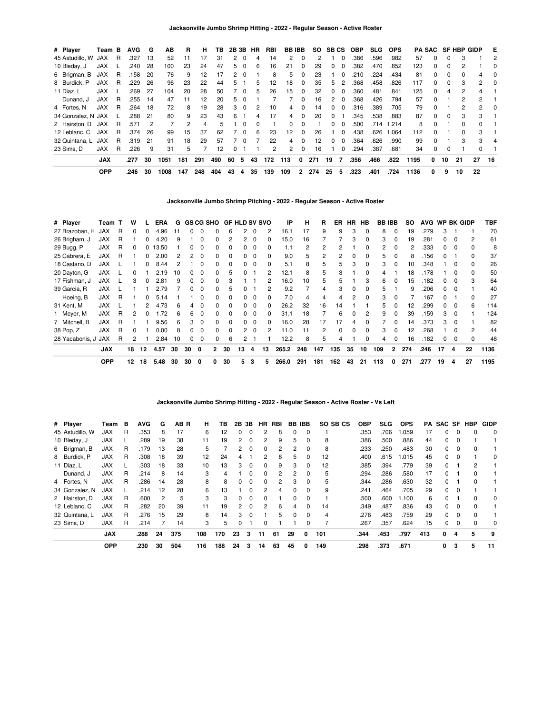| # Player            | Team B     |     | <b>AVG</b> | G              | AВ   | R             | н   | TB. | 2B 3B |          | HR       | RBI | <b>BB IBB</b> |          | <b>SO</b> |               | SB CS |          | OBP  | <b>SLG</b> | <b>OPS</b> |      |              |              | PA SAC SF HBP GIDP |              | E        |
|---------------------|------------|-----|------------|----------------|------|---------------|-----|-----|-------|----------|----------|-----|---------------|----------|-----------|---------------|-------|----------|------|------------|------------|------|--------------|--------------|--------------------|--------------|----------|
| 45 Astudillo, W JAX |            | R   | .327       | 13             | 52   | 11            | 17  | 31  | 2     | $\Omega$ |          | 14  | $\mathbf{2}$  | 0        |           | $\mathcal{P}$ |       | $\Omega$ | .386 | .596       | .982       | 57   | $\Omega$     | 0            | З                  |              | 2        |
| 10 Bleday, J        | JAX        |     | .240       | 28             | 100  | 23            | 24  | 47  | 5.    | 0        | 6        | 16  | 21            | 0        | 29        |               | 0     | $\Omega$ | .382 | .470       | .852       | 123  | $\Omega$     | <sup>0</sup> |                    |              | $\Omega$ |
| 6 Brigman, B        | JAX        | R   | .158       | -20            | 76   | 9             | 12  | 17  | 2     | - 0      |          | 8   | 5             | $\Omega$ | 23        |               |       | $\Omega$ | .210 | .224       | .434       | 81   | $\Omega$     | $\Omega$     | 0                  | 4            | 0        |
| 8 Burdick, P        | JAX        | - R | .229       | 26             | 96   | 23            | 22  | 44  | 5     |          | 5        | 12  | 18            | $\Omega$ | 35        |               | 5     | 2        | .368 | .458       | .826       | 117  | $\Omega$     | $\Omega$     | 3                  | 2            | 0        |
| 11 Díaz. L          | JAX        |     | .269       | 27             | 104  | 20            | 28  | 50  |       | $\Omega$ | 5        | 26  | 15            | $\Omega$ | 32        |               | 0     | $\Omega$ | .360 | .481       | .841       | 125  | $\Omega$     | 4            | 2                  | 4            |          |
| Dunand, J           | <b>JAX</b> | R   | .255       | 14             | 47   | 11            | 12  | 20  | 5     | $\Omega$ |          |     |               | 0        | 16        |               | 2     | $\Omega$ | .368 | .426       | .794       | 57   | $\Omega$     |              | 2                  | $\mathbf{2}$ |          |
| 4 Fortes, N         | JAX        | R   | .264       | 18             | 72   | 8             | 19  | 28  | 3     | $\Omega$ | 2        | 10  | 4             | $\Omega$ | 14        |               | 0     | $\Omega$ | .316 | .389       | .705       | 79   | 0            |              |                    | 2            | $\Omega$ |
| 34 Gonzalez, N JAX  |            |     | .288       | 21             | 80   | 9             | 23  | 43  | 6     |          | 4        | 17  | 4             | $\Omega$ | 20        |               | 0     |          | .345 | .538       | .883       | 87   | $\Omega$     | $\Omega$     | 3                  | 3            |          |
| 2 Hairston, D JAX   |            | R   | .571       | $\overline{2}$ | 7    | $\mathcal{P}$ | 4   | 5   |       | $\Omega$ | $\Omega$ |     | <sup>0</sup>  | $\Omega$ |           |               | O.    | $\Omega$ | .500 | .714       | 1.214      | 8    | $\Omega$     |              | 0                  | $\Omega$     |          |
| 12 Leblanc, C       | JAX        | R   | .374       | 26             | 99   | 15            | 37  | 62  |       | $\Omega$ | 6        | 23  | 12            | $\Omega$ | 26        |               |       | $\Omega$ | .438 | .626       | 1.064      | 112  | <sup>0</sup> |              |                    | 3            |          |
| 32 Quintana, L JAX  |            | R   | .319       | -21            | 91   | 18            | 29  | 57  |       | $\Omega$ |          | 22  | 4             | $\Omega$ | 12        |               | 0     | $\Omega$ | .364 | .626       | .990       | 99   | $\Omega$     |              | 3                  | 3            | 4        |
| 23 Sims. D          | JAX        | R   | .226       | 9              | 31   | 5             |     | 12  | 0     |          |          | 2   | $\mathbf{2}$  | $\Omega$ | 16        |               |       | $\Omega$ | .294 | .387       | .681       | 34   | $\Omega$     | 0            |                    | <sup>0</sup> |          |
|                     | <b>JAX</b> |     | .277       | 30             | 1051 | 181           | 291 | 490 | 60    | 5        | 43       | 172 | 113           | 0        | 271       |               | 19    |          | .356 | .466       | .822       | 1195 | 0            | 10           | 21                 | 27           | -16      |
|                     | <b>OPP</b> |     | .246       | 30             | 1008 | 147           | 248 | 404 | 43    | 4        | 35       | 139 | 109           | 2        | 274       |               | 25    | 5        | .323 | .401       | .724       | 1136 | 0            | 9            | 10                 | 22           |          |

# **Jacksonville Jumbo Shrimp Pitching - 2022 - Regular Season - Active Roster**

| # Player            | Team T     |   | W        |          | ERA   | G  |          |              |              | <b>GS CG SHO GF HLD SV SVO</b> |                |          |          | IP    | н   | R   | ER       | HR. | HB           |     | <b>BB IBB</b>  | SO. | <b>AVG</b> |              |          | WP BK GIDP     | TBF  |
|---------------------|------------|---|----------|----------|-------|----|----------|--------------|--------------|--------------------------------|----------------|----------|----------|-------|-----|-----|----------|-----|--------------|-----|----------------|-----|------------|--------------|----------|----------------|------|
| 27 Brazoban, H      | JAX        | R | 0        | 0        | 4.96  | 11 | 0        | $\Omega$     | 0            | 6                              | 2              | 0        | 2        | 16.1  | 17  | 9   | 9        | 3   | $\Omega$     | 8   | $\Omega$       | 19  | .279       | 3            |          |                | 70   |
| 26 Brigham, J       | <b>JAX</b> | R |          | 0        | 4.20  | 9  |          | $\Omega$     | 0            |                                | 2              | $\Omega$ | 0        | 15.0  | 16  |     |          | 3   | $\Omega$     | 3   | $\Omega$       | 19  | .281       | 0            | - 0      | $\overline{2}$ | 61   |
| 29 Bugg, P          | <b>JAX</b> | R | 0        | 0        | 13.50 |    | 0        | 0            | 0            | <sup>0</sup>                   | 0              |          | 0        | 1.1   | 2   | 2   | 2        |     | 0            | 2   | $\Omega$       | 2   | .333       | 0            | 0        | $\Omega$       | 8    |
| 25 Cabrera, E       | <b>JAX</b> | R |          |          | 2.00  |    |          | $\Omega$     | 0            | $\Omega$                       | 0              |          | 0        | 9.0   | 5   | 2   | 2        | U   | <sup>0</sup> | 5   | <sup>0</sup>   | 8   | 156        | <sup>n</sup> |          | $\Omega$       | 37   |
| 18 Castano, D       | <b>JAX</b> |   |          |          | 8.44  |    |          | 0            | <sup>0</sup> | $\Omega$                       |                |          | 0        | 5.1   | 8   | 5   | 5        | 3   | $\Omega$     | 3   | O              | 10  | .348       |              |          | $\Omega$       | 26   |
| 20 Dayton, G        | <b>JAX</b> |   |          |          | 2.19  | 10 | 0        | 0            | <sup>0</sup> | 5                              |                |          | 2        | 12.1  | 8   | 5   | 3        |     | <sup>0</sup> | 4   |                | 18  | .178       |              |          | 0              | 50   |
| 17 Fishman, J       | <b>JAX</b> |   | 3        |          | 2.81  | 9  | 0        | 0            | 0            |                                |                |          | 2        | 16.0  | 10  | 5   | 5        |     |              | 6   | $\Omega$       | 15  | .182       |              |          | 3              | 64   |
| 39 Garcia, R        | <b>JAX</b> |   |          |          | 2.79  |    | $\Omega$ | 0            | 0            | 5                              |                |          | 2        | 9.2   |     | 4   | 3        | 0   | 0            | 5   |                | 9   | .206       |              |          |                | 40   |
| Hoeing, B           | <b>JAX</b> | R |          | 0        | 5.14  |    |          | $\Omega$     | 0            | $\Omega$                       | 0              | 0        | $\Omega$ | 7.0   | 4   | 4   | 4        | 2   | $\Omega$     | 3   | $\Omega$       |     | .167       |              |          | $\Omega$       | 27   |
| 31 Kent, M          | <b>JAX</b> |   |          |          | 4.73  | 6  | 4        | 0            | <sup>0</sup> | $\Omega$                       | 0              | - 0      | 0        | 26.2  | 32  | 16  | 14       |     |              | 5   | <sup>0</sup>   | 12  | .299       | $\Omega$     | 0        | 6              | 114  |
| 1 Meyer, M          | <b>JAX</b> | R | 2        | $\Omega$ | 1.72  | 6  | 6        | $\Omega$     | 0            | $\Omega$                       | $\Omega$       | $\Omega$ | $\Omega$ | 31.1  | 18  |     | 6        | 0   | 2            | 9   | $\Omega$       | 39  | .159       | 3            | $\Omega$ |                | 124  |
| 7 Mitchell, B       | <b>JAX</b> | R |          |          | 9.56  | 6  | 3        | $\Omega$     | 0            | $\Omega$                       | $\Omega$       | $\Omega$ | $\Omega$ | 16.0  | 28  | 17  | 17       | 4   | $\Omega$     |     | $\Omega$       | 14  | .373       | 3            | $\Omega$ |                | 82   |
| 38 Pop, Z           | <b>JAX</b> | R | $\Omega$ |          | 0.00  | 8  | 0        | $\Omega$     | 0            | $\Omega$                       | $\overline{2}$ | $\Omega$ | 2        | 11.0  | 11  | 2   | $\Omega$ | 0   | $\Omega$     | 3   | $\Omega$       | 12  | .268       |              |          | 2              | 44   |
| 28 Yacabonis, J JAX |            | R | 2        |          | 2.84  | 10 | 0        | 0            | 0            | 6                              | 2              |          |          | 12.2  | 8   | 5   | 4        |     | $\Omega$     | 4   | <sup>0</sup>   | 16  | .182       | 0            | $\Omega$ | $\Omega$       | 48   |
|                     | <b>JAX</b> |   | 18       | 12       | 4.57  | 30 | 30       | $\mathbf{0}$ | 2            | 30                             | 13             | 4        | 13       | 265.2 | 248 | 147 | 135      | 35  | 10           | 109 | $\overline{2}$ | 274 | .246       | 17           | 4        | 22             | 1136 |
|                     | <b>OPP</b> |   | 12       | 18       | 5.48  | 30 | 30       | 0            | 0            | 30                             | 5.             | 3        | 5        | 266.0 | 291 | 181 | 162      | 43  | 21           | 113 | 0              | 271 | .277       | 19           | 4        | 27             | 1195 |

## **Jacksonville Jumbo Shrimp Hitting - 2022 - Regular Season - Active Roster - Vs Left**

| # Player        | Team       | в | <b>AVG</b> | G  | AB R | н.  | TB. |          | 2B 3B    | HR.           | RBI | BB | <b>IBB</b> | SO SB CS | <b>OBP</b> | <b>SLG</b> | <b>OPS</b> | PA. |          |          | SAC SF HBP   | <b>GIDP</b> |
|-----------------|------------|---|------------|----|------|-----|-----|----------|----------|---------------|-----|----|------------|----------|------------|------------|------------|-----|----------|----------|--------------|-------------|
| 45 Astudillo, W | JAX        | R | .353       | 8  | 17   | 6   | 12  | 0        | $\Omega$ |               | 8   | 0  | $\Omega$   |          | .353       | .706       | .059       | 17  | 0        | 0        |              | $\Omega$    |
| 10 Bleday, J    | <b>JAX</b> |   | .289       | 19 | 38   | 11  | 19  | 2        | $\Omega$ | 2             | 9   | 5  | 0          | 8        | .386       | .500       | .886       | 44  | 0        | $\Omega$ |              |             |
| 6 Brigman, B    | <b>JAX</b> | R | .179       | 13 | 28   | 5   |     | 2        | $\Omega$ | $\Omega$      | 2   | 2  | $\Omega$   | 8        | .233       | .250       | .483       | 30  | 0        | $\Omega$ | <sup>0</sup> |             |
| 8 Burdick, P    | <b>JAX</b> | R | .308       | 18 | 39   | 12  | 24  | 4        |          | 2             | 8   | 5  | 0          | 12       | .400       | .615       | .015       | 45  | 0        | 0        |              | 0           |
| 11 Díaz, L      | <b>JAX</b> |   | .303       | 18 | 33   | 10  | 13  | 3        | $\Omega$ | $\Omega$      | 9   | 3  | $\Omega$   | 12       | .385       | .394       | .779       | 39  | 0        |          | 2            |             |
| Dunand, J       | JAX        | R | .214       | 8  | 14   | 3   | 4   |          | $\Omega$ | $\Omega$      | 2   | 2  | 0          | 5        | .294       | .286       | .580       | 17  | 0        |          |              |             |
| 4 Fortes, N     | <b>JAX</b> | R | .286       | 14 | 28   | 8   | 8   | 0        | $\Omega$ | $\Omega$      | 2   | 3  | $\Omega$   | 5        | .344       | .286       | .630       | 32  | 0        |          | <sup>0</sup> |             |
| 34 Gonzalez, N  | <b>JAX</b> |   | .214       | 12 | 28   | 6   | 13  |          | $\Omega$ | $\mathcal{P}$ | 4   | 0  | $\Omega$   | 9        | .241       | .464       | .705       | 29  | 0        | $\Omega$ |              |             |
| 2 Hairston, D   | <b>JAX</b> | R | .600       | 2  | 5    | 3   | 3   | $\Omega$ | $\Omega$ | $\Omega$      |     | 0  | $\Omega$   |          | .500       | .600       | 1.100      | 6   | 0        |          | 0            | 0           |
| 12 Leblanc, C   | <b>JAX</b> | R | .282       | 20 | 39   | 11  | 19  | 2        | $\Omega$ | $\mathcal{P}$ | 6   | 4  | $\Omega$   | 14       | .349       | .487       | .836       | 43  | 0        | $\Omega$ | $\Omega$     |             |
| 32 Quintana, L  | <b>JAX</b> | R | .276       | 15 | 29   | 8   | 14  | 3        | $\Omega$ |               | 5   | 0  | $\Omega$   | 4        | .276       | .483       | .759       | 29  | $\Omega$ | $\Omega$ | $\Omega$     |             |
| 23 Sims, D      | JAX        | R | .214       |    | 14   | 3   | 5   | 0        |          | $\Omega$      |     |    | 0          |          | .267       | .357       | .624       | 15  | 0        | $\Omega$ | $\Omega$     | 0           |
|                 | <b>JAX</b> |   | .288       | 24 | 375  | 108 | 170 | 23       | 3        | 11            | 61  | 29 | 0          | 101      | .344       | .453       | .797       | 413 | 0        | 4        | 5            | 9           |
|                 | <b>OPP</b> |   | .230       | 30 | 504  | 116 | 188 | 24       | з        | 14            | 63  | 45 | 0          | 149      | .298       | .373       | .671       |     | 0        | 3        | 5            | 11          |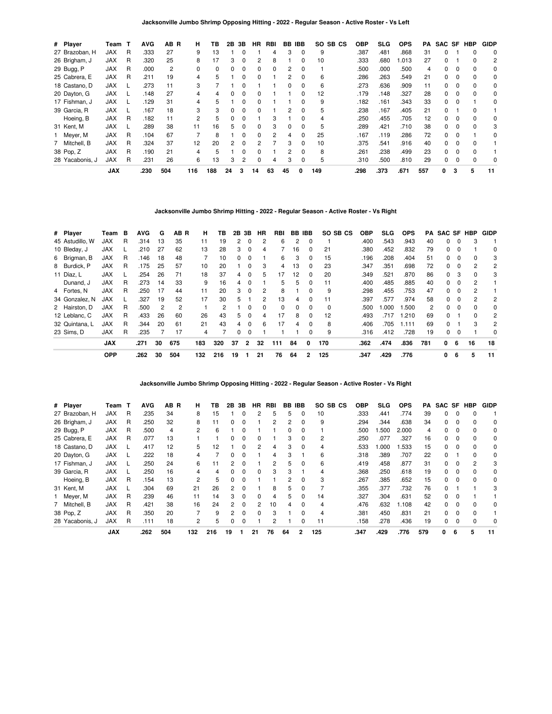| # Player        | Team T     |   | <b>AVG</b> | AB R | н   | ΤВ  | 2В | 3В | HR.          | RBI      | BB       | <b>IBB</b>   | SO SB CS | <b>OBP</b> | SLG  | <b>OPS</b> | РA  | SAC SF |          | <b>HBP</b> | <b>GIDP</b> |
|-----------------|------------|---|------------|------|-----|-----|----|----|--------------|----------|----------|--------------|----------|------------|------|------------|-----|--------|----------|------------|-------------|
| 27 Brazoban, H  | <b>JAX</b> | R | .333       | 27   | 9   | 13  |    |    |              |          | З        | 0            | 9        | .387       | .481 | 868.       | 31  | 0      |          | 0          | 0           |
| 26 Brigham, J   | <b>JAX</b> | R | .320       | 25   | 8   |     | 3  | 0  |              | 8        |          |              | 10       | .333       | .680 | .013       | 27  | 0      |          |            | 2           |
| 29 Bugg, P      | <b>JAX</b> | R | .000       | 2    | 0   | 0   | 0  | 0  | 0            | $\Omega$ | 2        | 0            |          | .500       | .000 | .500       | 4   | 0      | 0        | $\Omega$   | 0           |
| 25 Cabrera, E   | <b>JAX</b> | R | .211       | 19   | 4   | 5   |    | 0  | <sup>0</sup> |          | 2        | <sup>0</sup> | 6        | .286       | .263 | .549       | 21  | 0      |          |            | 0           |
| 18 Castano, D   | <b>JAX</b> |   | .273       | 11   | 3   |     |    |    |              |          |          |              | 6        | .273       | .636 | .909       | 11  | 0      |          |            | 0           |
| 20 Dayton, G    | <b>JAX</b> |   | .148       | 27   | 4   | 4   |    | 0  | 0            |          |          |              | 12       | .179       | .148 | .327       | 28  | 0      | 0        | 0          | 0           |
| 17 Fishman, J   | <b>JAX</b> |   | .129       | 31   | 4   | 5   |    | 0  | <sup>0</sup> |          |          | 0            | 9        | .182       | .161 | .343       | 33  | 0      |          |            | 0           |
| 39 Garcia, R    | <b>JAX</b> |   | .167       | 18   | 3   | 3   |    | ŋ  | <sup>0</sup> |          | 2        |              | 5        | .238       | .167 | .405       | 21  | 0      |          |            |             |
| Hoeing, B       | <b>JAX</b> | R | .182       | 11   | 2   | 5   |    | 0  |              | З        |          |              |          | .250       | .455 | .705       | 12  | 0      |          |            | 0           |
| 31 Kent, M      | <b>JAX</b> |   | .289       | 38   | 11  | 16  | 5. | 0  | <sup>0</sup> | 3        | $\Omega$ | 0            | 5        | .289       | .421 | .710       | 38  | 0      | $\Omega$ | $\Omega$   | 3           |
| Meyer, M        | <b>JAX</b> | R | .104       | 67   |     | 8   |    | 0  | <sup>0</sup> | 2        | 4        | $\Omega$     | 25       | .167       | .119 | .286       | 72  | 0      |          |            | 0           |
| 7 Mitchell, B   | <b>JAX</b> | R | .324       | 37   | 12  | 20  | 2  | 0  |              |          | 3        |              | 10       | .375       | .541 | .916       | 40  | 0      |          |            |             |
| 38 Pop, Z       | <b>JAX</b> | R | .190       | 21   | 4   | 5   |    | 0  | <sup>0</sup> |          | 2        | 0            | 8        | .261       | .238 | .499       | 23  | 0      | $\Omega$ | $\Omega$   |             |
| 28 Yacabonis, J | <b>JAX</b> | R | .231       | 26   | 6   | 13  | 3  | 2  | <sup>0</sup> | 4        | 3        | 0            | 5        | .310       | .500 | .810       | 29  | 0      |          |            | 0           |
|                 | <b>JAX</b> |   | .230       | 504  | 116 | 188 | 24 | 3  | 14           | 63       | 45       | 0            | 149      | .298       | .373 | .671       | 557 | 0      | 3        | 5          | 11          |

**Jacksonville Jumbo Shrimp Hitting - 2022 - Regular Season - Active Roster - Vs Right**

| # Player        | Team       | в | <b>AVG</b> | G   | AB R           | н   | ΤВ             |                | 2B 3B        | HR | RBI      |    | BB IBB       | SO SB CS | <b>OBP</b> | <b>SLG</b> | <b>OPS</b> | PA  | SAC SF HBP |          |              | <b>GIDP</b>    |
|-----------------|------------|---|------------|-----|----------------|-----|----------------|----------------|--------------|----|----------|----|--------------|----------|------------|------------|------------|-----|------------|----------|--------------|----------------|
| 45 Astudillo. W | <b>JAX</b> | R | .314       | 13  | 35             | 11  | 19             | $\overline{2}$ | $\Omega$     | 2  | 6        | 2  | $\Omega$     |          | .400       | .543       | .943       | 40  | 0          | $\Omega$ | 3            |                |
| 10 Bleday, J    | <b>JAX</b> |   | .210       | -27 | 62             | 13  | 28             | 3              | $\Omega$     | 4  |          | 16 | $\Omega$     | 21       | .380       | .452       | .832       | 79  | 0          | 0        |              | 0              |
| 6 Brigman, B    | <b>JAX</b> | R | .146       | 18  | 48             |     | 10             | 0              | $\Omega$     |    | 6        | 3  | $\Omega$     | 15       | .196       | .208       | .404       | 51  | $\Omega$   | $\Omega$ | 0            | 3              |
| 8 Burdick, P    | <b>JAX</b> | R | .175       | 25  | 57             | 10  | 20             |                | <sup>0</sup> | 3  | 4        | 13 | $\Omega$     | 23       | .347       | .351       | .698       | 72  | 0          |          | 2            | 2              |
| 11 Díaz, L      | <b>JAX</b> |   | .254       | 26  | 71             | 18  | 37             | 4              | $\Omega$     | 5  | 17       | 12 | 0            | 20       | .349       | .521       | .870       | 86  | $\Omega$   | 3        | 0            | 3              |
| Dunand, J       | <b>JAX</b> | R | .273       | 14  | 33             | 9   | 16             | 4              | $\Omega$     |    | 5        | 5  | 0            | 11       | .400       | .485       | .885       | 40  | 0          | $\Omega$ | 2            |                |
| 4 Fortes, N     | <b>JAX</b> | R | .250       | 17  | 44             | 11  | 20             | 3              | $\Omega$     | 2  | 8        |    | $\Omega$     | 9        | .298       | .455       | .753       | 47  | 0          | 0        | 2            |                |
| 34 Gonzalez, N  | <b>JAX</b> |   | .327       | 19  | 52             | 17  | 30             | 5              |              | 2  | 13       | 4  | $\Omega$     | 11       | .397       | .577       | .974       | 58  | $\Omega$   | $\Omega$ | 2            | 2              |
| 2 Hairston, D   | <b>JAX</b> | R | .500       | 2   | $\mathfrak{p}$ |     | $\overline{2}$ |                | $\Omega$     | 0  | $\Omega$ | 0  | $\Omega$     | $\Omega$ | .500       | .000       | .500       | 2   | 0          | $\Omega$ | <sup>0</sup> | 0              |
| 12 Leblanc, C   | <b>JAX</b> | R | .433       | 26  | 60             | 26  | 43             | 5              | $\Omega$     | 4  | 17       | 8  | 0            | 12       | .493       | .717       | .210       | 69  | 0          |          | 0            | 2              |
| 32 Quintana, L  | <b>JAX</b> | R | .344       | 20  | 61             | 21  | 43             | 4              | $\Omega$     | 6  | 17       | 4  | $\Omega$     | 8        | .406       | .705       | .111       | 69  | 0          |          | 3            | $\overline{2}$ |
| 23 Sims. D      | <b>JAX</b> | R | .235       |     | 17             | 4   |                | 0              | 0            |    |          |    | 0            | 9        | .316       | .412       | .728       | 19  | 0          | $\Omega$ |              | 0              |
|                 | <b>JAX</b> |   | .271       | 30  | 675            | 183 | 320            | 37             | $\mathbf{2}$ | 32 | 111      | 84 | $\mathbf{0}$ | 170      | .362       | .474       | .836       | 781 | 0          | 6        | 16           | 18             |
|                 | <b>OPP</b> |   | .262       | 30  | 504            | 132 | 216            | 19             |              | 21 | 76       | 64 | 2            | 125      | .347       | .429       | .776       |     | 0          | 6        | 5            | 11             |

**Jacksonville Jumbo Shrimp Opposing Hitting - 2022 - Regular Season - Active Roster - Vs Right**

| # Player        | Team       | ா | <b>AVG</b> | AB R | н   | ΤВ  | 2Β             | 3В       | HR           | RBI | BB           | IBB          | SO SB CS | <b>OBP</b> | SLG  | <b>OPS</b> | PA  |    |              | SAC SF HBP | <b>GIDP</b> |
|-----------------|------------|---|------------|------|-----|-----|----------------|----------|--------------|-----|--------------|--------------|----------|------------|------|------------|-----|----|--------------|------------|-------------|
| 27 Brazoban, H  | JAX        | R | .235       | 34   | 8   | 15  |                |          |              | 5   | 5            | 0            | 10       | .333       | .441 | .774       | 39  | 0  |              |            |             |
| 26 Brigham, J   | <b>JAX</b> | R | .250       | 32   | 8   | 11  | 0              | 0        |              | 2   | 2            | 0            | 9        | .294       | .344 | .638       | 34  | 0  | 0            |            | 0           |
| 29 Bugg, P      | <b>JAX</b> | R | .500       | 4    | 2   | 6   |                | ŋ        |              |     | <sup>0</sup> | 0            |          | .500       | .500 | 2.000      | 4   | 0  |              |            | 0           |
| 25 Cabrera, E   | <b>JAX</b> | R | .077       | 13   |     |     |                | ŋ        |              |     | з            | <sup>0</sup> | 2        | .250       | .077 | .327       | 16  | O. |              |            | 0           |
| 18 Castano, D   | <b>JAX</b> |   | .417       | 12   | 5   | 12  |                | 0        |              | 4   | 3            | 0            |          | .533       | .000 | .533       | 15  | 0  |              |            | 0           |
| 20 Dayton, G    | <b>JAX</b> |   | .222       | 18   | 4   |     | <sup>0</sup>   | 0        |              | 4   | 3            |              | 6        | .318       | .389 | .707       | 22  | 0  |              | $\Omega$   | $\Omega$    |
| 17 Fishman, J   | <b>JAX</b> |   | .250       | 24   | 6   |     |                | ŋ        |              | 2   | 5            | 0            | 6        | .419       | .458 | .877       | 31  | 0  |              | 2          | 3           |
| 39 Garcia, R    | <b>JAX</b> |   | .250       | 16   | 4   | 4   |                | 0        | 0            | 3   | з            |              |          | .368       | .250 | .618       | 19  | 0  |              |            | 0           |
| Hoeing, B       | <b>JAX</b> | R | .154       | 13   | 2   | 5   | 0              | 0        |              |     | 2            | 0            | 3        | .267       | .385 | .652       | 15  | 0  |              |            | 0           |
| 31 Kent, M      | <b>JAX</b> |   | .304       | 69   | 21  | 26  | $\overline{2}$ | ŋ        |              | 8   | 5.           | $\Omega$     |          | .355       | .377 | .732       | 76  | 0  |              |            | 3           |
| Meyer, M        | <b>JAX</b> | R | .239       | 46   | 11  | 14  | 3              | 0        |              | 4   | 5.           | <sup>0</sup> | 14       | .327       | .304 | .631       | 52  | 0  |              |            |             |
| 7 Mitchell, B   | <b>JAX</b> | R | .421       | 38   | 16  | 24  | 2              | 0        |              | 10  |              | 0            |          | .476       | .632 | 1.108      | 42  | 0  |              |            | 0           |
| 38 Pop, Z       | <b>JAX</b> | R | .350       | 20   |     | 9   | 2              | $\Omega$ | <sup>0</sup> | 3   |              | <sup>0</sup> | 4        | .381       | .450 | .831       | 21  | 0  | $\Omega$     |            |             |
| 28 Yacabonis, J | <b>JAX</b> | R | .111       | 18   | 2   | 5   | 0              | 0        |              | 2   |              | 0            | 11       | .158       | .278 | .436       | 19  | 0  | <sup>0</sup> |            | $\Omega$    |
|                 | <b>JAX</b> |   | .262       | 504  | 132 | 216 | 19             |          | 21           | 76  | 64           | 2            | 125      | .347       | .429 | .776       | 579 | 0  | 6            | 5          | 11          |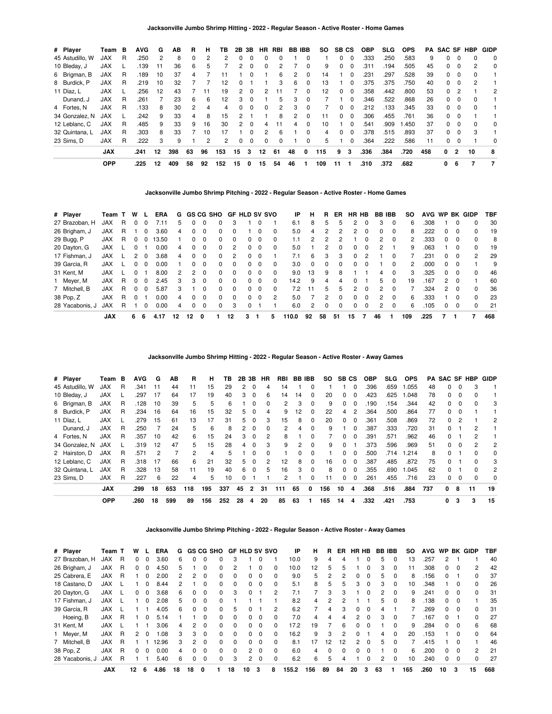| # Player        | Team       | в | <b>AVG</b> | G  | AВ  | R  | н  | ΤВ  | 2Β           | 3В       | HR           | RBI | BB IBB |              | SO. | SB CS    |          | <b>OBP</b> | SLG. | <b>OPS</b> | PA. | <b>SAC SF HBP</b> |          |    | <b>GIDP</b> |
|-----------------|------------|---|------------|----|-----|----|----|-----|--------------|----------|--------------|-----|--------|--------------|-----|----------|----------|------------|------|------------|-----|-------------------|----------|----|-------------|
| 45 Astudillo, W | <b>JAX</b> | R | .250       | 2  | 8   | 0  | 2  | 2   | 0            | 0        | $\Omega$     | 0   |        |              |     | 0        | $\Omega$ | .333       | .250 | .583       | 9   | $\Omega$          | 0        | 0  | 0           |
| 10 Bleday, J    | JAX        |   | .139       | 11 | 36  | 6  | 5  |     | 2            | $\Omega$ | <sup>0</sup> | 2   |        | <sup>0</sup> | 9   |          | $\Omega$ | .311       | .194 | .505       | 45  | 0                 | $\Omega$ | 2  | 0           |
| 6 Brigman, B    | <b>JAX</b> | R | .189       | 10 | 37  | 4  |    |     |              | $\Omega$ |              | 6   | 2      | $\Omega$     | 14  |          | $\Omega$ | .231       | .297 | .528       | 39  | $\Omega$          | $\Omega$ | 0  |             |
| 8 Burdick, P    | <b>JAX</b> | R | .219       | 10 | 32  |    |    | 12  | <sup>0</sup> |          |              | 3   | 6      | $\Omega$     | 13  |          | $\Omega$ | .375       | .375 | .750       | 40  | 0                 | $\Omega$ | 2  |             |
| 11 Díaz, L      | <b>JAX</b> |   | .256       | 12 | 43  |    | 11 | 19  | 2            | $\Omega$ |              |     |        | 0            | 12  | 0        | $\Omega$ | .358       | .442 | .800       | 53  | $\Omega$          | 2        |    | 2           |
| Dunand, J       | <b>JAX</b> | R | .261       |    | 23  | 6  | 6  | 12  | 3            | $\Omega$ |              | 5   | 3      | $\Omega$     |     |          | $\Omega$ | .346       | .522 | .868       | 26  | 0                 | $\Omega$ |    |             |
| 4 Fortes, N     | <b>JAX</b> | R | .133       | 8  | 30  | 2  | 4  | 4   | 0            | $\Omega$ | $\Omega$     | 2   | 3      | $\Omega$     |     | $^{(1)}$ | $\Omega$ | .212       | .133 | .345       | 33  | 0                 | $\Omega$ | 0  |             |
| 34 Gonzalez, N  | <b>JAX</b> |   | .242       | 9  | 33  | 4  | 8  | 15  | 2            |          |              | 8   | 2      | $\Omega$     | 11  |          | $\Omega$ | .306       | .455 | .761       | 36  | 0                 | $\Omega$ |    |             |
| 12 Leblanc, C   | <b>JAX</b> | R | .485       | 9  | 33  | 9  | 16 | 30  | $\mathbf{2}$ | $\Omega$ |              | 11  | 4      | $\Omega$     | 10  |          | $\Omega$ | .541       | .909 | .450       | 37  | 0                 | $\Omega$ | 0  | 0           |
| 32 Quintana, L  | <b>JAX</b> | R | .303       | 8  | 33  |    | 10 | 17  |              | $\Omega$ | 2            | 6   |        | $\Omega$     | 4   |          | $\Omega$ | .378       | .515 | .893       | 37  | 0                 | $\Omega$ | 3  |             |
| 23 Sims, D      | <b>JAX</b> | R | .222       | 3  | 9   |    | 2  | 2   | 0            | $\Omega$ | $\Omega$     | 0   |        | $\Omega$     | 5   |          | 0        | .364       | .222 | .586       | 11  | 0                 | $\Omega$ |    | 0           |
|                 | <b>JAX</b> |   | .241       | 12 | 398 | 63 | 96 | 153 | 15           | 3        | 12           | 61  | 48     | 0            | 115 | 9        | 3        | .336       | .384 | .720       | 458 | 0                 | 2        | 10 | 8           |
|                 | <b>OPP</b> |   | .225       | 12 | 409 | 58 | 92 | 152 | 15           | 0        | 15           | 54  | 46     |              | 109 | 11       |          | .310       | .372 | .682       |     | 0                 | 6        |    | - 7         |

**Jacksonville Jumbo Shrimp Pitching - 2022 - Regular Season - Active Roster - Home Games**

| # Player        | Team T     |    | W            |              | <b>ERA</b> | G  |              |              | GS CG SHO |              | <b>GF HLD SV SVO</b> |          |                | ΙP    | н  | R             | ER.      |               | HR HB        | BB IBB         |              | <b>SO</b> |      |               |              | AVG WP BK GIDP | TBF |
|-----------------|------------|----|--------------|--------------|------------|----|--------------|--------------|-----------|--------------|----------------------|----------|----------------|-------|----|---------------|----------|---------------|--------------|----------------|--------------|-----------|------|---------------|--------------|----------------|-----|
| 27 Brazoban, H  | <b>JAX</b> | R. |              |              | /.11       | 5  |              |              | 0         | 3            |                      |          |                | 6.1   | 8  | 5             | 5        |               |              | 3              | 0            | 6         | .308 |               |              | 0              | 30  |
| 26 Brigham, J   | <b>JAX</b> | R  |              | 0            | 3.60       | 4  | 0            | $\Omega$     | 0         |              |                      | 0        | 0              | 5.0   | 4  |               | 2        | 2             | $\Omega$     | 0              | 0            | 8         | .222 | 0             | $\Omega$     | 0              | 19  |
| 29 Bugg, P      | <b>JAX</b> | R. | $\Omega$     | 0            | 13.50      |    | 0            | $\Omega$     | 0         | $\Omega$     | 0                    | $\Omega$ | 0              | 1.1   | 2  | $\mathcal{P}$ | 2        |               | <sup>0</sup> | $\mathbf{2}$   | $\Omega$     | 2         | .333 | 0             | $\Omega$     | $\Omega$       | 8   |
| 20 Dayton, G    | <b>JAX</b> |    |              |              | 0.00       | 4  | 0            | <sup>n</sup> | 0         | 2            | 0                    | $\Omega$ | 0              | 5.0   |    |               | $\Omega$ | $\Omega$      | <sup>0</sup> | 2              |              | 9         | .063 |               | 0            | 0              | 19  |
| 17 Fishman, J   | <b>JAX</b> |    |              |              | 3.68       | 4  | U            |              | 0         | 2            | 0                    |          |                | 7.1   | 6  | 3             | 3        | $\Omega$      |              |                |              |           | .231 | 0             |              | 2              | 29  |
| 39 Garcia, R    | <b>JAX</b> |    |              | $\Omega$     | 0.00       |    | 0            | $\Omega$     | 0         | <sup>0</sup> | O.                   | $\Omega$ | 0              | 3.0   | 0  | $\Omega$      | $\Omega$ | $\Omega$      | $\Omega$     |                | $\Omega$     | 2         | .000 | 0             |              |                | 9   |
| 31 Kent, M      | <b>JAX</b> |    | 0            |              | 8.00       | 2  | 2            | <sup>n</sup> | 0         | <sup>0</sup> | 0                    | $\Omega$ | 0              | 9.0   | 13 | 9             | 8        |               |              | 4              | $\Omega$     | 3         | .325 | 0             | $\Omega$     | 0              | 46  |
| 1 Meyer, M      | <b>JAX</b> | R. | <sup>0</sup> | <sup>0</sup> | 2.45       | 3  | З            | $\Omega$     | 0         | $\Omega$     | 0                    | $\Omega$ | 0              | 14.2  | 9  | 4             | 4        | $\Omega$      |              | 5              | $\Omega$     | 19        | .167 | 2             | $\Omega$     |                | 60  |
| 7 Mitchell, B   | <b>JAX</b> | R  |              |              | 5.87       | 3  |              |              | 0         | $\Omega$     | 0                    | 0        | 0              | 7.2   | 11 | 5.            | 5        | $\mathcal{P}$ | $\Omega$     | 2              | <sup>0</sup> |           | .324 | $\mathcal{P}$ |              | 0              | 36  |
| 38 Pop, Z       | <b>JAX</b> | R  | $\Omega$     |              | 0.00       | 4  | <sup>0</sup> | $\Omega$     | 0         | $\Omega$     | 0                    | $\Omega$ | $\overline{2}$ | 5.0   |    | 2             | $\Omega$ | $\Omega$      | $\Omega$     | 2              | $\Omega$     | 6         | .333 |               | <sup>n</sup> | $\Omega$       | 23  |
| 28 Yacabonis, J | <b>JAX</b> | R. |              | 0            | 0.00       | 4  | 0            | <sup>n</sup> | 0         | 3            |                      |          |                | 6.0   | 2  | 0             | $\Omega$ | $\Omega$      | $\Omega$     | $\overline{2}$ | $\Omega$     | 6         | .105 | 0             | $\Omega$     | 0              | 21  |
|                 | <b>JAX</b> |    | 6            | -6           | 4.17       | 12 | 12           | 0            |           | 12           | 3                    |          | 5.             | 110.0 | 92 | 58            | 51       | 15            |              | 46             |              | 109       | .225 |               |              |                | 468 |

**Jacksonville Jumbo Shrimp Hitting - 2022 - Regular Season - Active Roster - Away Games**

| # Player        | Team       | в  | <b>AVG</b> | G  | ΑВ  | R   | н   | ΤВ  | 2Β | 3В       | HR | RBI | BB. | <b>IBB</b>   | SO. | SB CS        |          | <b>OBP</b> | SLG  | <b>OPS</b> | PA  | SAC SF       |          | <b>HBP</b>   | <b>GIDP</b> |
|-----------------|------------|----|------------|----|-----|-----|-----|-----|----|----------|----|-----|-----|--------------|-----|--------------|----------|------------|------|------------|-----|--------------|----------|--------------|-------------|
| 45 Astudillo, W | <b>JAX</b> | R  | .341       | 11 | 44  | 11  | 15  | 29  | 2  | 0        | 4  | 14  |     | 0            |     |              | $\Omega$ | .396       | .659 | 1.055      | 48  | 0            | 0        | 3            |             |
| 10 Bleday, J    | <b>JAX</b> |    | .297       | 17 | 64  | 17  | 19  | 40  | 3  | $\Omega$ | 6  | 14  | 14  | 0            | 20  | 0            | $\Omega$ | .423       | .625 | .048       | 78  | 0            | $\Omega$ | o            |             |
| 6 Brigman, B    | <b>JAX</b> | R  | .128       | 10 | 39  | 5   | 5   | 6   |    | 0        | 0  | 2   | З   | 0            | 9   | 0            | $\Omega$ | .190       | .154 | .344       | 42  | 0            |          |              | 3           |
| 8 Burdick, P    | <b>JAX</b> | R. | .234       | 16 | 64  | 16  | 15  | 32  | 5. | $\Omega$ | 4  | 9   | 12  | $\Omega$     | 22  | 4            | 2        | .364       | .500 | .864       | 77  | 0            | $\Omega$ |              |             |
| 11 Díaz, L      | <b>JAX</b> |    | .279       | 15 | 61  | 13  | 17  | 31  | 5. | $\Omega$ | 3  | 15  | 8   | O            | 20  | 0            | $\Omega$ | .361       | .508 | .869       | 72  | 0            |          |              | 2           |
| Dunand, J       | <b>JAX</b> | R  | .250       |    | 24  | 5   | 6   | 8   | 2  | 0        | 0  | 2   | 4   | 0            | 9   |              | $\Omega$ | .387       | .333 | .720       | 31  | <sup>0</sup> |          |              |             |
| 4 Fortes, N     | <b>JAX</b> | R  | .357       | 10 | 42  | 6   | 15  | 24  | 3  | $\Omega$ | 2  | 8   |     | 0            |     | 0            | $\Omega$ | .391       | .571 | .962       | 46  | $\Omega$     |          | 2            |             |
| 34 Gonzalez, N  | <b>JAX</b> |    | .319       | 12 | 47  | 5   | 15  | 28  | 4  | $\Omega$ | З  | 9   | 2   | 0            | 9   | 0            |          | .373       | .596 | .969       | 51  | 0            | $\Omega$ | 2            | 2           |
| 2 Hairston, D   | <b>JAX</b> | R  | .571       | 2  |     | 2   | 4   | 5   |    | 0        | 0  |     | 0   | 0            |     | 0            | $\Omega$ | .500       | .714 | 1.214      | 8   | 0            |          | 0            | 0           |
| 12 Leblanc, C   | <b>JAX</b> | R. | .318       | 17 | 66  | 6   | 21  | 32  | 5  | $\Omega$ | 2  | 12  | 8   | 0            | 16  | <sup>0</sup> | $\Omega$ | .387       | .485 | .872       | 75  | $\Omega$     |          | <sup>0</sup> | 3           |
| 32 Quintana. L  | <b>JAX</b> | R  | .328       | 13 | 58  | 11  | 19  | 40  | 6  | $\Omega$ | 5  | 16  | 3   | <sup>0</sup> | 8   | O.           | $\Omega$ | .355       | .690 | 1.045      | 62  | 0            |          |              | 2           |
| 23 Sims, D      | <b>JAX</b> | R  | .227       | 6  | 22  | 4   | 5   | 10  | 0  |          |    |     |     | 0            | 11  | 0            | $\Omega$ | .261       | .455 | .716       | 23  | 0            | $\Omega$ | 0            | 0           |
|                 | <b>JAX</b> |    | .299       | 18 | 653 | 118 | 195 | 337 | 45 | 2        | 31 | 111 | 65  | 0            | 156 | 10           | 4        | .368       | .516 | .884       | 737 | 0            | 8        | 11           | 19          |
|                 | <b>OPP</b> |    | .260       | 18 | 599 | 89  | 156 | 252 | 28 | 4        | 20 | 85  | 63  |              | 165 | 14           | 4        | .332       | .421 | .753       |     | 0            | 3        | 3            | 15          |

**Jacksonville Jumbo Shrimp Pitching - 2022 - Regular Season - Active Roster - Away Games**

| # Player        | Team T     |   | w  |              | ERA   | G  |              |              | GS CG SHO |          | <b>GF HLD SV SVO</b> |          |              | ΙP    | н   | R            | ER.      | HR HB          |              | <b>BB IBB</b> |          | SO. | <b>AVG</b> | <b>WP</b> |          | <b>BK GIDP</b> | TBF |
|-----------------|------------|---|----|--------------|-------|----|--------------|--------------|-----------|----------|----------------------|----------|--------------|-------|-----|--------------|----------|----------------|--------------|---------------|----------|-----|------------|-----------|----------|----------------|-----|
| 27 Brazoban, H  | JAX        | R | 0  | $\Omega$     | 3.60  | 6  | 0            | 0            | 0         | 3        |                      |          |              | 10.0  | 9   | 4            | 4        |                | 0            | 5             | 0        | 13  | 257        | 2         |          |                | 40  |
| 26 Brigham, J   | <b>JAX</b> | R | 0  | 0            | 4.50  | 5  |              | 0            | 0         |          |                      | 0        |              | 10.0  | 12  | 5            |          |                | 0            | 3             | 0        | 11  | .308       | 0         | 0        | 2              | 42  |
| 25 Cabrera, E   | JAX        | R |    | $\Omega$     | 2.00  | 2  | 2            | 0            | $\Omega$  | 0        | 0                    | $\Omega$ | 0            | 9.0   | 5   | 2            | 2        | $\Omega$       | $\Omega$     | 5             | $\Omega$ | 8   | 156        | $\Omega$  |          | $\Omega$       | 37  |
| 18 Castano, D   | JAX        |   |    | 0            | 8.44  | 2  |              | 0            | 0         | 0        | 0                    | $\Omega$ |              | 5.1   | 8   | 5            | h.       | 3              | 0            | з             | $\Omega$ | 10  | .348       |           | O        | 0              | 26  |
| 20 Dayton, G    | JAX        |   | 0  | 0            | 3.68  | 6  | 0            | 0            | $\Omega$  | 3        | 0                    |          | 2            | 7.1   |     | 3            | 3        |                | 0            | 2             | $\Omega$ | 9   | .241       | 0         | 0        | 0              | 31  |
| 17 Fishman, J   | <b>JAX</b> |   |    | O.           | 2.08  | 5  | <sup>0</sup> | <sup>0</sup> | 0         |          |                      |          |              | 8.2   | 4   | 2            |          |                |              | 5             | $\Omega$ | 8   | 138        | 0         | O        |                | 35  |
| 39 Garcia, R    | <b>JAX</b> |   |    |              | 4.05  | 6  | 0            | 0            | $\Omega$  | 5        | 0                    |          | 2            | 6.2   |     | 4            | 3        | $\Omega$       | $\Omega$     | 4             |          |     | .269       | 0         | 0        | 0              | 31  |
| Hoeing, B       | <b>JAX</b> | R |    | <sup>0</sup> | 5.14  |    |              | 0            | $\Omega$  | 0        | 0                    | $\Omega$ | <sup>0</sup> | 7.0   | 4   | 4            | 4        | 2              | 0            | 3             | $\Omega$ |     | 167        | 0         |          | $\Omega$       | 27  |
| 31 Kent, M      | JAX        |   |    |              | 3.06  | 4  | 2            | 0            | $\Omega$  | 0        | 0                    | $\Omega$ |              | 17.2  | 19  |              | 6        | 0              | 0            |               | 0        | 9   | .284       | 0         | $\Omega$ | 6              | 68  |
| Meyer, M        | <b>JAX</b> | R | 2  | $\Omega$     | 80.1  | 3  | 3            | 0            | $\Omega$  | $\Omega$ | 0                    | $\Omega$ | <sup>0</sup> | 16.2  | 9   | 3            |          | 0              |              | 4             | $\Omega$ | 20  | 153        |           | 0        | $\Omega$       | 64  |
| 7 Mitchell, B   | <b>JAX</b> | R |    |              | 12.96 | 3  | 2            | 0            | 0         | 0        | 0                    | $\Omega$ |              | 8.1   | 17  | 12           | 12       | $\overline{2}$ | $\Omega$     | 5             | $\Omega$ |     | .415       |           | O        |                | 46  |
| 38 Pop, Z       | <b>JAX</b> | R | 0  | $\Omega$     | 0.00  | 4  | <sup>0</sup> | <sup>0</sup> | $\Omega$  | $\Omega$ | $\mathbf{2}$         | $\Omega$ | $\Omega$     | 6.0   | 4   | <sup>0</sup> | $\Omega$ | $\Omega$       | <sup>0</sup> |               | $\Omega$ | 6   | .200       | 0         | 0        | 2              | 21  |
| 28 Yacabonis, J | <b>JAX</b> | R |    |              | 5.40  | 6  | 0            | 0            | 0         | 3        | $\mathbf{2}$         | $\Omega$ |              | 6.2   | 6   | 5            |          |                | ŋ            |               | $\Omega$ | 10  | .240       | 0         | 0        | U              | 27  |
|                 | <b>JAX</b> |   | 12 | 6            | 4.86  | 18 | 18           | 0            |           | 18       | 10                   | 3        | 8            | 155.2 | 156 | 89           | 84       | 20             | 3            | 63            |          | 165 | .260       | 10        | 3        | 15             | 668 |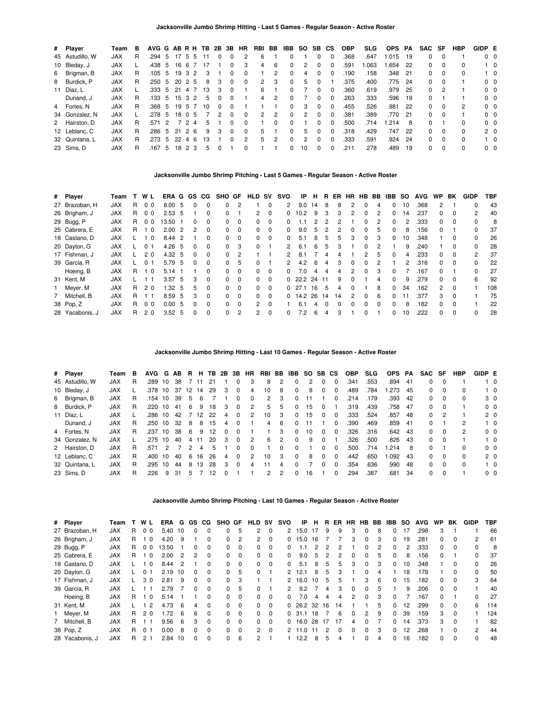| # Player        | Team       | в  | AVG G AB R H TB 2B 3B HR |               |        |        |    |          |          |          | RBI BB        |                | IBB          | SO SB |              | <b>CS</b> | <b>OBP</b> | <b>SLG</b> | OPS PA  |      | SAC SF       |          | <b>HBP</b>   | GIDP E         |                |
|-----------------|------------|----|--------------------------|---------------|--------|--------|----|----------|----------|----------|---------------|----------------|--------------|-------|--------------|-----------|------------|------------|---------|------|--------------|----------|--------------|----------------|----------------|
| 45 Astudillo, W | <b>JAX</b> | R. | .294                     | 5             | 17     | 55     | 11 | 0        | 0        | 2        | 6             |                |              |       | 0            | 0         | .368       | .647       | 1.015   | - 19 | 0            | $\Omega$ |              |                | $0\quad 0$     |
| 10 Bleday, J    | <b>JAX</b> |    | .438 5                   |               | 16     | -6     | 17 |          | 0        | 3        | 4             | 6              | 0            | 2     | $\Omega$     | 0         | .591       | 1.063      | 1.654   | - 22 | 0            | $\Omega$ | 0            |                | $1\quad 0$     |
| 6 Brigman, B    | <b>JAX</b> | R. | .105 5                   |               |        | 19 3 2 | 3  |          | 0        | 0        |               | 2              | $\Omega$     | 4     | 0            |           | 190        | .158       | .348    | 21   | 0            |          |              |                | $1\quad 0$     |
| 8 Burdick, P    | <b>JAX</b> | R. | .250 5                   |               | 20 2 5 |        | 8  | 3        | $\Omega$ | 0        | 2             | 3              | $\Omega$     | 5     |              |           | .375       | .400       | .775 24 |      | 0            | $\Omega$ |              |                | 0 <sub>0</sub> |
| 11 Díaz, L      | <b>JAX</b> |    | .333 5 21                |               |        | 4 7    | 13 | 3        | $\Omega$ |          | 6             |                | 0            |       | $\Omega$     |           | .360       | .619       | .979    | - 25 | 0            | 2        |              |                | $0\quad 0$     |
| Dunand, J       | <b>JAX</b> | R. | .133                     | 5             |        | 15 3 2 | 5  | $\Omega$ | $\Omega$ |          | 4             | $\overline{2}$ | $\Omega$     |       | <sup>0</sup> |           | .263       | .333       | .596    | -19  | 0            |          |              |                | $0\quad 0$     |
| 4 Fortes, N     | <b>JAX</b> | R. | .368                     | -5            | 19 5   |        | 10 | 0        | $\Omega$ |          |               |                | 0            | 3     | $\Omega$     | O.        | .455       | .526       | .981    | -22  | 0            | $\Omega$ | 2            | $0\quad 0$     |                |
| 34 Gonzalez, N  | <b>JAX</b> |    | .278                     | 5             |        | 18 0 5 |    | 2        | $\Omega$ | 0        | $\mathcal{P}$ | 2              | $\Omega$     | 2     | $\Omega$     | $\Omega$  | .381       | .389       | .770    | 21   | 0            | $\Omega$ |              | 0 <sub>0</sub> |                |
| 2 Hairston, D   | <b>JAX</b> | R. | .571                     | $\mathcal{P}$ |        | 724    | 5  |          | 0        | $\Omega$ |               | <sup>0</sup>   | <sup>0</sup> |       | $\Omega$     | $\Omega$  | .500       | .714       | 1.214   | 8    | <sup>0</sup> |          | <sup>0</sup> | 0 <sub>0</sub> |                |
| 12 Leblanc, C   | <b>JAX</b> | R. | .286                     | -5            | 21     | 26     | 9  | 3        | $\Omega$ | $\Omega$ | 5             |                | 0            | 5     | 0            |           | .318       | .429       | .747    | - 22 | <sup>0</sup> | $\Omega$ |              |                | 2 <sub>0</sub> |
| 32 Quintana, L  | <b>JAX</b> | R  | .273                     | 5             | 22     | 46     | 13 |          | 0        | 2        | 5             | 2              | $\Omega$     | 2     |              |           | .333       | .591       | .924    | -24  | 0            | $\Omega$ | $\Omega$     |                | $1\quad 0$     |
| 23 Sims, D      | <b>JAX</b> | R  | .167                     | -5            | 18     | 2 3    | 5  | 0        |          | 0        |               |                |              | 10    | $\Omega$     |           | .211       | .278       | .489    | 19   | <sup>0</sup> | $\Omega$ |              |                | 0 <sub>0</sub> |

## **Jacksonville Jumbo Shrimp Pitching - Last 5 Games - Regular Season - Active Roster**

| Team                                                                                                                                                                                                                                   |    | W L            |       |    |                                          |              |              |                |                |          | svo              | IP   | н       | R        | ER.            | <b>HR</b>    |              |          | IBB             | so | <b>AVG</b> | <b>WP</b>    | ВK           | <b>GIDP</b>  | <b>TBF</b> |
|----------------------------------------------------------------------------------------------------------------------------------------------------------------------------------------------------------------------------------------|----|----------------|-------|----|------------------------------------------|--------------|--------------|----------------|----------------|----------|------------------|------|---------|----------|----------------|--------------|--------------|----------|-----------------|----|------------|--------------|--------------|--------------|------------|
| <b>JAX</b>                                                                                                                                                                                                                             | R. | 0 <sub>0</sub> | 8.00  | -5 | $\Omega$                                 | $\Omega$     | $\Omega$     | $\overline{2}$ |                | $\Omega$ | 2                | 9.0  | 14      | 8        | 8              | 2            | 0            | 4        | $\Omega$        | 10 | .368       | 2            |              | 0            | 43         |
| <b>JAX</b>                                                                                                                                                                                                                             | R. | 0 <sub>0</sub> |       |    |                                          | $\Omega$     | $\Omega$     |                | 2              | $\Omega$ | 0                | 10.2 | 9       | 3        | 3              | 2            | 0            | 2        | 0               | 14 | .237       | 0            | 0            | 2            | 40         |
| <b>JAX</b>                                                                                                                                                                                                                             | R. | 0 <sub>0</sub> | 13.50 |    | 0                                        | 0            | 0            | $\Omega$       | 0              | 0        | 0                |      |         |          |                |              | 0            | 2        | 0               | 2  | .333       | 0            |              |              | 8          |
| <b>JAX</b>                                                                                                                                                                                                                             | R. | 10             | 2.00  | 2  | 2                                        | $\Omega$     | 0            | $\Omega$       | 0              | $\Omega$ | 0                | 9.0  | 5       | 2        | 2              | $\Omega$     | 0            | 5        | $\Omega$        | 8  | .156       | 0            |              | <sup>0</sup> | 37         |
| <b>JAX</b>                                                                                                                                                                                                                             |    | $\Omega$       | 8.44  |    |                                          | 0            | 0            | $\Omega$       | 0              | $\Omega$ | 0                | 5.1  | 8       | 5        | 5              | З            | 0            | 3        | 0               | 10 | .348       |              |              |              | 26         |
| <b>JAX</b>                                                                                                                                                                                                                             |    | 0 <sub>1</sub> | 4.26  | -5 | $\Omega$                                 | $\Omega$     | 0            | 3              | 0              |          | 2                | 6.1  | 6       | 5        | 3              |              | 0            | 2        |                 | 9  | .240       |              | 0            | <sup>0</sup> | 28         |
| <b>JAX</b>                                                                                                                                                                                                                             |    | 2 <sub>0</sub> |       |    | 0                                        | $\Omega$     | <sup>0</sup> | 2              |                |          |                  | 8.1  |         |          |                |              |              | 5        | <sup>0</sup>    | 4  | .233       | 0            |              | 2            | 37         |
| <b>JAX</b>                                                                                                                                                                                                                             |    | 0 <sub>1</sub> | 5.79  | -5 | $\Omega$                                 | $\Omega$     | 0            | 5              | <sup>0</sup>   |          | 2                | 4.2  | 6       | 4        | 3              | $\Omega$     | <sup>0</sup> | 2        |                 | 2  | .316       | 0            | <sup>0</sup> | $\Omega$     | 22         |
| <b>JAX</b>                                                                                                                                                                                                                             | R. | - 0            | 5.14  |    |                                          | <sup>0</sup> | 0            | $\Omega$       | 0              | $\Omega$ | 0                | 7.0  | 4       | 4        |                | 2            | <sup>0</sup> | 3        | <sup>0</sup>    |    | .167       | 0            |              |              | 27         |
| <b>JAX</b>                                                                                                                                                                                                                             |    |                | 3.57  | -5 | 3                                        | $\Omega$     | 0            | $\Omega$       | 0              | $\Omega$ |                  |      |         |          | 9              | $\Omega$     |              | 4        | <sup>0</sup>    | 9  | .279       | <sup>0</sup> | $\Omega$     | 6            | 92         |
| <b>JAX</b>                                                                                                                                                                                                                             | R. | 2 <sub>0</sub> | 1.32  | -5 | 5.                                       | $\Omega$     | $\Omega$     | $\Omega$       | 0              | $\Omega$ |                  |      |         | 5        | 4              | <sup>0</sup> |              | 8        | $\Omega$        | 34 | .162       | 2            | U            |              | 108        |
| <b>JAX</b>                                                                                                                                                                                                                             | R  | 11             | 8.59  | -5 | 3                                        | $\Omega$     | $\Omega$     | $\Omega$       | 0              | $\Omega$ | 0                | 14.2 |         | 14       | 14             | 2            | <sup>0</sup> | 6        | 0               |    | .377       | 3            | 0            |              | 75         |
| <b>JAX</b>                                                                                                                                                                                                                             | R  | 0 <sub>0</sub> | 0.00  | -5 | <sup>0</sup>                             | $\Omega$     | $\Omega$     | $\Omega$       | $\overline{2}$ | $\Omega$ |                  | 6.1  |         |          | <sup>0</sup>   | n            | <sup>0</sup> | $\Omega$ | 0               | 8  | .182       | 0            | $\Omega$     |              | 22         |
| <b>JAX</b>                                                                                                                                                                                                                             | R. | 2 <sub>0</sub> | 3.52  | 5  | 0                                        | $\Omega$     | 0            | 2              | $\overline{2}$ | $\Omega$ | 0                | 7.2  | 6       | 4        | 3              |              | 0            |          | 0               | 10 | .222       | 0            | 0            | 0            | 28         |
| # Player<br>27 Brazoban, H<br>26 Brigham, J<br>29 Bugg, P<br>25 Cabrera, E<br>18 Castano, D<br>20 Dayton, G<br>17 Fishman, J<br>39 Garcia, R<br>Hoeing, B<br>31 Kent, M<br>1 Meyer, M<br>7 Mitchell, B<br>38 Pop, Z<br>28 Yacabonis, J |    |                |       |    | 2.53, 5<br>$\overline{2}$<br>4.32<br>- 5 | ERA G GS     | CG.          |                | SHO GF         |          | HLD<br><b>SV</b> |      | 0, 27.1 | 16<br>26 | $0$ 22.2 24 11 |              |              |          | <b>HB</b><br>BB |    |            |              |              |              |            |

## **Jacksonville Jumbo Shrimp Hitting - Last 10 Games - Regular Season - Active Roster**

| # Player        | Team       | в | AVG GAB |      |     |    | R H | TB 2B 3B |   |              | <b>HR</b> | RBI BB |     | IBB SO SB CS |    |              |          | <b>OBP</b> | <b>SLG</b> | <b>OPS</b> | PA   | SAC SF       |          | <b>HBP</b>   | GIDP E |                |
|-----------------|------------|---|---------|------|-----|----|-----|----------|---|--------------|-----------|--------|-----|--------------|----|--------------|----------|------------|------------|------------|------|--------------|----------|--------------|--------|----------------|
| 45 Astudillo, W | <b>JAX</b> | R | .289    | 10   | 38  |    |     | 21       |   | 0            | 3         | 8      |     | 0            | 2  |              | $\Omega$ | .341       | .553       | .894       | - 41 | 0            | $\Omega$ |              |        | $1\quad 0$     |
| 10 Bleday, J    | <b>JAX</b> |   | .378 10 |      | -37 | 12 | 14  | 29       | 3 | 0            | 4         | 10     | 8   | 0            | 8  |              | $\Omega$ | .489       | .784       | .273       | -45  | 0            | $\Omega$ | 0            |        | $1\quad$ 0     |
| 6 Brigman, B    | JAX        | R | .154    | 10   | 39  | 5. | 6   |          |   |              | 0         | 2      | з   | 0            | 11 |              | 0        | .214       | .179       | .393       | -42  | 0            | - 0      | 0            |        | 3 <sub>0</sub> |
| 8 Burdick, P    | JAX        | R | .220    | 10   | -41 | 6. | 9   | 18       | З | 0            | 2         | 5      | 'n. |              | 15 |              |          | .319       | .439       | .758       | - 47 | 0            | - 0      |              |        | 0 <sub>0</sub> |
| 11 Díaz, L      | <b>JAX</b> |   | .286 10 |      | 42  |    | 12  | 22       | 4 | 0            | 2         | 10     | з   | 0            | 15 |              | 0        | .333       | .524       | .857       | -48  | 0            | 2        |              |        | 2 <sub>0</sub> |
| Dunand, J       | <b>JAX</b> | R | .250    | 10   | 32  | 8  | 8   | 15       | 4 | 0            |           | 4      | 6   | 0            | 11 |              | $\Omega$ | .390       | .469       | .859       | -41  | 0            |          | 2            |        | $1\quad 0$     |
| 4 Fortes, N     | <b>JAX</b> | R | .237    | 10   | 38  | 6  | 9   | 12       | 0 | <sup>0</sup> |           |        | з   | 0            | 10 | 0            | $\Omega$ | .326       | .316       | .642       | - 43 | 0            | $\Omega$ | 2            |        | 0 <sub>0</sub> |
| 34 Gonzalez, N  | <b>JAX</b> |   | .275 10 |      | 40  | 4  |     | 20       | 3 | $\Omega$     | 2         | 6      |     | 0            | 9  |              |          | .326       | .500       | .826       | -43  | 0            | - 0      |              |        | $1\quad$ 0     |
| 2 Hairston, D   | <b>JAX</b> | R | .571    | 2    |     | 2  | 4   | 5        |   | <sup>0</sup> | U         |        |     |              |    |              | $\Omega$ | .500       | .714       | .214       | 8    | <sup>0</sup> |          | <sup>0</sup> |        | 0 <sub>0</sub> |
| 12 Leblanc, C   | <b>JAX</b> | R | .400    | - 10 | 40  | 6  | 16  | 26       | 4 | <sup>0</sup> | 2         | 10     | 3   | <sup>0</sup> | 8  | <sup>0</sup> | $\Omega$ | .442       | .650       | .092       | -43  | 0            | - 0      | <sup>0</sup> |        | 2 <sub>0</sub> |
| 32 Quintana, L  | <b>JAX</b> | R | .295    | - 10 | 44  | 8  | 13  | 28       | 3 | <sup>0</sup> | 4         |        | 4   | 0            |    |              | $\Omega$ | .354       | .636       | .990       | -48  | 0            | $\Omega$ | <sup>0</sup> |        | $1\quad$ 0     |
| 23 Sims, D      | <b>JAX</b> | R | .226    | 9    | 31  | 5  |     |          | O |              |           | 2      |     |              | 16 |              | 0        | 294        | .387       | .681       | -34  | 0            | 0        |              |        | 0 <sub>0</sub> |

**Jacksonville Jumbo Shrimp Pitching - Last 10 Games - Regular Season - Active Roster**

| # Player        | Team       |    | w<br>L         | ERA   | G  |              | GS CG    | <b>SHO</b> | GF       | <b>HLD</b>     | sv       | svo          | IP                               | н  | R  | ER | ΗR       | HB.          | BB            | IBB.         | so | <b>AVG</b> | <b>WP</b>    | BK       | <b>GIDP</b>    | TBF |
|-----------------|------------|----|----------------|-------|----|--------------|----------|------------|----------|----------------|----------|--------------|----------------------------------|----|----|----|----------|--------------|---------------|--------------|----|------------|--------------|----------|----------------|-----|
| 27 Brazoban, H  | <b>JAX</b> | R. | 0 <sub>0</sub> | 5.40  | 10 | <sup>0</sup> | 0        | 0          | 5        | 2              | 0        | 2            | 15.0                             | 17 | 9  | 9  | 3        | 0            | 8             | <sup>0</sup> | 17 | .298       | 3            |          |                | 66  |
| 26 Brigham, J   | <b>JAX</b> | R  | $\Omega$       | 4.20  | 9  |              | 0        | $\Omega$   | 2        | 2              | $\Omega$ | 0            | 15.0                             | 16 |    |    | з        |              | 3             | <sup>0</sup> | 19 | .281       | <sup>o</sup> | $\Omega$ | 2              | 61  |
| 29 Bugg, P      | <b>JAX</b> | R  | 0 <sub>0</sub> | 13.50 |    | 0            | $\Omega$ | $\Omega$   | $\Omega$ | 0              | 0        | <sup>0</sup> | $\cdot$ 1                        |    |    | 2  |          | <sup>0</sup> | $\mathcal{P}$ | <sup>0</sup> |    | .333       | 0            | 0        | 0              | 8   |
| 25 Cabrera, E   | <b>JAX</b> | R  | $\Omega$       | 2.00  | 2  | 2            | $\Omega$ | $\Omega$   | $\Omega$ | 0              | 0        | $\Omega$     | 9.0                              | 5  | 2  | 2  |          | <sup>0</sup> | 5.            |              | 8  | .156       | <sup>0</sup> |          |                | 37  |
| 18 Castano, D   | <b>JAX</b> |    | $\Omega$       | 8.44  | 2  |              | 0        | $\Omega$   | $\Omega$ | 0              | $\Omega$ | <sup>0</sup> | 5.1                              | 8  | 5  | 5  | 3        | $\Omega$     | 3             | <sup>0</sup> | 10 | .348       |              | $\Omega$ | 0              | 26  |
| 20 Dayton, G    | <b>JAX</b> |    | 0 <sub>1</sub> | 2.19  | 10 | <sup>0</sup> | $\Omega$ | $\Omega$   | 5        | 0              |          | 2            | 12.1                             | 8  | 5  | 3  |          | <sup>0</sup> | 4             |              | 18 | .178       |              | $\Omega$ | $\Omega$       | 50  |
| 17 Fishman, J   | <b>JAX</b> |    | 30             | 2.81  | 9  | 0            | $\Omega$ | $\Omega$   | 3        |                |          | 2            | 16.0                             | 10 | 5  | 5  |          | 3            | 6             | <sup>0</sup> | 15 | .182       | 0            | $\Omega$ | 3              | 64  |
| 39 Garcia, R    | <b>JAX</b> |    |                | 2.79  |    | <sup>0</sup> | $\Omega$ | $\Omega$   | 5        | 0              |          | 2            | 9.2                              |    | 4  | 3  | 0        | <sup>0</sup> | 5             |              | 9  | .206       | 0            | $\Omega$ |                | 40  |
| Hoeing, B       | <b>JAX</b> | R. | $\Omega$       | 5.14  |    |              | 0        | $\Omega$   | $\Omega$ | 0              | $\Omega$ | 0            | 7.0                              | 4  | 4  | 4  | 2        | $\Omega$     | 3             | <sup>0</sup> |    | .167       | 0            |          | 0              | 27  |
| 31 Kent, M      | <b>JAX</b> |    | 2              | 4.73  | 6  | 4            | $\Omega$ | $\Omega$   | $\Omega$ | 0              | $\Omega$ | 0            | 26.2                             | 32 | 16 | 14 |          |              | 5             |              | 12 | .299       | 0            | $\Omega$ | 6              | 114 |
| 1 Meyer, M      | <b>JAX</b> | R. | 20             | 1.72  | 6  | 6            | $\Omega$ | $\Omega$   | $\Omega$ | $\Omega$       | $\Omega$ |              | 0.31.1                           | 18 |    | 6  | $\Omega$ | 2            | 9             | $\Omega$     | 39 | .159       | 3            | $\Omega$ |                | 124 |
| 7 Mitchell, B   | <b>JAX</b> | R  |                | 9.56  | -6 | 3            | $\Omega$ | $\Omega$   | $\Omega$ | 0              | $\Omega$ | 0            | 16.0                             | 28 |    | 17 | 4        |              |               | <sup>0</sup> | 14 | .373       | 3            | $\Omega$ |                | 82  |
| 38 Pop, Z       | <b>JAX</b> | R  | 0 <sub>1</sub> | 0.00  | 8  | <sup>0</sup> | $\Omega$ | $\Omega$   | $\Omega$ | $\mathbf{2}$   | 0        |              | $\overline{0}$<br>2 <sub>1</sub> | 11 | 2  | 0  | 0        | 0            | 3             | $\Omega$     | 12 | .268       |              | $\Omega$ | $\overline{2}$ | 44  |
| 28 Yacabonis, J | <b>JAX</b> | R  | 2 <sub>1</sub> | 2.84  | 10 | $\Omega$     | $\Omega$ | 0          | 6        | $\overline{2}$ |          |              | 12.2                             | 8  | 5  | 4  |          | 0            | 4             | $\Omega$     | 16 | .182       | 0            | $\Omega$ | 0              | 48  |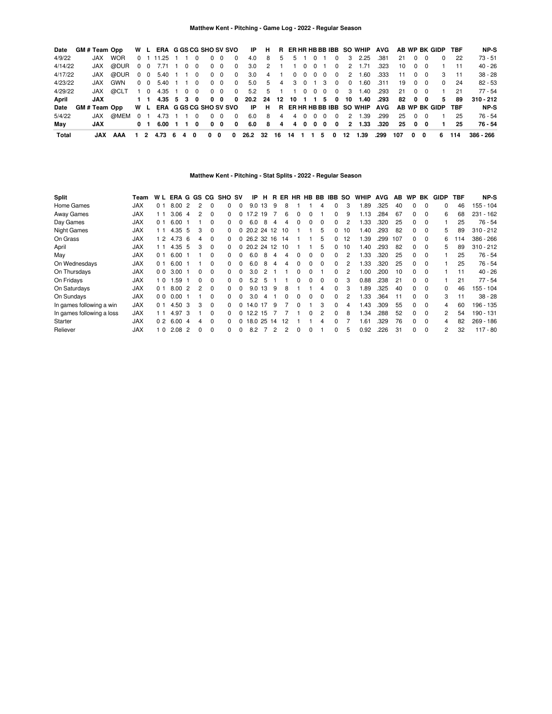| Date    | GM # Team Opp      |            |     |                | W L ERA G GS CG SHO SV SVO IP H |       |   |            |            |                         |                          |                 |                          |           |     |                |                               |                |                | R ER HR HB BB IBB SO WHIP AVG                               |      |     |            |            | AB WP BK GIDP TBF |     | NP-S        |
|---------|--------------------|------------|-----|----------------|---------------------------------|-------|---|------------|------------|-------------------------|--------------------------|-----------------|--------------------------|-----------|-----|----------------|-------------------------------|----------------|----------------|-------------------------------------------------------------|------|-----|------------|------------|-------------------|-----|-------------|
| 4/9/22  | JAX                | <b>WOR</b> |     |                | 0 1 11.25 1 1 0                 |       |   |            | $0\quad 0$ | $\Omega$                | 4.0                      | 8 <sup>1</sup>  | $5 -$                    |           |     |                | 5 1 0 1                       | $\Omega$       |                | 3 2.25                                                      | .381 | 21  |            | $0\quad 0$ | $^{\circ}$        | -22 | 73 - 51     |
| 4/14/22 |                    | JAX @DUR   |     | $0\quad 0$     | 7.71 1 0 0                      |       |   |            | $0\quad 0$ | $\overline{0}$          | 3.0                      | $\overline{2}$  |                          | 1 1 0 0 1 |     |                |                               | $\Omega$       | 2              | 1.71                                                        | .323 | 10  |            | $0\quad 0$ |                   | 11  | $40 - 26$   |
| 4/17/22 |                    | JAX @DUR   |     | $0\quad 0$     | 5.40 1 1 0                      |       |   |            | $0\quad 0$ | $\overline{\mathbf{0}}$ | 3.0                      | $\sim$ 4        | $\overline{\phantom{1}}$ |           |     |                | $0\quad 0\quad 0\quad 0\quad$ | $\Omega$       | $\sim$ 2       | 1.60                                                        | .333 | 11  |            | $0\quad 0$ | $\mathcal{B}$     | 11  | $38 - 28$   |
| 4/23/22 | JAX                | GWN        |     | 0 O            | 5.40                            | 1 1 0 |   |            | $0\quad 0$ | $\Omega$                | 5.0                      | - 5             | 4                        |           |     |                | 3 0 1 3                       | $\Omega$       | $\Omega$       | 1.60                                                        | .311 | 19  |            | $0\quad 0$ | $\Omega$          | 24  | $82 - 53$   |
| 4/29/22 |                    | JAX @CLT   | 1 0 |                | 4.35 1 0 0                      |       |   |            | $0\quad 0$ | $\overline{\mathbf{0}}$ |                          | 5.2 5 1 1 0 0 0 |                          |           |     |                |                               | $\overline{0}$ | - 3            | 1.40                                                        | .293 | 21  |            | $0\quad 0$ |                   | 21  | $77 - 54$   |
| April   | JAX                |            |     |                | $1 \t1 \t4.35 \t5 \t3 \t0$      |       |   | $0\quad 0$ |            | $\mathbf{0}$            |                          |                 |                          |           |     |                |                               |                |                | 20.2 24 12 10 1 1 5 0 10 1.40                               | .293 |     | 82 0 0     |            | 5.                | 89  | $310 - 212$ |
| Date    | <b>GM#Team Opp</b> |            |     |                |                                 |       |   |            |            |                         |                          |                 |                          |           |     |                |                               |                |                | W L ERA GGSCG SHO SV SVO IP H R ER HR HB BB IBB SO WHIP AVG |      |     |            |            | AB WP BK GIDP TBF |     | NP-S        |
| 5/4/22  | JAX                | @MEM 0 1   |     |                | 4.73 1 1 0                      |       |   |            | $0\quad 0$ | $\Omega$                | 6.0                      | 8               | 4                        |           | 4 0 | $\overline{0}$ | $\Omega$                      | $\Omega$       | $\overline{2}$ | 1.39                                                        | .299 | 25  | . റ        | - 0        |                   | 25  | 76 - 54     |
| May     | JAX                |            |     | 0 <sub>1</sub> | 6.00 1 1                        |       | 0 |            | $0\quad 0$ | $\mathbf{0}$            |                          | 6.0 8           | $\overline{4}$           |           |     |                | 4000                          | $\mathbf{0}$   |                | 2 1.33                                                      | .320 |     | 25 0 0     |            |                   | 25  | 76 - 54     |
| Total   | .IAX               | AAA        |     |                | 1 2 4.73 6 4 0                  |       |   | $0\quad 0$ |            | 0                       | 26.2 32 16 14 1 1 5 0 12 |                 |                          |           |     |                |                               |                |                | 1.39                                                        | .299 | 107 | $0\quad 0$ |            | 6.                | 114 | 386 - 266   |

## **Matthew Kent - Pitching - Stat Splits - 2022 - Regular Season**

| <b>Split</b>              | Team       | W L            |      |    |              |          | ERA G GS CG SHO SV |              | IP         | н  | В. |          |              |              |          | ER HR HB BB IBB SO |    | <b>WHIP</b> | <b>AVG</b> | AB. | <b>WP</b>    | BK       | GIDP | <b>TBF</b> | <b>NP-S</b> |
|---------------------------|------------|----------------|------|----|--------------|----------|--------------------|--------------|------------|----|----|----------|--------------|--------------|----------|--------------------|----|-------------|------------|-----|--------------|----------|------|------------|-------------|
| Home Games                | <b>JAX</b> | 0 <sub>1</sub> | 8.00 | -2 |              | $\Omega$ | 0                  | 0            | 9.0        | 13 | 9  | 8        |              |              | 4        | 0                  | 3  | .89         | .325       | 40  |              | $\Omega$ | 0    | 46         | $155 - 104$ |
| <b>Away Games</b>         | <b>JAX</b> | ∣ 1            | 3.06 | -4 | 2            | $\Omega$ | 0                  |              | 17.2 19    |    |    | 6        | 0            | 0            |          | 0                  | 9  | 1.13        | 284        | 67  | 0            | $\Omega$ | 6    | 68         | $231 - 162$ |
| Day Games                 | <b>JAX</b> | 0 <sub>1</sub> | 6.00 |    |              | $\Omega$ | 0                  |              | 6.0        | -8 | 4  | 4        | $\Omega$     | $\Omega$     | $\Omega$ | 0                  | 2  | 1.33        | .320       | 25  | 0            | $\Omega$ |      | 25         | $76 - 54$   |
| <b>Night Games</b>        | <b>JAX</b> | 11             | 4.35 | -5 | 3            | $\Omega$ | 0                  |              | 20.2 24 12 |    |    | 10       |              |              | 5        | 0                  | 10 | 1.40        | .293       | 82  | 0            | $\Omega$ | 5    | 89         | $310 - 212$ |
| On Grass                  | <b>JAX</b> | $\overline{2}$ | 4.73 | -6 | 4            | $\Omega$ | 0                  |              | 26.2 32 16 |    |    | 14       |              |              | 5        | 0                  | 12 | .39         | .299       | 107 | 0            | $\Omega$ | 6    | 14         | $386 - 266$ |
| April                     | <b>JAX</b> | 11             | 4.35 | -5 | 3            | $\Omega$ | 0                  |              | 20.2 24 12 |    |    | 10       |              |              | 5        | 0                  | 10 | 1.40        | 293        | 82  | 0            | $\Omega$ | 5    | 89         | $310 - 212$ |
| May                       | <b>JAX</b> | 0 <sub>1</sub> | 6.00 |    |              | $\Omega$ | 0                  |              | 6.0        | -8 | 4  | 4        | $\Omega$     | $\Omega$     | $\Omega$ | 0                  | 2  | 1.33        | .320       | 25  | $\Omega$     | $\Omega$ |      | 25         | $76 - 54$   |
| On Wednesdays             | <b>JAX</b> | 0 <sub>1</sub> | 6.00 |    |              | $\Omega$ | 0                  |              | 6.0        | -8 | 4  | 4        | $\Omega$     | $\Omega$     | 0        | 0                  | 2  | .33         | .320       | 25  | 0            | $\Omega$ |      | 25         | $76 - 54$   |
| On Thursdays              | <b>JAX</b> | 0 <sub>0</sub> | 3.00 |    | <sup>0</sup> | $\Omega$ | <sup>0</sup>       | <sup>0</sup> | 3.0        | 2  |    |          | <sup>0</sup> | <sup>0</sup> |          | <sup>0</sup>       | 2  | .00         | .200       | 10  | $\Omega$     | $\Omega$ |      | 11         | $40 - 26$   |
| On Fridays                | <b>JAX</b> | 0              | .59  |    |              | $\Omega$ | 0                  |              | 5.2        | 5  |    |          | 0            | 0            | 0        | 0                  | 3  | 0.88        | .238       | 21  | $\Omega$     | $\Omega$ |      | 21         | $77 - 54$   |
| On Saturdays              | <b>JAX</b> | 01             | 8.00 | -2 | 2            | $\Omega$ | 0                  |              | 9.0        | 13 | 9  | 8        |              |              | 4        | 0                  | 3  | .89         | .325       | 40  | 0            | $\Omega$ | 0    | 46         | $155 - 104$ |
| On Sundays                | <b>JAX</b> | 0 <sub>0</sub> | 0.00 |    |              | $\Omega$ | 0                  | 0            | 3.0        | 4  |    | $\Omega$ | $\Omega$     | $\Omega$     | $\Omega$ | 0                  | 2  | 1.33        | .364       | 11  | $\Omega$     | $\Omega$ | 3    | 11         | $38 - 28$   |
| In games following a win  | <b>JAX</b> | 0 <sub>1</sub> | 4.50 | 3  | 3            | $\Omega$ | 0                  |              | 14.0       | 17 | 9  |          | 0            |              | 3        | 0                  | 4  | l.43        | .309       | 55  | $\Omega$     | $\Omega$ | 4    | 60         | 196 - 135   |
| In games following a loss | <b>JAX</b> | l 1            | 4.97 | 3  |              | $\Omega$ | 0                  |              | 12.2 15    |    |    |          |              | $\Omega$     | 2        | 0                  | 8  | - 34        | 288        | 52  | $\Omega$     | $\Omega$ | 2    | 54         | 190 - 131   |
| Starter                   | <b>JAX</b> | 0 <sub>2</sub> | 6.00 | -4 |              | $\Omega$ | 0                  |              | 18.0 25    |    | 14 | 12       |              |              | 4        | 0                  |    | .61         | 329        | 76  | <sup>0</sup> | $\Omega$ | 4    | 82         | $269 - 186$ |
| Reliever                  | <b>JAX</b> | l 0            | 2.08 | -2 |              | $\Omega$ | 0                  | 0            | 8.2        |    | 2  | 2        | $\Omega$     | $\Omega$     |          | 0                  | 5  | 0.92        | .226       | 31  | 0            | $\Omega$ | 2    | 32         | 117 - 80    |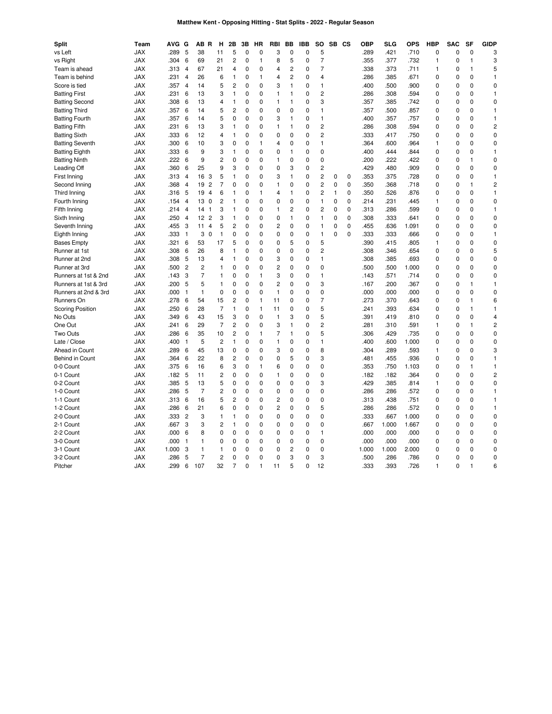# **Matthew Kent - Opposing Hitting - Stat Splits - 2022 - Regular Season**

| <b>Split</b>            | Team       | <b>AVG</b> | G                   | AB R                              | н                   | 2Β               | 3B               | HR       | RBI            | BB             | <b>IBB</b>       | SO             | SB CS        |             | OBP          | <b>SLG</b>   | <b>OPS</b>    | <b>HBP</b>   | <b>SAC</b>                 | SF           | <b>GIDP</b>             |
|-------------------------|------------|------------|---------------------|-----------------------------------|---------------------|------------------|------------------|----------|----------------|----------------|------------------|----------------|--------------|-------------|--------------|--------------|---------------|--------------|----------------------------|--------------|-------------------------|
| vs Left                 | <b>JAX</b> | .289       | 5                   | 38                                | 11                  | 5                | $\mathbf 0$      | 0        | 3              | 0              | $\mathbf 0$      | 5              |              |             | .289         | .421         | .710          | 0            | $\mathbf 0$                | 0            | 3                       |
| vs Right                | <b>JAX</b> | .304       | 6                   | 69                                | 21                  | 2                | 0                | 1        | 8              | 5              | 0                | $\overline{7}$ |              |             | .355         | .377         | .732          | $\mathbf{1}$ | 0                          | 1            | 3                       |
| Team is ahead           | <b>JAX</b> | .313       | $\overline{4}$      | 67                                | 21                  | 4                | $\mathbf 0$      | 0        | 4              | $\overline{2}$ | $\mathbf 0$      | $\overline{7}$ |              |             | .338         | .373         | .711          | $\mathbf{1}$ | $\mathbf 0$                | $\mathbf{1}$ | 5                       |
| Team is behind          | <b>JAX</b> | .231       | 4                   | 26                                | 6                   | $\mathbf{1}$     | 0                | 1        | 4              | $\overline{2}$ | 0                | 4              |              |             | .286         | .385         | .671          | 0            | $\mathbf 0$                | 0            | $\mathbf{1}$            |
| Score is tied           | <b>JAX</b> | .357       | $\overline{4}$      | 14                                | 5                   | $\overline{c}$   | 0                | 0        | 3              | $\mathbf{1}$   | 0                | $\mathbf{1}$   |              |             | .400         | .500         | .900          | 0            | 0                          | 0            | $\pmb{0}$               |
| <b>Batting First</b>    | <b>JAX</b> | .231       | 6                   | 13                                | 3                   | $\mathbf{1}$     | $\mathbf 0$      | 0        | 1              | 1              | 0                | 2              |              |             | .286         | .308         | .594          | 0            | $\mathbf 0$                | 0            | $\mathbf{1}$            |
| <b>Batting Second</b>   | <b>JAX</b> | .308       | 6                   | 13                                | 4                   | $\mathbf{1}$     | 0                | 0        | 1              | 1              | 0                | 3              |              |             | .357         | .385         | .742          | 0            | 0                          | 0            | $\pmb{0}$               |
| <b>Batting Third</b>    | <b>JAX</b> | .357       | 6                   | 14                                | 5                   | $\overline{c}$   | $\mathbf 0$      | 0        | 0              | 0              | $\mathbf 0$      | $\mathbf{1}$   |              |             | .357         | .500         | .857          | 0            | $\mathbf 0$                | 0            | $\mathbf{1}$            |
| <b>Batting Fourth</b>   | <b>JAX</b> | .357       | 6                   | 14                                | 5                   | 0                | 0                | 0        | 3              | 1              | 0                | 1              |              |             | .400         | .357         | .757          | 0            | $\mathbf 0$                | 0            | $\mathbf{1}$            |
| <b>Batting Fifth</b>    | <b>JAX</b> | .231       | 6                   | 13                                | 3                   | $\mathbf{1}$     | 0                | 0        | $\mathbf{1}$   | 1              | 0                | $\overline{c}$ |              |             | .286         | .308         | .594          | 0            | 0                          | 0            | $\overline{c}$          |
| <b>Batting Sixth</b>    | <b>JAX</b> | .333       | 6                   | 12                                | 4                   | 1                | 0                | 0        | 0              | $\mathbf 0$    | $\mathbf 0$      | $\overline{c}$ |              |             | .333         | .417         | .750          | 0            | $\mathbf 0$                | 0            | $\pmb{0}$               |
| <b>Batting Seventh</b>  | <b>JAX</b> | .300       | 6                   | 10                                | 3                   | 0                | 0                | 1        | 4              | 0              | 0                | 1              |              |             | .364         | .600         | .964          | 1            | $\mathbf 0$                | 0            | $\pmb{0}$               |
| <b>Batting Eighth</b>   | <b>JAX</b> | .333       | 6                   | 9                                 | 3                   | $\mathbf{1}$     | $\mathbf 0$      | 0        | 0              | 1              | $\mathbf 0$      | $\mathbf 0$    |              |             | .400         | .444         | .844          | 0            | $\mathbf 0$                | 0            | $\mathbf{1}$            |
| <b>Batting Ninth</b>    | <b>JAX</b> | 222        | 6                   | 9                                 | 2                   | 0                | $\Omega$         | 0        | 1              | 0              | 0                | 0              |              |             | .200         | .222         | .422          | 0            | $\mathbf 0$                | 1            | $\mathbf 0$             |
| Leading Off             | <b>JAX</b> | .360       | 6                   | 25                                | 9                   | 3                | 0                | 0        | 0              | 3              | 0                | $\overline{c}$ |              |             | .429         | .480         | .909          | 0            | $\mathbf 0$                | $\Omega$     | $\pmb{0}$               |
| First Inning            | <b>JAX</b> | .313       | $\overline{4}$      | 16<br>3                           | 5                   | 1                | $\mathbf 0$      | 0        | 3              | $\mathbf{1}$   | $\mathbf 0$      | $\overline{c}$ | 0            | $\mathbf 0$ | .353         | .375         | .728          | 0            | $\mathbf 0$                | 0            | $\mathbf{1}$            |
| Second Inning           | <b>JAX</b> | .368       | 4                   | 19 2                              | 7                   | 0                | 0                | 0        | 1              | 0              | 0                | $\overline{c}$ | 0            | 0           | .350         | .368         | .718          | 0            | $\mathbf 0$                | 1            | $\overline{\mathbf{c}}$ |
| Third Inning            | <b>JAX</b> | .316       | 5                   | 19<br>$\overline{4}$              | 6                   | 1                | 0                | 1        | 4              | 1              | 0                | $\overline{c}$ | $\mathbf{1}$ | 0           | .350         | .526         | .876          | 0            | $\mathbf 0$                | 0            | 1                       |
| Fourth Inning           | <b>JAX</b> | .154       | $\overline{4}$      | 13 0                              | 2                   | 1                | 0                | 0        | 0              | $\mathbf 0$    | 0                | 1              | 0            | 0           | .214         | .231         | .445          | 1            | $\mathbf 0$                | 0            | 0                       |
| Fifth Inning            | <b>JAX</b> | .214       | $\overline{4}$      | 14<br>$\overline{1}$              | 3                   | $\mathbf{1}$     | 0                | 0        | 1              | 2              | 0                | $\overline{c}$ | 0            | $\mathbf 0$ | .313         | .286         | .599          | 0            | $\mathbf 0$                | 0            | $\mathbf{1}$            |
| Sixth Inning            | <b>JAX</b> | .250       | $\overline{4}$      | 12 <sup>2</sup><br>$\overline{c}$ | 3                   | $\mathbf{1}$     | $\mathbf 0$      | 0        | 0              | $\mathbf{1}$   | $\mathbf 0$      | 1              | 0            | $\mathbf 0$ | .308         | .333         | .641          | 0            | $\mathbf 0$                | $\Omega$     | $\mathbf 0$             |
| Seventh Inning          | <b>JAX</b> | .455       | 3                   | $\overline{4}$<br>11              | 5                   | $\overline{c}$   | 0                | 0        | 2              | 0              | 0                | 1              | 0            | 0           | .455         | .636         | 1.091         | 0            | 0                          | 0            | 0                       |
| Eighth Inning           | <b>JAX</b> | .333       | $\overline{1}$      | 3<br>$\mathbf 0$                  | 1                   | 0                | $\mathbf 0$      | 0        | 0              | $\mathbf 0$    | 0                | 1              | $\Omega$     | $\mathbf 0$ | .333         | .333         | .666          | 0            | $\mathbf 0$                | $\Omega$     | $\mathbf{1}$            |
| <b>Bases Empty</b>      | <b>JAX</b> | .321       | 6                   | 53                                | 17                  | 5                | 0                | 0        | 0              | 5              | 0                | 5              |              |             | .390         | .415         | .805          | 1            | $\mathbf 0$                | 0            | $\mathbf 0$             |
| Runner at 1st           | <b>JAX</b> | .308       | 6                   | 26                                | 8                   | 1                | 0                | 0        | 0              | $\mathbf 0$    | 0                | $\overline{c}$ |              |             | .308         | .346         | .654          | 0            | $\mathbf 0$                | 0            | 5                       |
| Runner at 2nd           | <b>JAX</b> | .308       | 5                   | 13                                | 4                   | 1                | $\mathbf 0$      | 0        | 3              | $\mathbf 0$    | $\mathbf 0$      | $\mathbf{1}$   |              |             | .308         | .385         | .693          | 0            | $\mathbf 0$                | 0            | $\mathbf 0$             |
| Runner at 3rd           | <b>JAX</b> | .500       | $\overline{c}$      | 2                                 | 1                   | $\pmb{0}$        | 0                | 0        | 2              | 0              | 0                | 0              |              |             | .500         | .500         | 1.000         | 0            | 0                          | 0            | 0                       |
| Runners at 1st & 2nd    | <b>JAX</b> | .143       | 3                   | $\overline{7}$                    | $\mathbf{1}$        | 0                | 0                | 1        | 3              | $\mathbf 0$    | 0                | $\mathbf{1}$   |              |             | .143         | .571         | .714          | 0            | $\mathbf 0$                | $\Omega$     | $\mathbf 0$             |
| Runners at 1st & 3rd    | <b>JAX</b> | .200       | 5                   | 5                                 | 1                   | 0                | 0                | 0        | $\overline{c}$ | $\mathbf 0$    | 0                | 3              |              |             | .167         | .200         | .367          | 0            | $\mathbf 0$                | 1            | $\mathbf{1}$            |
| Runners at 2nd & 3rd    | <b>JAX</b> | .000       | $\mathbf{1}$        | 1                                 | 0                   | $\mathbf 0$      | $\mathbf 0$      | 0        | $\mathbf{1}$   | $\mathbf 0$    | $\mathbf 0$      | $\mathbf 0$    |              |             | .000         | .000         | .000          | 0            | $\mathbf 0$                | 0            | $\pmb{0}$               |
| Runners On              | <b>JAX</b> | .278       | 6                   | 54                                | 15                  | 2                | $\mathbf 0$      | 1        | 11             | 0              | 0                | $\overline{7}$ |              |             | .273         | .370         | .643          | 0            | $\mathbf 0$                | 1            | 6                       |
| <b>Scoring Position</b> | <b>JAX</b> | .250       | 6                   | 28                                | 7                   | $\mathbf{1}$     | 0                | 1        | 11             | 0              | 0                | 5              |              |             | .241         | .393         | .634          | 0            | 0                          | 1            | 1                       |
| No Outs                 | <b>JAX</b> | .349       | 6                   | 43                                | 15                  | 3                | $\mathbf 0$      | 0        | $\mathbf{1}$   | 3              | $\mathbf 0$      | 5              |              |             | .391         | .419         | .810          | 0            | $\mathbf 0$                | 0            | $\overline{4}$          |
| One Out                 | JAX        | .241       | 6                   | 29                                | 7                   | $\overline{c}$   | 0                | $\Omega$ | 3              | 1              | 0                | $\overline{c}$ |              |             | .281         | .310         | .591          | 1            | $\mathbf 0$                | 1            | $\overline{\mathbf{c}}$ |
| Two Outs                | <b>JAX</b> | .286       | 6                   | 35                                | 10                  | $\overline{c}$   | 0                | 1        | 7              | 1              | 0                | 5              |              |             | .306         | .429         | .735          | 0            | 0                          | 0            | 0                       |
| Late / Close            | <b>JAX</b> | .400       | $\mathbf{1}$        | 5                                 | 2                   | $\mathbf{1}$     | $\mathbf 0$      | 0        | $\mathbf{1}$   | 0              | $\mathbf 0$      | $\mathbf{1}$   |              |             | .400         | .600         | 1.000         | 0            | $\mathbf 0$                | 0            | $\pmb{0}$               |
| Ahead in Count          | <b>JAX</b> | .289       | 6                   | 45                                | 13                  | 0                | 0                | 0        | 3              | $\mathbf 0$    | 0                | 8              |              |             | .304         | .289         | .593          | 1            | $\mathbf 0$                | 0            | 3                       |
| Behind in Count         | <b>JAX</b> | .364       | 6                   | 22                                | 8                   | $\overline{2}$   | $\mathbf 0$      | 0        | 0              | 5              | $\mathbf 0$      | 3              |              |             | .481         | .455         | .936          | 0            | $\mathbf 0$                | 0            | $\mathbf{1}$            |
| 0-0 Count               | <b>JAX</b> | .375       | 6                   | 16                                | 6                   | 3                | 0                | 1        | 6              | $\Omega$       | 0                | 0              |              |             | .353         | .750         | 1.103         | 0            | 0                          | $\mathbf{1}$ | $\mathbf{1}$            |
| 0-1 Count               | <b>JAX</b> | .182       | 5                   | 11                                | 2                   | 0                | 0                | 0        | 1              | 0              | 0                | $\mathbf 0$    |              |             | .182         | .182         | .364          | 0            | $\mathbf 0$                | 0            | $\overline{c}$          |
| 0-2 Count               | <b>JAX</b> | .385       | 5                   | 13                                | 5                   | 0                | $\Omega$         | $\Omega$ | 0              | $\Omega$       | $\mathbf 0$      | 3              |              |             | .429         | .385         | .814          | 1            | $\mathbf 0$                | 0            | $\mathbf 0$             |
| 1-0 Count               | <b>JAX</b> | .286       | 5                   | $\overline{7}$                    | 2                   | 0                | 0                | 0        | 0              | 0              | 0                | 0              |              |             | .286         | .286         | .572          | 0            | $\mathbf 0$                | 0            | 1                       |
| 1-1 Count               | <b>JAX</b> | .313       | 6                   | 16                                | 5                   | $\overline{c}$   | $\mathbf 0$      | 0        | $\overline{c}$ | 0              | $\mathbf 0$      | $\mathbf 0$    |              |             | .313         | .438         | .751          | 0            | $\mathbf 0$                | 0            | 1                       |
|                         | <b>JAX</b> | .286       |                     | 21                                |                     | 0                | 0                | 0        | 2              | 0              | 0                | 5              |              |             | .286         | .286         | .572          | 0            | 0                          | 0            | $\mathbf{1}$            |
| 1-2 Count<br>2-0 Count  | <b>JAX</b> | .333       | 6<br>$\overline{c}$ | 3                                 | 6<br>1              | 1                | 0                | 0        | 0              | $\mathbf 0$    | 0                | 0              |              |             | .333         | .667         | 1.000         | 0            | $\mathbf 0$                | 0            | $\pmb{0}$               |
|                         |            | .667       | 3                   | 3                                 | $\overline{c}$      |                  | $\mathbf 0$      | 0        | 0              | $\mathbf 0$    | $\mathbf 0$      | $\mathbf 0$    |              |             |              |              | 1.667         |              | $\mathbf 0$                | $\Omega$     | $\mathbf 0$             |
| 2-1 Count<br>2-2 Count  | <b>JAX</b> | .000       |                     |                                   | 0                   | $\mathbf{1}$     | $\mathbf 0$      | 0        | 0              | $\mathbf 0$    |                  | 1              |              |             | .667         | 1.000        |               | 0<br>0       | $\mathbf 0$                | 0            | $\pmb{0}$               |
|                         | <b>JAX</b> | .000       | 6                   | 8                                 | 0                   | 0<br>0           | 0                | 0        | 0              | $\mathbf 0$    | 0<br>0           | $\mathbf 0$    |              |             | .000<br>.000 | .000<br>.000 | .000<br>.000  | 0            | $\mathbf 0$                | $\Omega$     | $\pmb{0}$               |
| 3-0 Count               | JAX        |            | $\overline{1}$      | 1                                 |                     |                  |                  |          |                |                |                  |                |              |             |              |              |               |              |                            |              |                         |
| 3-1 Count               | JAX        | 1.000      | 3<br>5              | 1<br>$\overline{7}$               | 1<br>$\overline{c}$ | 0<br>$\mathbf 0$ | 0<br>$\mathbf 0$ | 0<br>0   | 0<br>0         | 2<br>3         | 0<br>$\mathbf 0$ | 0<br>3         |              |             | 1.000        | 1.000        | 2.000<br>.786 | 0            | $\mathbf 0$<br>$\mathbf 0$ | 0<br>0       | 0<br>$\mathbf 0$        |
| 3-2 Count               | <b>JAX</b> | .286       |                     | 107                               |                     |                  |                  |          |                | 5              |                  |                |              |             | .500         | .286         |               | 0            |                            |              |                         |
| Pitcher                 | <b>JAX</b> | .299       | 6                   |                                   | 32                  | 7                | $\Omega$         | 1        | 11             |                | $\Omega$         | 12             |              |             | .333         | .393         | .726          | 1            | 0                          | 1            | 6                       |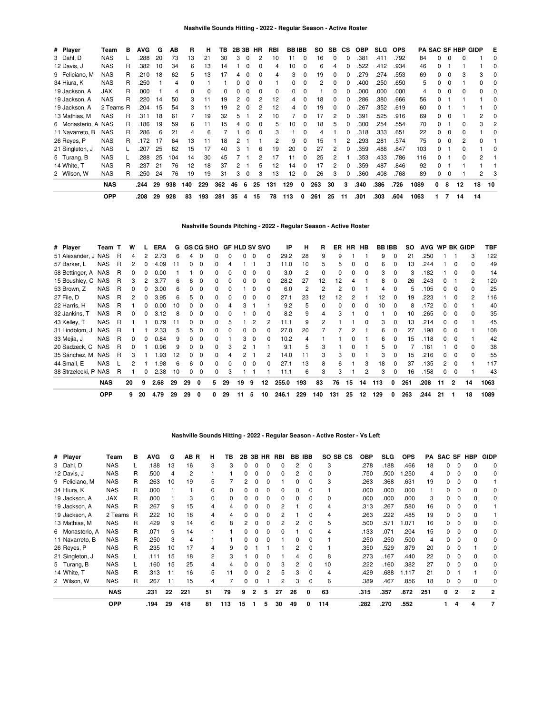| # Player            | Team       | в | <b>AVG</b> | G  | ΑВ  | R   | н   | ΤВ  |    |          | 2B 3B HR | RBI | <b>BBIBB</b> |          | SO. | SB | <b>CS</b> | <b>OBP</b> | <b>SLG</b> | <b>OPS</b> |      |   |          | <b>PA SAC SF HBP GIDP</b> |    | Е  |
|---------------------|------------|---|------------|----|-----|-----|-----|-----|----|----------|----------|-----|--------------|----------|-----|----|-----------|------------|------------|------------|------|---|----------|---------------------------|----|----|
| 3 Dahl, D           | <b>NAS</b> |   | 288        | 20 | 73  | 13  | 21  | 30  | 3  | 0        |          | 10  | 11           | 0        | 16  | 0  | 0         | .381       | .411       | .792       | 84   |   | 0        | 0                         |    | 0  |
| 12 Davis, J         | <b>NAS</b> | R | .382       | 10 | 34  | 6   | 13  | 14  |    | 0        | 0        | 4   | 10           | 0        | 6   | 4  | 0         | 522        | .412       | .934       | 46   |   |          |                           |    | 0  |
| 9 Feliciano, M      | <b>NAS</b> | R | .210       | 18 | 62  | 5   | 13  | 17  | 4  | $\Omega$ | 0        | 4   | 3            | 0        | 19  | 0  |           | 279        | .274       | .553       | 69   |   | $\Omega$ | 3                         | 3  |    |
| 34 Hiura, K         | <b>NAS</b> | R | .250       |    | 4   | 0   |     |     | 0  | $\Omega$ |          |     | 0            |          | 2   | 0  |           | .400       | .250       | .650       | 5    |   | $\Omega$ |                           | 0  |    |
| 19 Jackson, A       | JAX        | R | .000       |    | 4   |     | 0   |     |    | 0        |          | 0   |              |          |     |    |           | .000       | .000       | .000       | 4    |   | $\Omega$ | 0                         | 0  |    |
| 19 Jackson, A       | <b>NAS</b> | R | .220       | 14 | 50  | 3   | 11  | 19  | 2  | 0        |          | 12  | 4            |          | 18  | 0  |           | 286        | .380       | .666       | 56   |   |          |                           |    |    |
| 19 Jackson, A       | 2 Teams R  |   | .204       | 15 | 54  | 3   | 11  | 19  | 2  | 0        |          | 12  | 4            |          | 19  |    |           | 267        | .352       | .619       | 60   |   |          |                           |    |    |
| 13 Mathias, M       | <b>NAS</b> | R | .311       | 18 | 61  |     | 19  | 32  | 5  |          | 2        | 10  |              |          | 17  | 2  |           | .391       | .525       | .916       | 69   |   | $\Omega$ |                           | 2  |    |
| 6 Monasterio, A NAS |            | R | .186       | 19 | 59  | 6   | 11  | 15  | 4  | $\Omega$ | 0        | 5   | 10           |          | 18  | 5  |           | .300       | .254       | .554       | 70   |   |          | n                         | 3  |    |
| 11 Navarreto, B     | <b>NAS</b> | R | .286       | 6  | 21  | 4   | 6   |     |    |          |          | 3   |              |          | 4   |    |           | 318        | .333       | .651       | 22   |   | $\Omega$ |                           |    |    |
| 26 Reyes, P         | <b>NAS</b> | R | .172       | 17 | 64  | 13  | 11  | 18  |    |          |          |     | 9            | $\Omega$ | 15  |    |           | .293       | .281       | .574       | 75   |   | $\Omega$ | 2                         | 0  |    |
| 21 Singleton, J     | <b>NAS</b> |   | .207       | 25 | 82  | 15  | 17  | 40  | 3  |          | 6        | 19  | 20           | 0        | 27  | 2  |           | 359        | .488       | .847       | 103  |   |          | 0                         |    |    |
| 5 Turang, B         | <b>NAS</b> |   | .288       | 25 | 104 | 14  | 30  | 45  |    |          |          | 17  |              |          | 25  |    |           | 353        | .433       | .786       | 116  |   |          | 0                         | 2  |    |
| 14 White, T         | <b>NAS</b> | R | .237       | 21 | 76  | 12  | 18  | 37  |    |          |          | 12  | 14           | 0        | 17  |    |           | 359        | .487       | .846       | 92   |   |          |                           |    |    |
| 2 Wilson, W         | <b>NAS</b> | R | .250       | 24 | 76  | 19  | 19  | 31  | 3  | 0        | 3        | 13  | 12           | 0        | 26  | 3  | 0         | .360       | .408       | .768       | 89   |   | 0        |                           | 2  |    |
|                     | <b>NAS</b> |   | .244       | 29 | 938 | 140 | 229 | 362 | 46 | 6        | 25       | 131 | 129          | 0        | 263 | 30 | 3         | .340       | .386       | .726       | 1089 | 0 | 8        | 12                        | 18 | 10 |
|                     | <b>OPP</b> |   | .208       | 29 | 928 | 83  | 193 | 281 | 35 | 4        | 15       | 78  | 113          | 0        | 261 | 25 | 11        | .301       | .303       | .604       | 1063 |   | 7        | 14                        | 14 |    |

### **Nashville Sounds Pitching - 2022 - Regular Season - Active Roster**

| # Player             | Team T     |   | w  |    | ERA  | G  |          |          | <b>GS CG SHO</b> | <b>GF HLD SV SVO</b> |    |              |          | IP    | н   | R   | ER       |    | HR HB    | <b>BB IBB</b> |          | SO. | AVG WP BK GIDP |              |                |          | TBF  |
|----------------------|------------|---|----|----|------|----|----------|----------|------------------|----------------------|----|--------------|----------|-------|-----|-----|----------|----|----------|---------------|----------|-----|----------------|--------------|----------------|----------|------|
| 51 Alexander, J NAS  |            | R | 4  |    | 2.73 | 6  | 4        | n        | O.               | 0                    | 0  | $\Omega$     | 0        | 29.2  | 28  | 9   | 9        |    |          | 9             | $\Omega$ | 21  | .250           |              |                | 3        | 122  |
| 57 Barker, L         | <b>NAS</b> | R | 2  | 0  | 4.09 | 11 | 0        | $\Omega$ | 0                |                      |    |              | 3        | 11.0  | 10  | 5   | 5        | 0  | 0        | 6             | 0        | 13  | .244           |              | $\Omega$       | $\Omega$ | 49   |
| 58 Bettinger, A NAS  |            | R | 0  | 0  | 0.00 |    |          | 0        | 0                | 0                    | 0  | 0            | 0        | 3.0   | 2   | 0   | $\Omega$ | 0  | $\Omega$ | 3             | $\Omega$ | 3   | .182           |              | 0              | $\Omega$ | 14   |
| 15 Boushley, C NAS   |            | R | 3  |    | 3.77 | 6  | 6        | 0        | 0                | 0                    | 0  | 0            | $\Omega$ | 28.2  | 27  | 12  | 12       |    |          | 8             | $\Omega$ | 26  | .243           |              |                | 2        | 120  |
| 53 Brown, Z          | NAS        | R | 0  | 0  | 3.00 | 6  | 0        | $\Omega$ | 0                |                      |    | <sup>0</sup> | 0        | 6.0   | 2   | 2   | 2        |    |          | 4             | n        | 5   | .105           | $\Omega$     | $\Omega$       | $\Omega$ | 25   |
| 27 File, D           | NAS        | R | 2  | 0  | 3.95 | 6  | 5.       | $\Omega$ | 0                | $\Omega$             | 0  | $\Omega$     | $\Omega$ | 27.1  | 23  | 12  | 12       |    |          | 12            | $\Omega$ | 19  | .223           |              | $\Omega$       | 2        | 116  |
| 22 Harris, H         | <b>NAS</b> | R |    | 0  | 0.00 | 10 | 0        | $\Omega$ | 0                |                      | 3  |              |          | 9.2   | 5   | 0   | $\Omega$ | 0  | 0        | 10            | $\Omega$ | 8   | .172           | 0            | $\Omega$       |          | 40   |
| 32 Jankins, T        | <b>NAS</b> | R | 0  | 0  | 3.12 | 8  | 0        | $\Omega$ | 0                |                      |    | <sup>0</sup> | $\Omega$ | 8.2   | 9   | 4   | 3        |    | 0        |               | 0        | 10  | .265           | 0            | $\Omega$       | $\Omega$ | 35   |
| 43 Kelley, T         | NAS        | R |    |    | 0.79 | 11 | 0        | $\Omega$ | 0                | 5                    |    |              | 2        | 11.1  | 9   | 2   |          |    | $\Omega$ | 3             | $\Omega$ | 13  | .214           | <sup>0</sup> | - 0            |          | 45   |
| 31 Lindblom, J       | NAS        | R |    |    | 2.33 | 5  | 5        | $\Omega$ | 0                | <sup>0</sup>         | 0  | $\Omega$     | $\Omega$ | 27.0  | 20  |     |          |    |          | 6             | $\Omega$ | 27  | .198           | $\Omega$     | $\Omega$       |          | 108  |
| 33 Mejía, J          | <b>NAS</b> | R | 0  | 0  | 0.84 | 9  | 0        | $\Omega$ | 0                |                      | 3  | $\Omega$     | $\Omega$ | 10.2  | 4   |     |          |    |          | 6             | $\Omega$ | 15  | .118           | 0            | - 0            |          | 42   |
| 20 Sadzeck, C        | NAS        | R | 0  |    | 0.96 | 9  | 0        | $\Omega$ | 0                | 3                    | 2  |              |          | 9.1   | 5   | 3   |          | 0  |          | 5             | $\Omega$ |     | .161           |              | <sup>0</sup>   | $\Omega$ | 38   |
| 35 Sánchez, M        | NAS        | R | 3  |    | 1.93 | 12 | 0        | $\Omega$ | 0                |                      |    |              | 2        | 14.0  | 11  | 3   | 3        | 0  |          | 3             | $\Omega$ | 15  | .216           | 0            | - 0            | $\Omega$ | 55   |
| 44 Small, E          | <b>NAS</b> |   | 2  |    | .98  | 6  | 6        | $\Omega$ | <sup>0</sup>     | $\Omega$             | 0  | $\Omega$     | 0        | 27.1  | 13  | 8   | 6        |    | 3        | 18            | $\Omega$ | 37  | .135           | 2            | 0              |          | 117  |
| 38 Strzelecki, P NAS |            | R |    | 0  | 2.38 | 10 | $\Omega$ | $\Omega$ | 0                | 3                    |    |              |          | 11.1  | 6   | 3   | 3        |    | 2        | 3             | 0        | 16  | .158           | 0            | 0              |          | 43   |
|                      | <b>NAS</b> |   | 20 | 9  | 2.68 | 29 | 29       | 0        | 5.               | 29                   | 19 | 9            | 12       | 255.0 | 193 | 83  | 76       | 15 | 14       | 113           | 0        | 261 | .208           | 11           | $\overline{2}$ | 14       | 1063 |
|                      | <b>OPP</b> |   | 9. | 20 | 4.79 | 29 | 29       | 0        | 0                | 29                   | 11 | 5            | 10       | 246.1 | 229 | 140 | 131      | 25 | 12       | 129           | 0        | 263 | .244           | 21           |                | 18       | 1089 |

| # Player        | Team       | в  | <b>AVG</b> | G  | AB R | н        | ΤВ  | 2В | 3В | HR       | RBI | <b>BB IBB</b> |          | SO SB CS | OBP  | <b>SLG</b> | <b>OPS</b> | PA  |   |                | SAC SF HBP | <b>GIDP</b>    |
|-----------------|------------|----|------------|----|------|----------|-----|----|----|----------|-----|---------------|----------|----------|------|------------|------------|-----|---|----------------|------------|----------------|
| 3 Dahl, D       | <b>NAS</b> |    | .188       | 13 | 16   | 3        | 3   |    |    |          |     | 2             |          | 3        | .278 | .188       | .466       | 18  |   |                |            | $\Omega$       |
| 12 Davis, J     | <b>NAS</b> | R  | .500       | 4  | 2    |          |     |    |    |          | 0   | 2             |          | 0        | .750 | .500       | .250       | 4   |   | 0              | 0          | 0              |
| 9 Feliciano, M  | <b>NAS</b> | R  | .263       | 10 | 19   | 5        |     | 2  |    |          |     | 0             |          | 3        | .263 | .368       | .631       | 19  | 0 | 0              |            |                |
| 34 Hiura, K     | <b>NAS</b> | R  | .000       |    |      | 0        | 0   |    |    |          | 0   | 0             |          |          | .000 | .000       | .000       |     | 0 | 0              | 0          | 0              |
| 19 Jackson, A   | <b>JAX</b> | R  | .000       |    | 3    | $\Omega$ | 0   |    |    | 0        | 0   | 0             |          | 0        | .000 | .000       | .000       | 3   |   | 0              | 0          | 0              |
| 19 Jackson, A   | <b>NAS</b> | R  | .267       | 9  | 15   | 4        | 4   |    |    |          | 2   |               |          | 4        | .313 | .267       | .580       | 16  | 0 | 0              |            |                |
| 19 Jackson, A   | 2 Teams    | R  | .222       | 10 | 18   | 4        | 4   |    |    | 0        | 2   |               |          | 4        | .263 | .222       | .485       | 19  | 0 | 0              | 0          |                |
| 13 Mathias, M   | <b>NAS</b> | R  | .429       | 9  | 14   | 6        | 8   |    |    | 0        | 2   | 2             |          | 5        | .500 | .571       | .071       | 16  | 0 | 0              | O.         | 0              |
| 6 Monasterio, A | <b>NAS</b> | R  | .071       | 9  | 14   |          |     | 0  |    | 0        | 0   |               |          | 4        | .133 | .071       | .204       | 15  | 0 | 0              | 0          | 0              |
| 11 Navarreto, B | <b>NAS</b> | R  | .250       | 3  | 4    |          |     | 0  |    | $\Omega$ |     | 0             | $\Omega$ |          | .250 | .250       | .500       | 4   | 0 | 0              | 0          | 0              |
| 26 Reyes, P     | <b>NAS</b> | R  | .235       | 10 | 17   | 4        | 9   | ი  |    |          |     | 2             | 0        |          | .350 | .529       | .879       | 20  | 0 | 0              |            | 0              |
| 21 Singleton, J | <b>NAS</b> | L. | .111       | 15 | 18   | 2        | 3   |    |    | 0        |     | 4             |          | 8        | .273 | .167       | .440       | 22  | 0 | 0              | O.         | 0              |
| 5 Turang, B     | <b>NAS</b> |    | .160       | 15 | 25   | 4        | 4   |    |    |          | 3   | 2             |          | 10       | .222 | .160       | .382       | 27  | 0 | 0              |            | 0              |
| 14 White, T     | <b>NAS</b> | R  | .313       | 11 | 16   | 5        | 11  |    |    | 2        | 5   | 3             |          | 4        | .429 | .688       | 1.117      | 21  | 0 |                |            | $\Omega$       |
| 2 Wilson, W     | <b>NAS</b> | R  | .267       | 11 | 15   | 4        |     | n  |    |          | 2   | 3             |          | 6        | .389 | .467       | .856       | 18  | 0 | 0              |            | 0              |
|                 | <b>NAS</b> |    | .231       | 22 | 221  | 51       | 79  | 9  | 2  | 5        | 27  | 26            | 0        | 63       | .315 | .357       | .672       | 251 | 0 | $\overline{2}$ | 2          | $\overline{2}$ |
|                 | <b>OPP</b> |    | .194       | 29 | 418  | 81       | 113 | 15 |    | 5        | 30  | 49            | 0        | 114      | .282 | .270       | .552       |     |   | 4              | 4          | 7              |

## **Nashville Sounds Hitting - 2022 - Regular Season - Active Roster - Vs Left**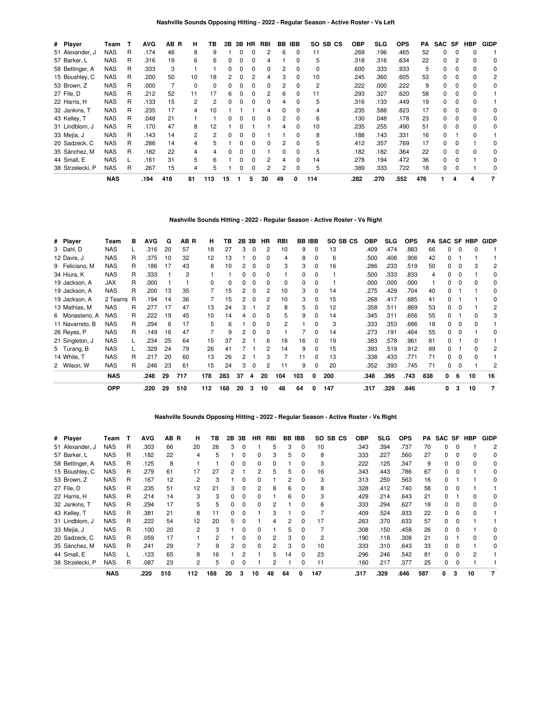| # Player         | Team       | т | <b>AVG</b> | AB<br>B | н  | ΤВ  | 2В |   | 3B HR        | <b>RBI</b> |              | <b>BB IBB</b> | SO.<br>SB CS | <b>OBP</b> | <b>SLG</b> | <b>OPS</b> | PA  | SAC SF   |          | <b>HBP</b> | <b>GIDP</b>    |
|------------------|------------|---|------------|---------|----|-----|----|---|--------------|------------|--------------|---------------|--------------|------------|------------|------------|-----|----------|----------|------------|----------------|
| 51 Alexander, J  | <b>NAS</b> | R | .174       | 46      | 8  | 9   |    | 0 | 0            | 2          | 6            | 0             | 11           | .269       | .196       | .465       | 52  | $\Omega$ | $\Omega$ | $\Omega$   |                |
| 57 Barker, L     | <b>NAS</b> | R | .316       | 19      | 6  | 6   |    |   |              | 4          |              | ŋ             | 5            | .318       | .316       | .634       | 22  | O.       |          |            | $\Omega$       |
| 58 Bettinger, A  | NAS        | R | .333       | 3       |    |     |    |   |              | 0          |              |               | 0            | .600       | .333       | .933       | 5   | 0        |          |            | 0              |
| 15 Boushley, C   | <b>NAS</b> | R | .200       | 50      | 10 | 18  |    |   |              |            |              |               | 10           | .245       | .360       | .605       | 53  | 0        |          |            | 2              |
| 53 Brown, Z      | <b>NAS</b> | R | .000       |         |    | 0   |    |   |              | 0          |              |               | 2            | 222        | .000       | .222       | 9   | 0        |          |            | 0              |
| 27 File, D       | <b>NAS</b> | R | .212       | 52      | 11 | 17  | 6  | ŋ |              | 2          | 6            | 0             | 11           | .293       | .327       | .620       | 58  | 0        | $\Omega$ | 0          |                |
| 22 Harris, H     | <b>NAS</b> | R | .133       | 15      | 2  | 2   | 0  | 0 |              | 0          | 4            | 0             | 5            | .316       | .133       | .449       | 19  | 0        | 0        | $\Omega$   |                |
| 32 Jankins, T    | <b>NAS</b> | R | .235       | 17      | 4  | 10  |    |   |              | Δ          | <sup>n</sup> | <sup>0</sup>  | 4            | 235        | .588       | .823       | 17  | 0        |          |            | $\Omega$       |
| 43 Kelley, T     | <b>NAS</b> | R | .048       | 21      |    |     |    |   |              | 0          | 2            | <sup>0</sup>  | 6            | .130       | .048       | .178       | 23  | 0        |          |            | 0              |
| 31 Lindblom, J   | <b>NAS</b> | R | .170       | 47      | 8  | 12  |    |   |              |            |              |               | 10           | .235       | .255       | .490       | 51  | O.       |          |            | 0              |
| 33 Mejía, J      | <b>NAS</b> | R | .143       | 14      |    |     |    |   |              |            |              |               | 8            | .188       | .143       | .331       | 16  | 0        |          |            |                |
| 20 Sadzeck, C    | <b>NAS</b> | R | .286       | 14      |    | 5   |    |   |              | O          |              |               | 5            | .412       | .357       | .769       | 17  | O.       |          |            | 0              |
| 35 Sánchez, M    | <b>NAS</b> | R | .182       | 22      |    |     |    |   |              |            | 0            | 0             | 5            | .182       | .182       | .364       | 22  | 0        |          |            | 0              |
| 44 Small, E      | <b>NAS</b> |   | .161       | 31      | 5. | 6   |    | ŋ |              | 2          |              | 0             | 14           | .278       | .194       | .472       | 36  | 0        |          |            | 0              |
| 38 Strzelecki, P | <b>NAS</b> | R | .267       | 15      | 4  | 5   |    | O | <sup>0</sup> | 2          | 2            | <sup>0</sup>  | 5            | .389       | .333       | .722       | 18  | $\Omega$ | $\Omega$ |            | $\Omega$       |
|                  | <b>NAS</b> |   | .194       | 418     | 81 | 113 | 15 |   | 5            | 30         | 49           | 0             | 114          | .282       | .270       | .552       | 476 |          | 4        | 4          | $\overline{7}$ |

**Nashville Sounds Hitting - 2022 - Regular Season - Active Roster - Vs Right**

| # Player        | Team       | в  | <b>AVG</b> | G  | AB R | н   | ΤВ  |    | 2B 3B    | HR | RBI |     | <b>BB IBB</b> | SO SB CS | OBP  | <b>SLG</b> | <b>OPS</b> | PA  | SAC SF |          | <b>HBP</b> | <b>GIDP</b> |
|-----------------|------------|----|------------|----|------|-----|-----|----|----------|----|-----|-----|---------------|----------|------|------------|------------|-----|--------|----------|------------|-------------|
| 3 Dahl, D       | <b>NAS</b> | L. | .316       | 20 | 57   | 18  | 27  | 3  | $\Omega$ | 2  | 10  | 9   | 0             | 13       | .409 | .474       | .883       | 66  | 0      | $\Omega$ | 0          |             |
| 12 Davis, J     | <b>NAS</b> | R  | .375       | 10 | 32   | 12  | 13  |    | 0        | 0  | 4   | 8   | 0             | 6        | .500 | .406       | .906       | 42  | 0      |          |            |             |
| 9 Feliciano, M  | <b>NAS</b> | R  | .186       | 17 | 43   | 8   | 10  | 2  | $\Omega$ | 0  | 3   | 3   | 0             | 16       | .286 | .233       | .519       | 50  | 0      | $\Omega$ | 3          | 2           |
| 34 Hiura, K     | <b>NAS</b> | R  | .333       |    | 3    |     |     | 0  | 0        | 0  |     | 0   | 0             |          | .500 | .333       | .833       | 4   | 0      | 0        |            | 0           |
| 19 Jackson, A   | <b>JAX</b> | R  | .000       |    |      | 0   | 0   | 0  | $\Omega$ | 0  | 0   | 0   | $\Omega$      |          | .000 | .000       | .000       |     | 0      | $\Omega$ | 0          | 0           |
| 19 Jackson, A   | <b>NAS</b> | R  | .200       | 13 | 35   |     | 15  | 2  | 0        | 2  | 10  | 3   | 0             | 14       | .275 | .429       | .704       | 40  | 0      |          |            | 0           |
| 19 Jackson, A   | 2 Teams R  |    | .194       | 14 | 36   |     | 15  | 2  | - 0      | 2  | 10  | 3   | 0             | 15       | .268 | .417       | .685       | 41  | 0      |          |            | 0           |
| 13 Mathias, M   | <b>NAS</b> | R  | .277       | 17 | 47   | 13  | 24  | 3  |          |    | 8   | 5   | 0             | 12       | .358 | .511       | .869       | 53  | 0      | 0        |            | 2           |
| 6 Monasterio, A | <b>NAS</b> | R  | .222       | 19 | 45   | 10  | 14  | 4  | 0        | 0  | 5   | 9   | 0             | 14       | .345 | .311       | .656       | 55  | 0      |          | 0          | 3           |
| 11 Navarreto, B | <b>NAS</b> | R  | .294       | 6  | 17   | 5   | 6   |    | $\Omega$ | 0  | 2   |     | 0             | 3        | .333 | .353       | .686       | 18  | 0      | $\Omega$ | 0          |             |
| 26 Reyes, P     | <b>NAS</b> | R  | .149       | 16 | 47   |     | 9   | 2  | - 0      | 0  |     |     | 0             | 14       | .273 | .191       | .464       | 55  | 0      | 0        |            | 0           |
| 21 Singleton, J | <b>NAS</b> |    | .234       | 25 | 64   | 15  | 37  | 2  |          | 6  | 18  | 16  | 0             | 19       | .383 | .578       | .961       | 81  | 0      |          | 0          |             |
| 5 Turang, B     | <b>NAS</b> |    | .329       | 24 | 79   | 26  | 41  |    |          | 2  | 14  | 9   | $\Omega$      | 15       | .393 | .519       | .912       | 89  | 0      |          | ŋ          | 2           |
| 14 White, T     | <b>NAS</b> | R  | .217       | 20 | 60   | 13  | 26  | 2  |          | 3  |     | 11  | 0             | 13       | .338 | .433       | .771       | 71  | 0      | 0        | ŋ          |             |
| 2 Wilson, W     | <b>NAS</b> | R  | .246       | 23 | 61   | 15  | 24  | 3  | 0        | 2  | 11  | 9   | 0             | 20       | .352 | .393       | .745       | 71  | 0      | $\Omega$ |            | 2           |
|                 | <b>NAS</b> |    | .248       | 29 | 717  | 178 | 283 | 37 | 4        | 20 | 104 | 103 | 0             | 200      | .348 | .395       | .743       | 838 | 0      | 6        | 10         | 16          |
|                 | <b>OPP</b> |    | .220       | 29 | 510  | 112 | 168 | 20 | 3        | 10 | 48  | 64  | <sup>0</sup>  | 147      | .317 | .329       | .646       |     | 0      | 3        | 10         | 7           |

## **Nashville Sounds Opposing Hitting - 2022 - Regular Season - Active Roster - Vs Right**

| # Player         | Team       | т | <b>AVG</b> | AB R | н   | ΤВ  | 2B | 3B | HR.          | RBI          | BB | <b>IBB</b>   | SO SB CS | <b>OBP</b> | SLG  | <b>OPS</b> | PA  |    | SAC SF HBP | <b>GIDP</b> |
|------------------|------------|---|------------|------|-----|-----|----|----|--------------|--------------|----|--------------|----------|------------|------|------------|-----|----|------------|-------------|
| 51 Alexander, J  | <b>NAS</b> | R | .303       | 66   | 20  | 26  | 3  | 0  |              | 5            | 3  | $\Omega$     | 10       | .343       | .394 | .737       | 70  | 0  |            | 2           |
| 57 Barker, L     | <b>NAS</b> | R | .182       | 22   | 4   | 5   |    | 0  | 0            | 3            | 5  | 0            | 8        | .333       | .227 | .560       | 27  | 0  |            | 0           |
| 58 Bettinger, A  | <b>NAS</b> | R | .125       | 8    |     |     |    | ŋ  | <sup>0</sup> | <sup>0</sup> |    |              | З        | .222       | .125 | .347       | 9   | O. |            | 0           |
| 15 Boushley, C   | NAS        | R | .279       | 61   | 17  | 27  |    |    |              |              |    |              | 16       | .343       | .443 | .786       | 67  | 0  |            | 0           |
| 53 Brown, Z      | NAS        | R | .167       | 12   | 2   | 3   |    | 0  |              |              |    |              | 3        | .313       | .250 | .563       | 16  | 0  |            | 0           |
| 27 File, D       | <b>NAS</b> | R | .235       | 51   | 12  | 21  | 3  | 0  |              | 8            | 6  |              | 8        | .328       | .412 | .740       | 58  | 0  |            |             |
| 22 Harris, H     | <b>NAS</b> | R | .214       | 14   | 3   | 3   | 0  | 0  | 0            |              | 6  | <sup>0</sup> | З        | .429       | .214 | .643       | 21  | 0  |            |             |
| 32 Jankins, T    | NAS        | R | .294       | 17   | 5   | 5   |    | ŋ  | ŋ            |              |    |              | 6        | .333       | .294 | .627       | 18  | O. |            | 0           |
| 43 Kelley, T     | <b>NAS</b> | R | .381       | 21   | 8   |     |    |    |              |              |    |              |          | .409       | .524 | .933       | 22  | 0  |            |             |
| 31 Lindblom, J   | NAS        | R | .222       | 54   | 12  | 20  | 5  | 0  |              |              |    |              | 17       | .263       | .370 | .633       | 57  | 0  |            |             |
| 33 Mejía, J      | <b>NAS</b> | R | .100       | 20   | 2   | з   |    | ŋ  | <sup>0</sup> |              | 5. | <sup>0</sup> |          | .308       | .150 | .458       | 26  | 0  |            | 0           |
| 20 Sadzeck, C    | <b>NAS</b> | R | .059       | 17   |     | 2   |    | ŋ  | <sup>0</sup> | 2            | 3  |              | 2        | .190       | .118 | .308       | 21  | 0  |            |             |
| 35 Sánchez, M    | <b>NAS</b> | R | .241       | 29   |     | 9   |    | 0  | O            | 2            |    |              | 10       | .333       | .310 | .643       | 33  | O. |            |             |
| 44 Small, E      | <b>NAS</b> |   | .123       | 65   | 8   | 16  |    |    |              | 5            | 14 |              | 23       | .296       | .246 | .542       | 81  | O. |            |             |
| 38 Strzelecki, P | <b>NAS</b> | R | .087       | 23   | 2   | 5   |    | 0  |              |              |    |              | 11       | .160       | .217 | .377       | 25  | 0  |            |             |
|                  | <b>NAS</b> |   | .220       | 510  | 112 | 168 | 20 | з  | 10           | 48           | 64 | O            | 147      | .317       | .329 | .646       | 587 | 0  | 10         |             |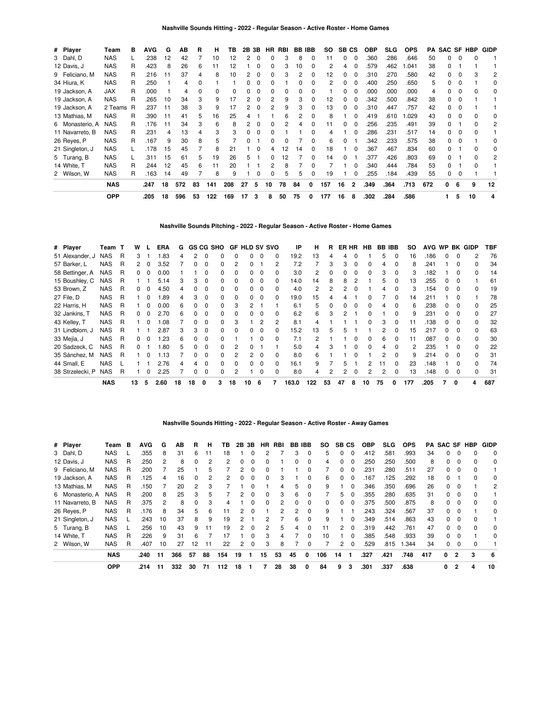| # Player        | Team       | в  | <b>AVG</b> | G  | AB  | R  | н   | ΤВ       | 2B | 3B |    | HR RBI | <b>BB IBB</b> |              | SO. | SB CS |          | <b>OBP</b> | <b>SLG</b> | <b>OPS</b> | PA  |    |          | SAC SF HBP | GIDP |
|-----------------|------------|----|------------|----|-----|----|-----|----------|----|----|----|--------|---------------|--------------|-----|-------|----------|------------|------------|------------|-----|----|----------|------------|------|
| 3 Dahl, D       | <b>NAS</b> |    | .238       | 12 | 42  |    | 10  | 12       |    |    | 0  | 3      | 8             | $\Omega$     | 11  | 0     | $\Omega$ | .360       | .286       | .646       | 50  | 0  |          |            |      |
| 12 Davis, J     | <b>NAS</b> | R  | .423       | 8  | 26  | 6  | 11  | 12       |    |    | 0  | 3      | 10            | O            | 2   | 4     | 0        | .579       | .462       | 1.041      | 38  | 0  |          |            |      |
| 9 Feliciano, M  | NAS        | R  | .216       | 11 | 37  | 4  | 8   | 10       |    | 0  |    | з      | 2             | <sup>0</sup> | 12  | 0     | 0        | .310       | .270       | .580       | 42  | 0  |          | 3          | 2    |
| 34 Hiura, K     | <b>NAS</b> | R  | .250       |    | 4   | 0  |     |          |    | 0  |    |        | 0             |              | 2   | 0     | $\Omega$ | .400       | .250       | .650       | 5   | 0  | $\Omega$ |            | 0    |
| 19 Jackson, A   | JAX        | R  | .000       |    | 4   | 0  | 0   | $\Omega$ |    |    |    | 0      | 0             |              |     | 0     | $\Omega$ | .000       | .000       | .000       | 4   | 0  | $\Omega$ | o          | 0    |
| 19 Jackson, A   | <b>NAS</b> | R  | .265       | 10 | 34  | 3  | 9   | 17       |    |    |    | 9      | 3             | 0            | 12  | 0     | $\Omega$ | .342       | .500       | .842       | 38  | 0  | $\Omega$ |            |      |
| 19 Jackson, A   | 2 Teams R  |    | .237       | 11 | 38  | 3  | 9   | 17       |    |    |    | 9      | 3             | 0            | 13  | 0     | $\Omega$ | .310       | .447       | .757       | 42  | 0  |          |            |      |
| 13 Mathias, M   | <b>NAS</b> | R  | .390       | 11 | 41  | 5  | 16  | 25       |    |    |    | 6      | 2             |              | 8   |       | 0        | .419       | .610       | 1.029      | 43  | 0  |          |            | 0    |
| 6 Monasterio, A | NAS        | R. | .176       | 11 | 34  | 3  | 6   | 8        |    |    |    | 2      |               |              | 11  | 0     | $\Omega$ | .256       | .235       | .491       | 39  | 0  |          |            | 2    |
| 11 Navarreto, B | NAS        | R  | .231       | 4  | 13  | 4  | 3   | 3        |    |    |    |        |               |              |     |       | 0        | .286       | .231       | .517       | 14  | 0  |          |            |      |
| 26 Reyes, P     | NAS        | R  | .167       | 9  | 30  | 8  | 5   |          |    |    |    |        |               |              | 6   | 0     |          | .342       | .233       | .575       | 38  | 0  |          |            | 0    |
| 21 Singleton, J | <b>NAS</b> |    | .178       | 15 | 45  |    | 8   | 21       |    |    |    | 12     | 14            | 0            | 18  |       | 0        | .367       | .467       | .834       | 60  | 0  |          |            | 0    |
| 5 Turang, B     | <b>NAS</b> |    | .311       | 15 | 61  | 5  | 19  | 26       |    |    | 0  | 12     |               |              | 14  | 0     |          | .377       | .426       | .803       | 69  | 0  |          |            | 2    |
| 14 White, T     | <b>NAS</b> | R  | .244       | 12 | 45  | 6  | 11  | 20       |    |    |    | 8      |               |              |     |       | 0        | .340       | .444       | .784       | 53  | 0  |          |            |      |
| 2 Wilson, W     | <b>NAS</b> | R  | .163       | 14 | 49  |    | 8   | 9        |    |    |    | 5      | 5             | 0            | 19  |       | 0        | .255       | .184       | .439       | 55  | 0  | $\Omega$ |            |      |
|                 | <b>NAS</b> |    | .247       | 18 | 572 | 83 | 141 | 208      | 27 | 5  | 10 | 78     | 84            | 0            | 157 | 16    | 2        | .349       | .364       | .713       | 672 | n. | 6        | 9          | 12   |
|                 | OPP        |    | .205       | 18 | 596 | 53 | 122 | 169      | 17 | 3  | 8  | 50     | 75            | 0            | 177 | 16    | 8        | .302       | .284       | .586       |     |    | 5        | 10         | 4    |

### **Nashville Sounds Pitching - 2022 - Regular Season - Active Roster - Home Games**

| # Player         | Team T     |   | w            |              | ERA  | G  | <b>GS CG SHO</b> |          |              |              | <b>GF HLD SV SVO</b> |          |              | IP    | н   | R  | ER HR |          | <b>HB</b>    | <b>BB IBB</b> |          | SO  |      |              |              | AVG WP BK GIDP | TBF |
|------------------|------------|---|--------------|--------------|------|----|------------------|----------|--------------|--------------|----------------------|----------|--------------|-------|-----|----|-------|----------|--------------|---------------|----------|-----|------|--------------|--------------|----------------|-----|
| 51 Alexander, J  | <b>NAS</b> | R | 3            |              | 1.83 | 4  | 2                | $\Omega$ |              |              | 0                    | $\Omega$ | $\Omega$     | 19.2  | 13  |    | 4     |          |              | 5             | $\Omega$ | 16  | .186 | 0            | $\Omega$     | 2              | 76  |
| 57 Barker, L     | <b>NAS</b> | R | 2            | $\Omega$     | 3.52 |    |                  | $\Omega$ | 0            |              |                      |          | 2            | 7.2   |     | 3  | 3     | - 0      | <sup>0</sup> | 4             | $\Omega$ | 8   | .241 |              | 0            |                | 34  |
| 58 Bettinger, A  | <b>NAS</b> | R | 0            | 0            | 0.00 |    |                  |          |              |              |                      | $\Omega$ | $\Omega$     | 3.0   |     |    | O.    |          | <sup>0</sup> | 3             |          | 3   | .182 |              |              |                | 14  |
| 15 Boushley, C   | <b>NAS</b> | R |              |              | 5.14 | 3  | 3                |          |              |              | 0                    | $\Omega$ | <sup>0</sup> | 14.0  | 14  |    | 8     |          |              | 5             |          | 13  | 255  |              |              |                | 61  |
| 53 Brown, Z      | <b>NAS</b> | R | 0            | 0            | 4.50 | 4  |                  |          |              |              | 0                    | $\Omega$ | <sup>0</sup> | 4.0   | 2   |    | 2     |          |              |               |          | 3   | .154 | 0            | 0            |                | 19  |
| 27 File, D       | <b>NAS</b> | R |              | 0            | 1.89 | 4  | 3                | 0        | 0            | <sup>0</sup> | <sup>o</sup>         | $\Omega$ | $\Omega$     | 19.0  | 15  |    |       |          |              |               | $\Omega$ | 14  | .211 |              | <sup>0</sup> |                | 78  |
| 22 Harris, H     | <b>NAS</b> | R |              | 0            | 0.00 | 6  | O.               | $\Omega$ | <sup>0</sup> |              |                      |          |              | 6.1   | 5   | O  | 0     | $\Omega$ | n            | Δ             | 0        | 6   | 238  | <sup>o</sup> | <sup>0</sup> | n              | 25  |
| 32 Jankins, T    | <b>NAS</b> | R | 0            |              | 2.70 | 6  |                  | $\Omega$ | 0            |              |                      | $\Omega$ | <sup>0</sup> | 6.2   | 6   |    | 2     |          |              |               | $\Omega$ | 9   | .231 |              | O            |                | 27  |
| 43 Kelley, T     | <b>NAS</b> | R |              | <sup>0</sup> | 1.08 |    |                  |          |              |              |                      | 2        |              | 8.1   | 4   |    |       |          |              | 3             |          | 11  | .138 |              |              |                | 32  |
| 31 Lindblom, J   | <b>NAS</b> | R |              |              | 2.87 | 3  | 3                | $\Omega$ | 0            | $\Omega$     | 0                    | $\Omega$ | 0            | 15.2  | 13  |    |       |          |              |               | $\Omega$ | 15  | .217 | 0            | 0            | ŋ              | 63  |
| 33 Mejía, J      | <b>NAS</b> | R | 0            | 0            | 1.23 | 6  | n.               | $\Omega$ | 0            |              |                      | $\Omega$ | <sup>0</sup> | 7.1   |     |    |       |          | <sup>0</sup> | 6             | $\Omega$ | 11  | .087 | 0            | <sup>0</sup> | <sup>0</sup>   | 30  |
| 20 Sadzeck, C    | <b>NAS</b> | R | <sup>o</sup> |              | .80  | 5  |                  | $\Omega$ | <sup>0</sup> |              |                      |          |              | 5.0   | 4   | з  |       |          | n            |               | $\Omega$ | 2   | 235  |              | <sup>0</sup> | <sup>n</sup>   | 22  |
| 35 Sánchez, M    | <b>NAS</b> | R |              |              | 1.13 |    |                  |          |              |              | 2                    | $\Omega$ | <sup>0</sup> | 8.0   | 6   |    |       |          |              | 2             | $\Omega$ | 9   | .214 |              | O            |                | 31  |
| 44 Small, E      | <b>NAS</b> |   |              |              | 2.76 | 4  |                  | $\Omega$ |              |              |                      | $\Omega$ | <sup>0</sup> | 16.1  |     |    | 5     |          |              |               | $\Omega$ | 23  | .148 |              |              |                | 74  |
| 38 Strzelecki, P | <b>NAS</b> | R |              | 0            | 2.25 |    |                  | 0        |              |              |                      | $\Omega$ | $\Omega$     | 8.0   | 4   |    | 2     |          |              |               |          | 13  | .148 | 0            | 0            |                | 31  |
|                  | <b>NAS</b> |   | 13           | 5            | 2.60 | 18 | 18               | 0        |              | 18           | 10                   | 6        |              | 163.0 | 122 | 53 | 47    | 8        | 10           | 75            | 0        | 177 | .205 |              |              | 4              | 687 |

## **Nashville Sounds Hitting - 2022 - Regular Season - Active Roster - Away Games**

| # Player        | Team       | в | <b>AVG</b> | G  | AВ  | R  | н  | ΤВ  | 2В | 3В           | HR. | RBI | BB.      | IBB      | so       | SB.          | СS       | <b>OBP</b> | <b>SLG</b> | <b>OPS</b> |     |              |          | <b>PA SAC SF HBP</b> | <b>GIDP</b> |
|-----------------|------------|---|------------|----|-----|----|----|-----|----|--------------|-----|-----|----------|----------|----------|--------------|----------|------------|------------|------------|-----|--------------|----------|----------------------|-------------|
| 3 Dahl, D       | <b>NAS</b> |   | .355       | 8  | 31  | 6  | 11 | 18  |    |              | 2   |     | 3        | 0        | 5        |              | $\Omega$ | .412       | .581       | .993       | 34  |              | 0        |                      | 0           |
| 12 Davis, J     | <b>NAS</b> | R | .250       | 2  | 8   | 0  | 2  | 2   | 0  | $\Omega$     | 0   |     |          | $\Omega$ | 4        | 0            | $\Omega$ | .250       | .250       | .500       | 8   | 0            | $\Omega$ |                      | 0           |
| 9 Feliciano, M  | <b>NAS</b> | R | .200       |    | 25  |    | 5  |     | 2  |              |     |     |          | ŋ        |          |              | $\Omega$ | .231       | .280       | .511       | 27  |              | $\Omega$ |                      |             |
| 19 Jackson, A   | <b>NAS</b> | R | .125       | 4  | 16  | 0  |    |     | 0  | 0            | 0   | З   |          | 0        | 6        | 0            | $\Omega$ | .167       | .125       | .292       | 18  |              |          |                      | 0           |
| 13 Mathias, M   | <b>NAS</b> | R | .150       |    | 20  | 2  | 3  |     |    | 0            |     | 4   | 5.       | $\Omega$ | 9        |              | $\Omega$ | .346       | .350       | .696       | 26  | <sup>o</sup> | $\Omega$ |                      | 2           |
| 6 Monasterio, A | <b>NAS</b> | R | .200       | 8  | 25  | з  | 5  |     | 2  |              | 0   | 3   | 6        | 0        |          | 5.           | 0        | .355       | .280       | .635       | 31  |              | 0        |                      |             |
| 11 Navarreto, B | <b>NAS</b> | R | .375       | 2  | 8   | 0  | 3  | 4   |    | <sup>0</sup> | 0   | 2   | $\Omega$ | $\Omega$ | $\Omega$ | <sup>0</sup> | $\Omega$ | .375       | .500       | .875       | 8   | <sup>o</sup> | $\Omega$ |                      | $\Omega$    |
| 26 Reyes, P     | <b>NAS</b> | R | .176       | 8  | 34  | 5  | 6  | 11  | 2  | 0            |     | 2   |          | $\Omega$ | 9        |              |          | .243       | .324       | .567       | 37  | <sup>0</sup> | 0        |                      | 0           |
| 21 Singleton, J | <b>NAS</b> |   | .243       | 10 | 37  | 8  | 9  | 19  | 2  |              |     |     | 6        | 0        | 9        |              | $\Omega$ | .349       | .514       | .863       | 43  | 0            | $\Omega$ |                      |             |
| 5 Turang, B     | <b>NAS</b> |   | 256        | 10 | 43  | 9  | 11 | 19  | 2  | $\Omega$     | 2   | 5   | 4        | 0        | 11       | 2            | $\Omega$ | .319       | .442       | .761       | 47  | <sup>0</sup> | $\Omega$ | <sup>0</sup>         | $\Omega$    |
| 14 White, T     | <b>NAS</b> | R | .226       | 9  | 31  | 6  |    |     |    |              | 3   | 4   |          | 0        | 10       |              | $\Omega$ | .385       | .548       | .933       | 39  | <sup>0</sup> | 0        |                      | $\Omega$    |
| 2 Wilson, W     | <b>NAS</b> | R | .407       | 10 | 27  | 12 | 11 | 22  | 2  | 0            | 3   | 8   |          | 0        |          | 2            | $\Omega$ | .529       | .815       | 1.344      | 34  | 0            | 0        |                      |             |
|                 | <b>NAS</b> |   | .240       | 11 | 366 | 57 | 88 | 154 | 19 |              | 15  | 53  | 45       | 0        | 106      | 14           |          | .327       | .421       | .748       | 417 | $\mathbf{0}$ | 2        | 3                    | -6          |
|                 | <b>OPP</b> |   | .214       | 11 | 332 | 30 | 71 | 112 | 18 |              |     | 28  | 38       | 0        | 84       | 9            | з        | .301       | .337       | .638       |     | 0            |          | 4                    | 10          |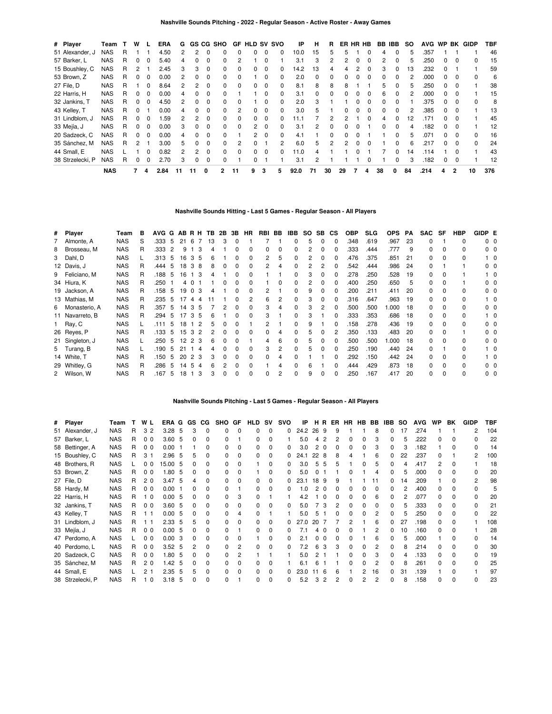| # Player         | Team       |   | w            |              | ERA  | G  |              |              | GS CG SHO      | GF       | <b>HLD SV SVO</b> |          |              | IP   | н        | R            |    |          | ER HR HB | BB.          | IBB      | so | <b>AVG</b> | <b>WP</b> |                | <b>BK GIDP</b> | TBF |
|------------------|------------|---|--------------|--------------|------|----|--------------|--------------|----------------|----------|-------------------|----------|--------------|------|----------|--------------|----|----------|----------|--------------|----------|----|------------|-----------|----------------|----------------|-----|
| 51 Alexander, J  | <b>NAS</b> | R |              |              | 4.50 | 2  | 2            | 0            |                | $\Omega$ | 0                 | $\Omega$ | 0            | 10.0 | 15       | 5.           | 5  |          |          | 4            |          | 5  | 357        |           |                |                | 46  |
| 57 Barker, L     | <b>NAS</b> | R |              |              | 5.40 | 4  |              | 0            |                |          |                   |          |              | 3.1  | 3        |              |    | 0        |          | 2            |          | 5  | .250       |           |                | 0              | 15  |
| 15 Boushley, C   | <b>NAS</b> | R |              |              | 2.45 | 3  | 3            | $\Omega$     | 0              | $\Omega$ | 0                 | $\Omega$ | $\Omega$     | 14.2 | 13       |              | 4  | 2        | O        | 3            | 0        | 13 | .232       | 0         |                |                | 59  |
| 53 Brown, Z      | <b>NAS</b> | R | 0            | <sup>0</sup> | 0.00 | 2  | 0            | 0            | <sup>0</sup>   | $\Omega$ |                   | $\Omega$ | $\Omega$     | 2.0  | $\Omega$ | <sup>0</sup> | 0  | $\Omega$ | $\Omega$ | ŋ            | $\Omega$ | 2  | .000       | O.        | - 0            | <sup>0</sup>   | 6   |
| 27 File, D       | <b>NAS</b> | R |              | ŋ            | 8.64 | 2  | 2            | 0            |                | $\Omega$ | 0                 |          | 0            | 8.1  | 8        | 8            | 8  |          |          | 5            |          | 5  | .250       |           |                |                | 38  |
| 22 Harris, H     | <b>NAS</b> | R | 0            | 0            | 0.00 | 4  | 0            | 0            |                |          |                   | 0        | $\Omega$     | 3.1  | 0        | <sup>0</sup> | 0  | 0        | n        | 6            | 0        | 2  | .000       | 0         |                |                | 15  |
| 32 Jankins, T    | <b>NAS</b> | R | $\Omega$     | <sup>0</sup> | 4.50 | 2  | <sup>0</sup> | 0            | <sup>0</sup>   | $\Omega$ |                   | $\Omega$ | $\Omega$     | 2.0  | 3        |              |    | $\Omega$ | n        | <sup>0</sup> |          |    | .375       | 0         | $\Omega$       | <sup>0</sup>   | 8   |
| 43 Kelley, T     | <b>NAS</b> | R |              |              | 0.00 | 4  |              | <sup>0</sup> |                | 2        | n                 | $\Omega$ | <sup>0</sup> | 3.0  |          |              | 0  | O        | n        | ŋ            |          | 2  | .385       |           |                |                | 13  |
| 31 Lindblom, J   | <b>NAS</b> | R | 0            |              | .59  |    | 2            | 0            | 0              | 0        | 0                 | $\Omega$ | 0            | 1.1  |          |              |    |          |          |              |          | 12 | 171        |           |                |                | 45  |
| 33 Mejía, J      | <b>NAS</b> | R | <sup>0</sup> | $\Omega$     | 0.00 | 3  | $\Omega$     | $\Omega$     | <sup>0</sup>   | $\Omega$ | 2                 | $\Omega$ | $\Omega$     | 3.1  | 2        | $\Omega$     | 0  |          |          | $\Omega$     | $\Omega$ | 4  | 182        | 0         | $\Omega$       |                | 12  |
| 20 Sadzeck, C    | <b>NAS</b> | R | 0            |              | 0.00 | 4  | <sup>0</sup> | 0            |                |          | $\mathcal{P}$     | $\Omega$ | $\Omega$     | 4.1  |          | <sup>0</sup> | 0  |          |          |              |          | 5  | .071       | n.        |                | n              | 16  |
| 35 Sánchez, M    | <b>NAS</b> | R | 2            |              | 3.00 | 5. |              | 0            |                | 2        |                   |          | 2            | 6.0  | 5        | 2            | 2  | $\Omega$ |          |              |          | 6  | .217       |           |                |                | 24  |
| 44 Small, E      | <b>NAS</b> |   |              | 0            | 0.82 | 2  | 2            | 0            | $\Omega$       | $\Omega$ | 0                 | $\Omega$ | $\Omega$     | 11.0 | 4        |              |    | O        |          |              | $\Omega$ | 14 | .114       |           | റ              |                | 43  |
| 38 Strzelecki, P | <b>NAS</b> | R | 0            | 0            | 2.70 | 3  | 0            | $\Omega$     |                |          | 0                 |          |              | 3.1  | 2        |              |    |          |          |              |          | 3  | .182       | 0         |                |                | 12  |
|                  | <b>NAS</b> |   |              | 4            | 2.84 | 11 | 11           | 0            | $\overline{2}$ | 11       | 9                 | 3        | 5            | 92.0 | 71       | 30           | 29 |          | 4        | 38           | 0        | 84 | .214       | 4         | $\overline{2}$ | 10             | 376 |

# **Nashville Sounds Hitting - Last 5 Games - Regular Season - All Players**

| # Player        | Team       | в  | AVG G AB R H TB |              |        |               |    |              |          | 2B 3B HR     | RBI | BB | IBB.         | <b>SO</b> | SB.          | CS           | <b>OBP</b> | <b>SLG</b> | <b>OPS</b> | PA   | SAC          | SF       | <b>HBP</b>   | GIDP E |                |
|-----------------|------------|----|-----------------|--------------|--------|---------------|----|--------------|----------|--------------|-----|----|--------------|-----------|--------------|--------------|------------|------------|------------|------|--------------|----------|--------------|--------|----------------|
| 7 Almonte, A    | <b>NAS</b> | S  | .333            | -5           | 21     | -6<br>-7      | 13 | 3            | $\Omega$ |              |     |    | 0            | 5         | 0            | 0            | .348       | .619       | .967       | 23   | 0            |          | 0            |        | 0 <sub>0</sub> |
| 8 Brosseau, M   | <b>NAS</b> | R. | .333            | 2            | 9      | 3             |    |              |          | $\Omega$     | 0   | 0  | 0            | 2         | $\Omega$     | 0            | .333       | .444       | .777       | 9    | 0            | $\Omega$ | 0            |        | $0\quad 0$     |
| 3 Dahl, D       | <b>NAS</b> |    | .313            | -5           | 16     | 35            | 6  |              |          | 0            | 2   | 5  | 0            |           | 0            | 0            | .476       | .375       | .851       | -21  | 0            | $\Omega$ | 0            |        | 10             |
| 12 Davis, J     | <b>NAS</b> | R  | .444            | -5           | $18$ . | 38            | 8  | $\Omega$     | 0        | 0            | 2   | 4  | <sup>0</sup> | 2         |              | 0            | .542       | .444       | .986       | -24  | 0            |          |              |        | $0\quad 0$     |
| 9 Feliciano, M  | <b>NAS</b> | R  | .188            | -5           | 16     | 1 3           |    |              |          | O            |     |    | <sup>0</sup> | 3         | <sup>0</sup> | 0            | .278       | .250       | .528       | 19   | 0            | $\Omega$ |              |        | 10             |
| 34 Hiura, K     | <b>NAS</b> | R  | .250            |              |        | 40            |    |              |          |              |     | 0  |              |           |              | O            | .400       | .250       | .650       | 5    | <sup>0</sup> |          |              |        | $0\quad 0$     |
| 19 Jackson, A   | <b>NAS</b> | R  | .158            | -5           | 19     | 3<br>$\Omega$ |    |              |          |              |     |    |              | 9         |              |              | .200       | .211       | .411       | 20   | <sup>0</sup> |          | 0            |        | 0 <sub>0</sub> |
| 13 Mathias, M   | <b>NAS</b> | R  | .235            | $\mathbf{h}$ | 17     | 4<br>4        |    |              |          |              | 6.  | 2  |              | 3         |              | ŋ            | .316       | .647       | .963       | 19   | 0            |          | 0            |        | 10             |
| 6 Monasterio, A | <b>NAS</b> | R  | .357            | -5           | 14     | 3<br>-5       |    |              |          | 0            | з   | 4  | <sup>0</sup> | 3         |              | 0            | .500       | .500       | 000.1      | 18   | 0            | $\Omega$ | 0            |        | $0\quad 0$     |
| 11 Navarreto, B | <b>NAS</b> | R  | .294            | 5            | 17     | 35            | 6  |              |          | $\Omega$     | з   |    | 0            | з         |              | 0            | .333       | .353       | .686       | -18  | 0            |          | 0            |        | 10             |
| 1 Ray, C        | <b>NAS</b> |    | .111            | 5            | 18     | - 2           | 5  |              |          |              | 2   |    | $\Omega$     | 9         |              | 0            | .158       | .278       | .436       | - 19 | 0            | $\Omega$ | U            |        | $0\quad 0$     |
| 26 Reyes, P     | <b>NAS</b> | R  | .133            | 5            | 15     | 32            |    |              | $\Omega$ | <sup>0</sup> | 0   | 4  | 0            | 5         | $\Omega$     | 2            | .350       | .133       | .483       | 20   | 0            | $\Omega$ |              |        | $0\quad 0$     |
| 21 Singleton, J | <b>NAS</b> |    | .250            | -5           |        | $12 \t2 \t3$  | 6  | <sup>0</sup> |          |              | 4   | 6  | 0            | 5         | $\Omega$     | 0            | .500       | .500       | 000.1      | -18  | 0            | $\Omega$ | 0            |        | 00             |
| 5 Turang, B     | <b>NAS</b> |    | .190            | 5            | 21     | -4            |    | 0            |          | 0            | з   | 2  | 0            | 5         | $\Omega$     | 0            | .250       | .190       | .440       | -24  | 0            |          | 0            |        | 10             |
| 14 White, T     | <b>NAS</b> | R. | .150            | .5           | 20     | 2 3           | 3  | $\Omega$     | $\Omega$ | $\Omega$     | O.  | 4  | $\Omega$     |           |              | 0            | .292       | .150       | .442       | 24   | 0            | $\Omega$ | 0            |        | $1\quad 0$     |
| 29 Whitley, G   | <b>NAS</b> | R  | .286            | 5            | 14     | 5<br>-4       | 6  |              |          | <sup>0</sup> |     | 4  | <sup>0</sup> | 6         |              | <sup>0</sup> | .444       | .429       | .873       | 18   | 0            | $\Omega$ | <sup>0</sup> |        | 00             |
| 2 Wilson, W     | <b>NAS</b> | R  | .167            | 5            | 18     | 3<br>1        |    |              |          | 0            |     | 2  | 0            | 9         | $\Omega$     | $\Omega$     | .250       | .167       | .417       | 20   | $\Omega$     | $\Omega$ | O            |        | 00             |

# **Nashville Sounds Pitching - Last 5 Games - Regular Season - All Players**

| # Player         | Team       |   | W L            | ERA G GS |     |    | CG.      | SHO          | GF           | HLD      | <b>SV</b>    | svo          | IP   | н  | R.       |   | ER HR HB |    | BB | IBB | SO. | <b>AVG</b> | <b>WP</b> | BK           | <b>GIDP</b> | TBF |
|------------------|------------|---|----------------|----------|-----|----|----------|--------------|--------------|----------|--------------|--------------|------|----|----------|---|----------|----|----|-----|-----|------------|-----------|--------------|-------------|-----|
| 51 Alexander, J  | <b>NAS</b> | R | 3 <sub>2</sub> | 3.28     | 5   | 3  | $\Omega$ | 0            | $\Omega$     | 0        | 0            | 0            | 24.2 | 26 | - 9      | 9 |          |    | 8  | 0   | 17  | .274       |           |              | 2           | 104 |
| 57 Barker, L     | <b>NAS</b> | R | 0 <sub>0</sub> | 3.60     | - 5 | 0  | 0        | <sup>n</sup> |              | 0        | <sup>0</sup> |              | 5.0  |    | 2        |   | 0        |    | З  | 0   | 5   | .222       | O.        |              |             | 22  |
| 58 Bettinger, A  | <b>NAS</b> | R | 0 <sub>0</sub> | 0.00     |     |    | ŋ        |              |              | 0        |              |              | 3.0  | 2  | - 0      |   |          |    |    | O.  | З   | .182       |           |              |             | 14  |
| 15 Boushley, C   | <b>NAS</b> | R | 3              | 2.96     | -5  | 5. | ŋ        | <sup>0</sup> |              | 0        |              | 0            | 24.1 | 22 | -8       |   |          |    | 6  | O.  | 22  | .237       | n         |              | 2           | 100 |
| 48 Brothers, R   | <b>NAS</b> |   | 0 <sub>0</sub> | 15.00    | -5  | 0  | 0        | <sup>0</sup> |              |          | <sup>0</sup> | 0            | 3.0  |    | 5        |   |          |    | 5  | U   | 4   | .417       | 2         |              |             | 18  |
| 53 Brown, Z      | <b>NAS</b> | R | 0 <sub>0</sub> | 1.80     | 5   |    | 0        | 0            |              |          | O            |              | 5.0  |    |          |   |          |    |    | U   | 5   | .000       | 0         |              |             | 20  |
| 27 File, D       | <b>NAS</b> | R | 2 <sub>0</sub> | 3.47     | -5  |    | ŋ        |              |              | 0        | 0            | 0            | 23.1 | 18 | -9       |   |          |    |    | 0   | 14  | .209       |           |              | 2           | 98  |
| 58 Hardy, M      | <b>NAS</b> | R | 0 <sub>0</sub> | 0.00     |     | 0  | 0        | 0            |              | 0        | $\Omega$     | 0            | .0   |    | - 0      |   | O.       |    |    | O.  | 2   | .400       | 0         | <sup>0</sup> |             | 5   |
| 22 Harris, H     | <b>NAS</b> | R | - 0            | 0.00     | -5  | 0  | 0        | <sup>0</sup> | 3            | 0        |              |              | 4.2  |    | $\Omega$ |   | 0        |    | հ  | 0   | 2   | .077       | 0         | $\Omega$     | 0           | 20  |
| 32 Jankins, T    | <b>NAS</b> | R | 0 <sub>0</sub> | 3.60     | -5  | 0  | 0        |              |              | 0        |              | 0            | 5.0  |    | З        |   | 0        |    |    | O.  | 5   | .333       | 0         |              |             | 21  |
| 43 Kelley, T     | <b>NAS</b> | R | 11             | 0.00     | -5  | 0  | ŋ        | <sup>0</sup> |              | 0        |              |              | 5.0  |    |          |   | n        |    |    | O.  | 5   | .250       | O.        |              |             | 22  |
| 31 Lindblom, J   | <b>NAS</b> | R |                | 2.33     | -5  | 5. | 0        | <sup>0</sup> | n            | 0        |              | 0            | 27.0 | 20 |          |   |          |    | 6  | n   | 27  | .198       | 0         |              |             | 108 |
| 33 Mejía, J      | <b>NAS</b> | R | 0 <sub>0</sub> | 0.00     | -5  | 0  | 0        | <sup>n</sup> |              | 0        | n            |              |      |    |          |   | n        |    |    | O.  | 10  | .160       | 0         |              |             | 28  |
| 47 Perdomo, A    | <b>NAS</b> |   | 0 <sub>0</sub> | 0.00     | 3   |    | ŋ        |              |              |          | O            |              |      |    |          |   |          |    |    | U   | 5   | .000       |           |              |             | 14  |
| 40 Perdomo, L    | <b>NAS</b> | R | 0 <sub>0</sub> | 3.52     | -5  |    | ŋ        | <sup>n</sup> |              | $\Omega$ | <sup>0</sup> | <sup>0</sup> | 7.2  | 6  | З        |   | 0        |    |    | O.  | 8   | .214       | n         |              |             | 30  |
| 20 Sadzeck, C    | <b>NAS</b> | R | 0 <sub>0</sub> | 1.80     | 5   | 0  | 0        | <sup>0</sup> | 2            |          |              |              | 5.0  |    |          |   | 0        |    |    | O.  | 4   | .133       | 0         | <sup>0</sup> |             | 19  |
| 35 Sánchez, M    | <b>NAS</b> | R | 2 <sub>0</sub> | 1.42     | -5  | 0  | 0        | U            | <sup>n</sup> | 0        | ŋ            |              | 6.1  | ี  |          |   | 0        | n. | 2  | 0   | 8   | .261       | O.        | U            | ŋ           | 25  |
| 44 Small, E      | <b>NAS</b> |   | 2 <sup>1</sup> | 2.35     | -5  | 5  | 0        |              |              | 0        |              | 0            | 23.0 |    | -6       |   |          |    | 16 | 0   | 31  | .139       |           |              |             | 97  |
| 38 Strzelecki, P | <b>NAS</b> | R | 10             | 3.18     | 5   | O. | 0        | <sup>0</sup> |              | 0        |              | 0            | 5.2  | 3  |          |   | 0        |    |    | O.  | 8   | .158       |           |              |             | 23  |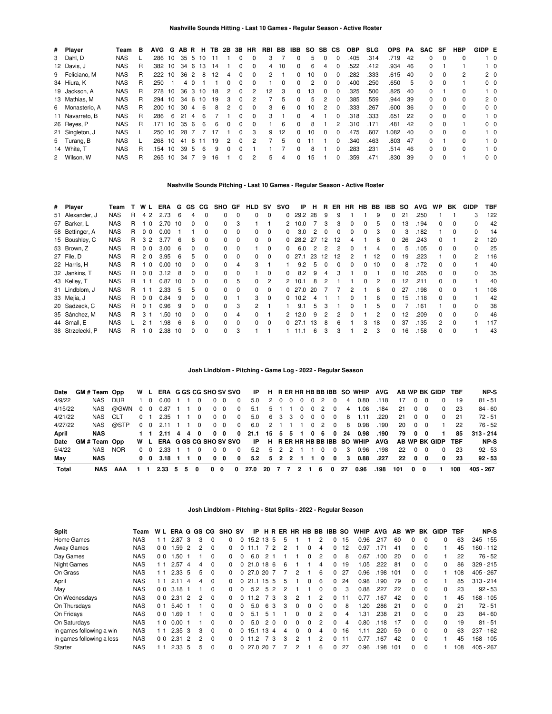| # Player        | Team       | в | AVG G   |    | ABR H |    |    |    |              | <b>TB 2B 3B HR</b> |               | RBI BB       |    | IBB          | SO. | SB.                  | <b>CS</b>    | <b>OBP</b> | <b>SLG</b> | <b>OPS</b> | PA  | SAC | SF       | <b>HBP</b>   | GIDP E |                |
|-----------------|------------|---|---------|----|-------|----|----|----|--------------|--------------------|---------------|--------------|----|--------------|-----|----------------------|--------------|------------|------------|------------|-----|-----|----------|--------------|--------|----------------|
| 3 Dahl, D       | <b>NAS</b> |   | .286 10 |    | 35 5  |    | 10 |    |              | 0                  | $\Omega$      | 3            |    | 0            | 5   | $\Omega$             | <sup>0</sup> | .405       | .314       | .719       | 42  | 0   | $\Omega$ | 0            |        | $1\quad 0$     |
| 12 Davis, J     | <b>NAS</b> |   | .382    | 10 | 34    | 6  | 13 | 14 |              | 0                  | $\Omega$      | 4            | 10 | <sup>0</sup> | 6   |                      |              | 522        | .412       | .934       | 46  | 0   |          |              |        | $1\quad$ 0     |
| 9 Feliciano, M  | <b>NAS</b> | R | .222    | 10 | 36    | 2  | 8  | 12 | 4            | 0                  | $\Omega$      | $\mathbf{2}$ |    | 0            | 10  | 0                    |              | .282       | .333       | .615       | 40  | 0   | $\Omega$ | 2            |        | 2 <sub>0</sub> |
| 34 Hiura, K     | <b>NAS</b> | R | .250    |    |       | 40 |    |    | 0            | 0                  | $\Omega$      |              | 0  | <sup>0</sup> | 2   | 0                    |              | .400       | .250       | .650       | 5   | 0   | $\Omega$ |              |        | 0 <sub>0</sub> |
| 19 Jackson, A   | <b>NAS</b> | R | .278 10 |    | 36    | 3  | 10 | 18 | 2            | 0                  | $\mathcal{P}$ | 12           | 3  | 0            | 13  | <sup>0</sup>         |              | .325       | .500       | .825       | 40  | 0   |          | 0            |        | $1\quad$ 0     |
| 13 Mathias, M   | <b>NAS</b> | R | .294    | 10 | 34    | -6 | 10 | 19 | 3            | 0                  | 2             |              | 5  | 0            | 5   |                      |              | .385       | .559       | .944       | 39  | 0   | $\Omega$ | <sup>0</sup> |        | 2 <sub>0</sub> |
| 6 Monasterio, A | <b>NAS</b> |   | .200    | 10 | 30    | 4  | 6  | 8  |              | 0                  | $\Omega$      | 3            | -6 | $\Omega$     | 10  | $\mathcal{P} \equiv$ |              | .333       | .267       | .600       | -36 | 0   | $\Omega$ | 0            |        | 0 <sub>0</sub> |
| 11 Navarreto, B | <b>NAS</b> | R | .286    | -6 | 21    | Δ  | 6  |    |              | 0                  | $\Omega$      | 3            |    | $\Omega$     | 4   |                      |              | .318       | .333       | .651       | -22 | 0   | $\Omega$ | <sup>0</sup> |        | $1\quad$ 0     |
| 26 Reyes, P     | <b>NAS</b> | R | .171    | 10 | 35    | 6  | 6  | 6  | <sup>0</sup> | <sup>0</sup>       | $\Omega$      |              | 6  | <sup>0</sup> | 8   |                      | 2            | .310       | .171       | .481       | 42  | 0   | 0        |              |        | 0 <sub>0</sub> |
| 21 Singleton, J | <b>NAS</b> |   | .250    | 10 | 28    |    |    |    |              | 0                  | 3             | 9            | 12 | 0            | 10  | <sup>0</sup>         |              | .475       | .607       | 0.082      | 40  | 0   | $\Omega$ | 0            |        | $1\quad 0$     |
| 5 Turang, B     | <b>NAS</b> |   | .268    | 10 | 41    | 6  | 11 | 19 | 2            | <sup>0</sup>       | $\mathcal{P}$ |              | 5  | 0            | 11  |                      |              | .340       | .463       | .803       | 47  | 0   |          | 0            |        | $1\quad 0$     |
| 14 White. T     | <b>NAS</b> | R | .154    | 10 | 39    | 5  | 6  | 9  | ŋ            | <sup>0</sup>       |               |              |    | $\Omega$     | 8   |                      |              | .283       | .231       | .514       | 46  | 0   | $\Omega$ | <sup>0</sup> |        | $1\quad$ 0     |
| 2 Wilson, W     | NAS        |   | .265    | 10 | 34    |    | 9  | 16 |              | 0                  | 2             | 5            | 4  | 0            | 15  |                      |              | .359       | .471       | .830       | 39  | 0   | $\Omega$ |              |        | 0 <sub>0</sub> |

## **Nashville Sounds Pitching - Last 10 Games - Regular Season - Active Roster**

| # Player         | Team       |   | W L            | ERA  | G  | GS.          | CG       | SHO GF       |              | <b>HLD</b>   | <b>SV</b> | svo                  | IP      | н  | R             | ER           | HR            | HB.          | BB            | IBB          | <b>SO</b> | <b>AVG</b> | <b>WP</b>    | BK           | <b>GIDP</b> | <b>TBF</b> |
|------------------|------------|---|----------------|------|----|--------------|----------|--------------|--------------|--------------|-----------|----------------------|---------|----|---------------|--------------|---------------|--------------|---------------|--------------|-----------|------------|--------------|--------------|-------------|------------|
| 51 Alexander, J  | <b>NAS</b> | R | 4 2            | 2.73 | 6  | 4            | $\Omega$ | 0            | $\Omega$     | 0            | $\Omega$  | 0                    | 29.2    | 28 | -9            | 9            |               |              | 9             | 0            | 21        | .250       |              |              | 3           | 122        |
| 57 Barker, L     | <b>NAS</b> | R | $\Omega$       | 2.70 | 10 | 0            | $\Omega$ | $\Omega$     | 3            |              |           | 2                    | 10.0    |    | 3             | 3            | $\Omega$      | 0            | 5             | 0            | 13        | .194       | 0            | 0            | 0           | 42         |
| 58 Bettinger, A  | <b>NAS</b> | R | 0 <sub>0</sub> | 0.00 |    |              | $\Omega$ | <sup>0</sup> | 0            | $\Omega$     | $\Omega$  | <sup>0</sup>         | 3.0     | 2  | - 0           | <sup>0</sup> | $\Omega$      | $\Omega$     | 3             | 0            | 3         | .182       |              | $\Omega$     | 0           | 14         |
| 15 Boushley, C   | <b>NAS</b> | R | 3 2            | 3.77 | 6  | 6            | $\Omega$ | $\Omega$     | $\Omega$     | 0            | $\Omega$  | <sup>0</sup>         | 28.2 27 |    | -12           | 12           | 4             |              | 8             | 0            | 26        | .243       | 0            |              | 2           | 120        |
| 53 Brown, Z      | <b>NAS</b> | R | 0 <sub>0</sub> | 3.00 | 6  | 0            | $\Omega$ | $\Omega$     | 0            |              | $\Omega$  | 0                    | 6.0     | 2  | $\mathcal{P}$ | 2            | $\Omega$      |              | 4             | 0            | 5         | .105       | <sup>o</sup> | 0            |             | 25         |
| 27 File, D       | <b>NAS</b> | R | 20             | 3.95 | 6  | 5            | $\Omega$ | <sup>0</sup> | $\Omega$     | $\Omega$     | $\Omega$  | 0                    | 27.1    | 23 | 12            | 12           | $\mathcal{P}$ |              | 12            | 0            | 19        | .223       |              | 0            | 2           | 116        |
| 22 Harris, H     | <b>NAS</b> | R | $\Omega$       | 0.00 | 10 | 0            | $\Omega$ | O.           | 4            | 3            |           |                      | 9.2     | 5  |               | <sup>0</sup> | <sup>0</sup>  | <sup>0</sup> | 10            | 0            | 8         | 172        | <sup>o</sup> | <sup>0</sup> |             | 40         |
| 32 Jankins, T    | <b>NAS</b> | R | 0 <sub>0</sub> | 3.12 | 8  | 0            | $\Omega$ | 0            | 0            |              | 0         | 0                    | 8.2     | 9  | 4             | 3            |               | 0            |               | 0            | 10        | .265       | 0            |              | ŋ           | 35         |
| 43 Kelley, T     | <b>NAS</b> | R | -1             | 0.87 | 10 | $\Omega$     | $\Omega$ | <sup>0</sup> | 5            | $\Omega$     | 2         | $\mathcal{P} \equiv$ | 10.1    | 8  |               |              |               | $\Omega$     | $\mathcal{P}$ | 0            | 12        | .211       | <sup>o</sup> | $\Omega$     |             | 40         |
| 31 Lindblom, J   | <b>NAS</b> | R |                | 2.33 | 5  | 5            | $\Omega$ | O.           | $\Omega$     | 0            | $\Omega$  | <sup>0</sup>         | 27.0    | 20 |               |              | 2             |              | 6             | 0            | 27        | .198       | <sup>o</sup> | <sup>0</sup> |             | 108        |
| 33 Mejía, J      | <b>NAS</b> | R | 0 <sub>0</sub> | 0.84 | 9  | 0            | $\Omega$ | <sup>o</sup> |              | 3            | $\Omega$  | <sup>0</sup>         | 10.2    | 4  |               |              | <sup>0</sup>  |              | 6             | 0            | 15        | .118       | <sup>o</sup> | 0            |             | 42         |
| 20 Sadzeck, C    | <b>NAS</b> | R | 0 <sub>1</sub> | 0.96 | 9  | $\Omega$     | $\Omega$ | $\Omega$     | 3            | 2            |           |                      | 9.1     | 5. | 3             |              | $\Omega$      |              | 5             | <sup>0</sup> |           | .161       |              | <sup>0</sup> | 0           | 38         |
| 35 Sánchez, M    | <b>NAS</b> | R | 3 <sub>1</sub> | .50  | 10 | <sup>0</sup> | $\Omega$ | O.           | 4            | 0            |           | 2                    | 12.0    | 9  |               | 2            | $\Omega$      |              | 2             | 0            | 12        | .209       | <sup>o</sup> | $\Omega$     | U           | 46         |
| 44 Small, E      | <b>NAS</b> |   | 21             | .98  | 6  | 6            | $\Omega$ | <sup>0</sup> | <sup>0</sup> | <sup>0</sup> | $\Omega$  | <sup>0</sup>         | 27.1    | 13 | -8            | 6            |               | 3            | 18            | <sup>0</sup> | 37        | .135       | 2            | <sup>0</sup> |             | 117        |
| 38 Strzelecki, P | <b>NAS</b> | R | $\Omega$       | 2.38 | 10 | 0            | $\Omega$ | 0            | 3            |              |           |                      | 11 1    | 6  |               | 3            |               | 2            | 3             | 0            | 16        | .158       | <sup>o</sup> | $\Omega$     |             | 43         |

# **Josh Lindblom - Pitching - Game Log - 2022 - Regular Season**

| Date    | GM # Team Opp |         |                         |                |                                |  |          |                 |            |                          |                     |                   |      |          |   |               |                | W L ERA GGS CG SHO SV SVO IP H R ER HR HB BB IBB SO WHIP AVG AB WP BK GIDP TBF |      |     |            |            |                |             | NP-S        |
|---------|---------------|---------|-------------------------|----------------|--------------------------------|--|----------|-----------------|------------|--------------------------|---------------------|-------------------|------|----------|---|---------------|----------------|--------------------------------------------------------------------------------|------|-----|------------|------------|----------------|-------------|-------------|
| 4/9/22  |               | NAS     | DUR.                    | 1 0            | 0.00                           |  | 0        |                 | $0\quad 0$ | $\Omega$                 | 5.0                 |                   | 2000 | $\Omega$ | 2 | $\Omega$      | 4              | 0.80                                                                           | .118 | 17  |            | $0\quad 0$ | $\Omega$       | - 19        | $81 - 51$   |
| 4/15/22 |               |         | NAS @GWN 0 0 0.87 1 1 0 |                |                                |  |          |                 | $0\quad 0$ | $\overline{\phantom{0}}$ | 5.1                 |                   |      |          |   | 5 1 1 0 0 2 0 | $\overline{4}$ | 1.06                                                                           | .184 | -21 | $0\quad 0$ |            | $^{\circ}$     | - 23        | 84 - 60     |
| 4/21/22 |               | NAS CLT |                         | 0 <sub>1</sub> | 2.35 1 1 0                     |  |          |                 |            | $0\quad 0\quad 0$        |                     | 5.0 6 3 3 0 0 0 0 |      |          |   |               | 8              | 1.11                                                                           | .220 | -21 | $0\quad 0$ |            |                | $0\quad 21$ | 72 - 51     |
| 4/27/22 |               |         | NAS @STP                | $0\quad 0$     | 2.11 1 1 0                     |  |          |                 | $0\quad 0$ | $\overline{\mathbf{0}}$  | 6.0                 |                   |      |          |   | 2 1 1 1 0 2 0 |                | 8 0.98                                                                         | .190 |     | 20 0 0     |            |                | 22          | 76 - 52     |
| April   |               | NAS     |                         |                | 1 1 2.11 4 4 0                 |  |          | $0\quad 0$      |            |                          |                     |                   |      |          |   |               |                | 0 21.1 15 5 5 1 0 6 0 24 0.98                                                  | .190 | 79  | 00         |            | $\blacksquare$ | 85          | $313 - 214$ |
| Date    | GM#Team Opp   |         |                         |                |                                |  |          |                 |            |                          |                     |                   |      |          |   |               |                | W L ERA GGS CG SHO SV SVO IP H R ER HR HB BB IBB SO WHIP AVG AB WP BK GIDP TBF |      |     |            |            |                |             | NP-S        |
| 5/4/22  |               | NAS     | NOR.                    | 0 O            | 2.33                           |  | $\Omega$ |                 | $0\quad 0$ | $\Omega$                 |                     | 5.2 5 2 2 1 1 0   |      |          |   | $\Omega$      | - 3            | 0.96                                                                           | .198 |     | 22 0 0     |            | $\Omega$       | -23         | $92 - 53$   |
| Mav     |               | NAS     |                         |                | 0 0 3.18 1 1 0                 |  |          |                 | $0\quad 0$ | $\mathbf{0}$             |                     |                   |      |          |   |               |                | 5.2 5 2 2 1 1 0 0 3 0.88 .227                                                  |      |     | 22 0 0     |            | $^{\circ}$     | -23         | $92 - 53$   |
| Total   |               | NAS     | AAA                     |                | $2.33 \quad 5 \quad 5 \quad 0$ |  |          | $0\quad 0\quad$ |            | $\mathbf{0}$             | 27.0 20 7 7 2 1 6 0 |                   |      |          |   |               | - 27           | 0.96                                                                           | .198 | 101 | 0          | 0          |                | 108         | 405 - 267   |

### **Josh Lindblom - Pitching - Stat Splits - 2022 - Regular Season**

| <b>Split</b>              | Team       | W L            | ERA G GS CG   |                |   |          | <b>SHO SV</b> |          | IP.            |               |                |          |              |          |               | H R ER HR HB BB IBB SO |     | <b>WHIP</b> | <b>AVG</b> | AB. | <b>WP</b>    | BK           | <b>GIDP</b> | TBF | NP-S        |
|---------------------------|------------|----------------|---------------|----------------|---|----------|---------------|----------|----------------|---------------|----------------|----------|--------------|----------|---------------|------------------------|-----|-------------|------------|-----|--------------|--------------|-------------|-----|-------------|
| Home Games                | <b>NAS</b> |                | 2.87          | -3             | 3 | $\Omega$ | $\Omega$      | $\Omega$ | 15.2 13 5      |               |                | 5        |              |          | 2             | $\Omega$               | 15  | 0.96        | .217       | 60  | $\Omega$     | $\Omega$     | 0           | 63  | $245 - 155$ |
| <b>Away Games</b>         | <b>NAS</b> | 00             | .59           | 2              |   | $\Omega$ | 0             |          | 11.1           |               | 72             |          |              | 0        | 4             | 0                      | 12  | 0.97        | .171       | 41  | $\Omega$     | <sup>0</sup> |             | 45  | 160 - 112   |
| Day Games                 | <b>NAS</b> | 0 <sub>0</sub> | .50           |                |   | $\Omega$ | $\Omega$      | $\Omega$ | 6.0            |               |                |          |              | 0        | 2             | $\Omega$               | -8  | 0.67        | .100       | 20  | 0            | $\Omega$     |             | 22  | $76 - 52$   |
| Night Games               | <b>NAS</b> | 11             | 2.57          | 4              |   | $\Omega$ | 0             | $\Omega$ | 21.0 18 6      |               |                | 6        |              |          | 4             | $\Omega$               | 19  | .05         | .222       | 81  | 0            | $\Omega$     | 0           | 86  | $329 - 215$ |
| On Grass                  | <b>NAS</b> | 11             | $2.33\quad 5$ |                | 5 | $\Omega$ | $\Omega$      |          | 0, 27.0, 20, 7 |               |                |          | 2            |          | 6             | $\Omega$               | 27  | 0.96        | .198       | 101 | 0            | $\Omega$     |             | 108 | 405 - 267   |
| April                     | <b>NAS</b> | ∣ 1            | 2.11          | 4              | 4 | $\Omega$ | <sup>0</sup>  | $\Omega$ | 21.1 15 5      |               |                | 5        |              | 0        | 6             | $\Omega$               | 24  | 0.98        | .190       | 79  | $\Omega$     | $\Omega$     |             | 85  | $313 - 214$ |
| May                       | <b>NAS</b> | 0 <sub>0</sub> | 3.18          |                |   | $\Omega$ | $\Omega$      | $\Omega$ | 5.2            | 5             | $\mathcal{P}$  | 2        |              |          | <sup>0</sup>  | $\Omega$               | 3   | 0.88        | .227       | 22  | $\Omega$     | $\Omega$     | 0           | 23  | $92 - 53$   |
| On Wednesdays             | <b>NAS</b> | 0 <sub>0</sub> | 2.31          | $\overline{2}$ | 2 | $\Omega$ | <sup>0</sup>  |          | 11.2           |               | 73             | 3        |              |          | 2             | $\Omega$               | 11  | 0.77        | .167       | 42  | $\Omega$     | $\Omega$     |             | 45  | $168 - 105$ |
| On Thursdavs              | <b>NAS</b> | 0 <sub>1</sub> | 5.40          |                |   | $\Omega$ | $\Omega$      | $\Omega$ | 5.0            |               | 63             | 3        | $\Omega$     | $\Omega$ | $\Omega$      | $\Omega$               | 8   | .20         | .286       | 21  | <sup>0</sup> | $\Omega$     | 0           | 21  | $72 - 51$   |
| On Fridays                | <b>NAS</b> | 0 <sub>0</sub> | .69           |                |   | $\Omega$ | <sup>0</sup>  |          | 5.1            |               | 5 <sub>1</sub> |          | 0            | 0        | $\mathcal{P}$ | $\Omega$               | 4   | .31         | .238       | 21  | $\Omega$     | $\Omega$     | 0           | 23  | $84 - 60$   |
| On Saturdays              | <b>NAS</b> | 0              | 0.00          |                |   | $\Omega$ | $\Omega$      | $\Omega$ | 5.0            | $\mathcal{P}$ | $\Omega$       | $\Omega$ | <sup>0</sup> | 0        | 2             | $\Omega$               | 4   | 0.80        | .118       | 17  | $\Omega$     | $\Omega$     | 0           | 19  | $81 - 51$   |
| In games following a win  | <b>NAS</b> | 11             | 2.35          | -3             | 3 | $\Omega$ | <sup>0</sup>  | 0        | 15.1           | 13 4          |                | 4        | 0            | 0        | 4             | $\Omega$               | 16  | .11         | .220       | 59  | $\Omega$     | $\Omega$     | $\Omega$    | 63  | $237 - 162$ |
| In games following a loss | <b>NAS</b> | 0 <sub>0</sub> | 2.31          | $\mathcal{P}$  | 2 | $\Omega$ | $\Omega$      | $\Omega$ | 11.2           |               | -3             | 3        | 2            |          | 2             | $\Omega$               | 11  | 0.77        | .167       | 42  | $\Omega$     | $\Omega$     |             | 45  | $168 - 105$ |
| Starter                   | <b>NAS</b> |                | $2.33\quad 5$ |                | 5 | $\Omega$ | 0             |          | 027.0207       |               |                |          |              |          | 6             | $\Omega$               | -27 | 0.96        | .198       | 101 | $\Omega$     | $\Omega$     |             | 108 | $405 - 267$ |